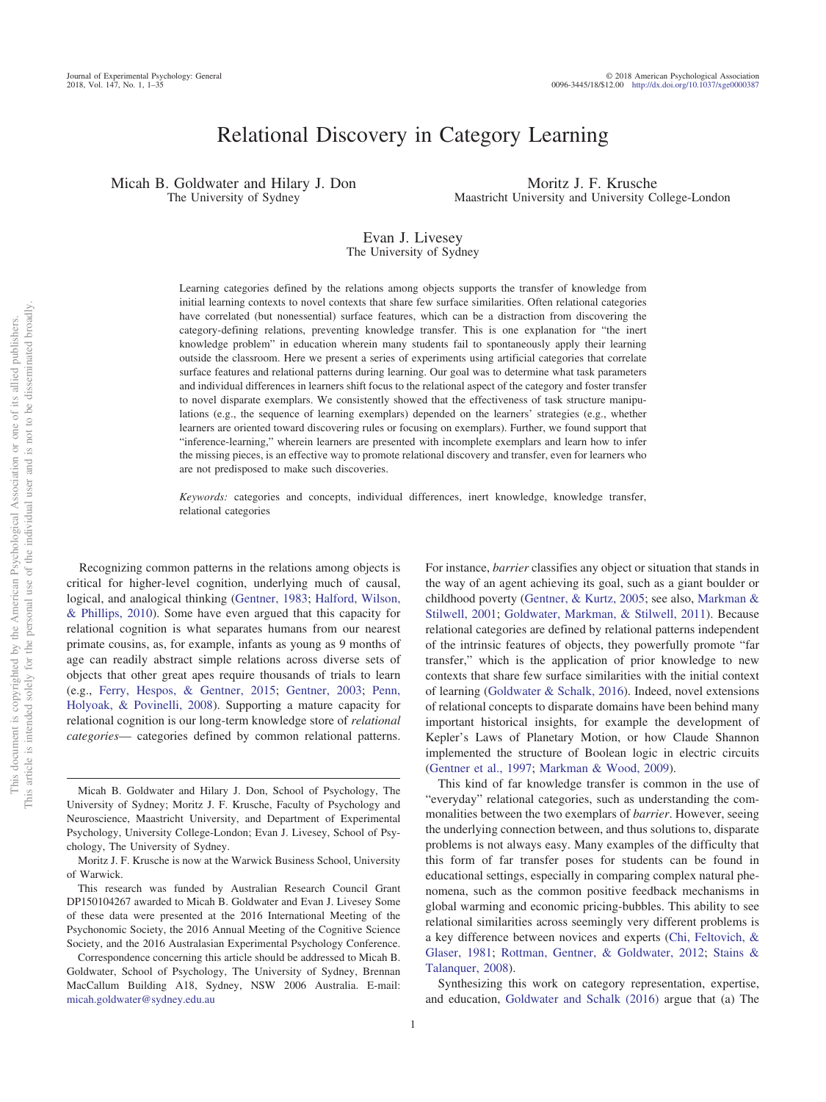# Relational Discovery in Category Learning

Micah B. Goldwater and Hilary J. Don The University of Sydney

Moritz J. F. Krusche Maastricht University and University College-London

#### Evan J. Livesey The University of Sydney

Learning categories defined by the relations among objects supports the transfer of knowledge from initial learning contexts to novel contexts that share few surface similarities. Often relational categories have correlated (but nonessential) surface features, which can be a distraction from discovering the category-defining relations, preventing knowledge transfer. This is one explanation for "the inert knowledge problem" in education wherein many students fail to spontaneously apply their learning outside the classroom. Here we present a series of experiments using artificial categories that correlate surface features and relational patterns during learning. Our goal was to determine what task parameters and individual differences in learners shift focus to the relational aspect of the category and foster transfer to novel disparate exemplars. We consistently showed that the effectiveness of task structure manipulations (e.g., the sequence of learning exemplars) depended on the learners' strategies (e.g., whether learners are oriented toward discovering rules or focusing on exemplars). Further, we found support that "inference-learning," wherein learners are presented with incomplete exemplars and learn how to infer the missing pieces, is an effective way to promote relational discovery and transfer, even for learners who are not predisposed to make such discoveries.

*Keywords:* categories and concepts, individual differences, inert knowledge, knowledge transfer, relational categories

Recognizing common patterns in the relations among objects is critical for higher-level cognition, underlying much of causal, logical, and analogical thinking [\(Gentner, 1983;](#page-22-0) [Halford, Wilson,](#page-23-0) [& Phillips, 2010\)](#page-23-0). Some have even argued that this capacity for relational cognition is what separates humans from our nearest primate cousins, as, for example, infants as young as 9 months of age can readily abstract simple relations across diverse sets of objects that other great apes require thousands of trials to learn (e.g., [Ferry, Hespos, & Gentner, 2015;](#page-22-1) [Gentner, 2003;](#page-22-2) [Penn,](#page-24-0) [Holyoak, & Povinelli, 2008\)](#page-24-0). Supporting a mature capacity for relational cognition is our long-term knowledge store of *relational categories*— categories defined by common relational patterns.

For instance, *barrier* classifies any object or situation that stands in the way of an agent achieving its goal, such as a giant boulder or childhood poverty [\(Gentner, & Kurtz, 2005;](#page-22-3) see also, [Markman &](#page-23-1) [Stilwell, 2001;](#page-23-1) [Goldwater, Markman, & Stilwell, 2011\)](#page-23-2). Because relational categories are defined by relational patterns independent of the intrinsic features of objects, they powerfully promote "far transfer," which is the application of prior knowledge to new contexts that share few surface similarities with the initial context of learning [\(Goldwater & Schalk, 2016\)](#page-23-3). Indeed, novel extensions of relational concepts to disparate domains have been behind many important historical insights, for example the development of Kepler's Laws of Planetary Motion, or how Claude Shannon implemented the structure of Boolean logic in electric circuits [\(Gentner et al., 1997;](#page-22-4) [Markman & Wood, 2009\)](#page-23-4).

This kind of far knowledge transfer is common in the use of "everyday" relational categories, such as understanding the commonalities between the two exemplars of *barrier*. However, seeing the underlying connection between, and thus solutions to, disparate problems is not always easy. Many examples of the difficulty that this form of far transfer poses for students can be found in educational settings, especially in comparing complex natural phenomena, such as the common positive feedback mechanisms in global warming and economic pricing-bubbles. This ability to see relational similarities across seemingly very different problems is a key difference between novices and experts [\(Chi, Feltovich, &](#page-22-5) [Glaser, 1981;](#page-22-5) [Rottman, Gentner, & Goldwater, 2012;](#page-24-1) [Stains &](#page-25-0) [Talanquer, 2008\)](#page-25-0).

Synthesizing this work on category representation, expertise, and education, [Goldwater and Schalk \(2016\)](#page-23-3) argue that (a) The

Micah B. Goldwater and Hilary J. Don, School of Psychology, The University of Sydney; Moritz J. F. Krusche, Faculty of Psychology and Neuroscience, Maastricht University, and Department of Experimental Psychology, University College-London; Evan J. Livesey, School of Psychology, The University of Sydney.

Moritz J. F. Krusche is now at the Warwick Business School, University of Warwick.

This research was funded by Australian Research Council Grant DP150104267 awarded to Micah B. Goldwater and Evan J. Livesey Some of these data were presented at the 2016 International Meeting of the Psychonomic Society, the 2016 Annual Meeting of the Cognitive Science Society, and the 2016 Australasian Experimental Psychology Conference.

Correspondence concerning this article should be addressed to Micah B. Goldwater, School of Psychology, The University of Sydney, Brennan MacCallum Building A18, Sydney, NSW 2006 Australia. E-mail: [micah.goldwater@sydney.edu.au](mailto:micah.goldwater@sydney.edu.au)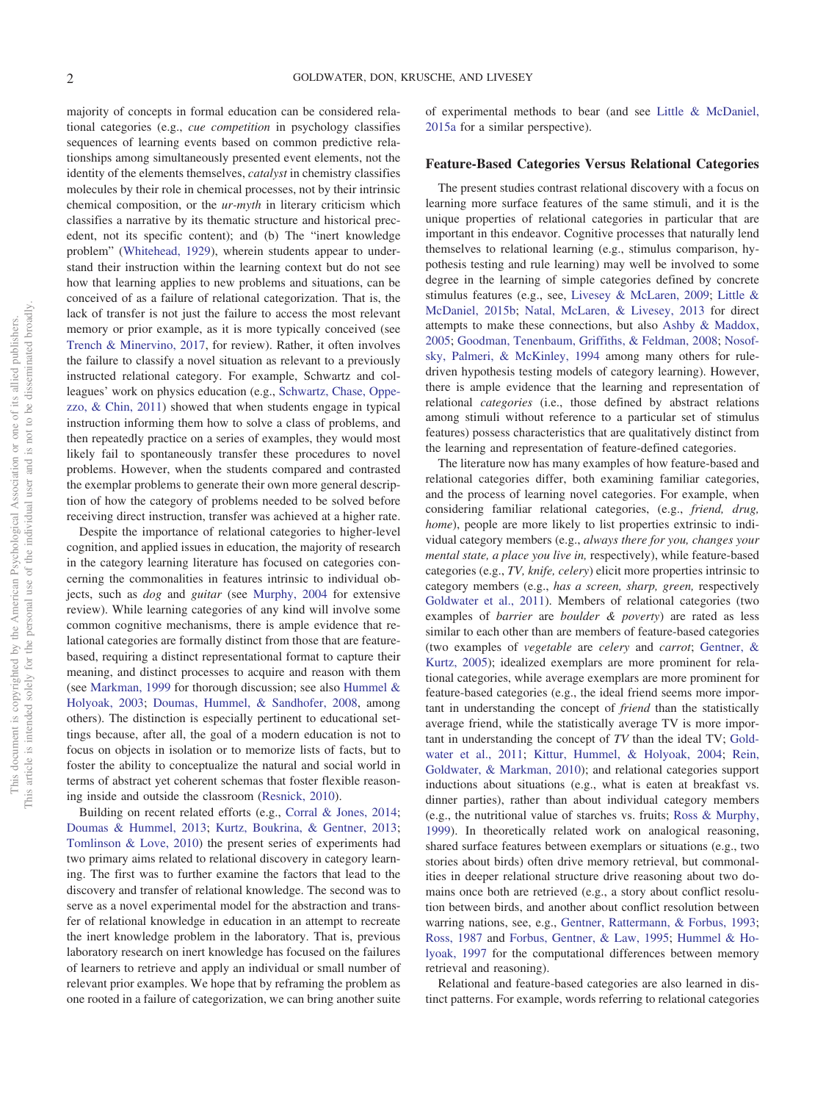majority of concepts in formal education can be considered relational categories (e.g., *cue competition* in psychology classifies sequences of learning events based on common predictive relationships among simultaneously presented event elements, not the identity of the elements themselves, *catalyst* in chemistry classifies molecules by their role in chemical processes, not by their intrinsic chemical composition, or the *ur-myth* in literary criticism which classifies a narrative by its thematic structure and historical precedent, not its specific content); and (b) The "inert knowledge problem" [\(Whitehead, 1929\)](#page-25-1), wherein students appear to understand their instruction within the learning context but do not see how that learning applies to new problems and situations, can be conceived of as a failure of relational categorization. That is, the lack of transfer is not just the failure to access the most relevant memory or prior example, as it is more typically conceived (see [Trench & Minervino, 2017,](#page-25-2) for review). Rather, it often involves the failure to classify a novel situation as relevant to a previously instructed relational category. For example, Schwartz and colleagues' work on physics education (e.g., [Schwartz, Chase, Oppe](#page-25-3)[zzo, & Chin, 2011\)](#page-25-3) showed that when students engage in typical instruction informing them how to solve a class of problems, and then repeatedly practice on a series of examples, they would most likely fail to spontaneously transfer these procedures to novel problems. However, when the students compared and contrasted the exemplar problems to generate their own more general description of how the category of problems needed to be solved before receiving direct instruction, transfer was achieved at a higher rate.

Despite the importance of relational categories to higher-level cognition, and applied issues in education, the majority of research in the category learning literature has focused on categories concerning the commonalities in features intrinsic to individual objects, such as *dog* and *guitar* (see [Murphy, 2004](#page-24-2) for extensive review). While learning categories of any kind will involve some common cognitive mechanisms, there is ample evidence that relational categories are formally distinct from those that are featurebased, requiring a distinct representational format to capture their meaning, and distinct processes to acquire and reason with them (see [Markman, 1999](#page-23-5) for thorough discussion; see also [Hummel &](#page-23-6) [Holyoak, 2003;](#page-23-6) [Doumas, Hummel, & Sandhofer, 2008,](#page-22-6) among others). The distinction is especially pertinent to educational settings because, after all, the goal of a modern education is not to focus on objects in isolation or to memorize lists of facts, but to foster the ability to conceptualize the natural and social world in terms of abstract yet coherent schemas that foster flexible reasoning inside and outside the classroom [\(Resnick, 2010\)](#page-24-3).

Building on recent related efforts (e.g., [Corral & Jones, 2014;](#page-22-7) [Doumas & Hummel, 2013;](#page-22-8) [Kurtz, Boukrina, & Gentner, 2013;](#page-23-7) [Tomlinson & Love, 2010\)](#page-25-4) the present series of experiments had two primary aims related to relational discovery in category learning. The first was to further examine the factors that lead to the discovery and transfer of relational knowledge. The second was to serve as a novel experimental model for the abstraction and transfer of relational knowledge in education in an attempt to recreate the inert knowledge problem in the laboratory. That is, previous laboratory research on inert knowledge has focused on the failures of learners to retrieve and apply an individual or small number of relevant prior examples. We hope that by reframing the problem as one rooted in a failure of categorization, we can bring another suite of experimental methods to bear (and see [Little & McDaniel,](#page-23-8) [2015a](#page-23-8) for a similar perspective).

#### **Feature-Based Categories Versus Relational Categories**

The present studies contrast relational discovery with a focus on learning more surface features of the same stimuli, and it is the unique properties of relational categories in particular that are important in this endeavor. Cognitive processes that naturally lend themselves to relational learning (e.g., stimulus comparison, hypothesis testing and rule learning) may well be involved to some degree in the learning of simple categories defined by concrete stimulus features (e.g., see, [Livesey & McLaren, 2009;](#page-23-9) [Little &](#page-23-10) [McDaniel, 2015b;](#page-23-10) [Natal, McLaren, & Livesey, 2013](#page-24-4) for direct attempts to make these connections, but also [Ashby & Maddox,](#page-21-0) [2005;](#page-21-0) [Goodman, Tenenbaum, Griffiths, & Feldman, 2008;](#page-23-11) [Nosof](#page-24-5)[sky, Palmeri, & McKinley, 1994](#page-24-5) among many others for ruledriven hypothesis testing models of category learning). However, there is ample evidence that the learning and representation of relational *categories* (i.e., those defined by abstract relations among stimuli without reference to a particular set of stimulus features) possess characteristics that are qualitatively distinct from the learning and representation of feature-defined categories.

The literature now has many examples of how feature-based and relational categories differ, both examining familiar categories, and the process of learning novel categories. For example, when considering familiar relational categories, (e.g., *friend, drug, home*), people are more likely to list properties extrinsic to individual category members (e.g., *always there for you, changes your mental state, a place you live in,* respectively), while feature-based categories (e.g., *TV, knife, celery*) elicit more properties intrinsic to category members (e.g., *has a screen, sharp, green,* respectively [Goldwater et al., 2011\)](#page-23-2). Members of relational categories (two examples of *barrier* are *boulder & poverty*) are rated as less similar to each other than are members of feature-based categories (two examples of *vegetable* are *celery* and *carrot*; [Gentner, &](#page-22-3) [Kurtz, 2005\)](#page-22-3); idealized exemplars are more prominent for relational categories, while average exemplars are more prominent for feature-based categories (e.g., the ideal friend seems more important in understanding the concept of *friend* than the statistically average friend, while the statistically average TV is more important in understanding the concept of *TV* than the ideal TV; [Gold](#page-23-2)[water et al., 2011;](#page-23-2) [Kittur, Hummel, & Holyoak, 2004;](#page-23-12) [Rein,](#page-24-6) [Goldwater, & Markman, 2010\)](#page-24-6); and relational categories support inductions about situations (e.g., what is eaten at breakfast vs. dinner parties), rather than about individual category members (e.g., the nutritional value of starches vs. fruits; [Ross & Murphy,](#page-24-7) [1999\)](#page-24-7). In theoretically related work on analogical reasoning, shared surface features between exemplars or situations (e.g., two stories about birds) often drive memory retrieval, but commonalities in deeper relational structure drive reasoning about two domains once both are retrieved (e.g., a story about conflict resolution between birds, and another about conflict resolution between warring nations, see, e.g., [Gentner, Rattermann, & Forbus, 1993;](#page-22-9) [Ross, 1987](#page-24-8) and [Forbus, Gentner, & Law, 1995;](#page-22-10) [Hummel & Ho](#page-23-13)[lyoak, 1997](#page-23-13) for the computational differences between memory retrieval and reasoning).

Relational and feature-based categories are also learned in distinct patterns. For example, words referring to relational categories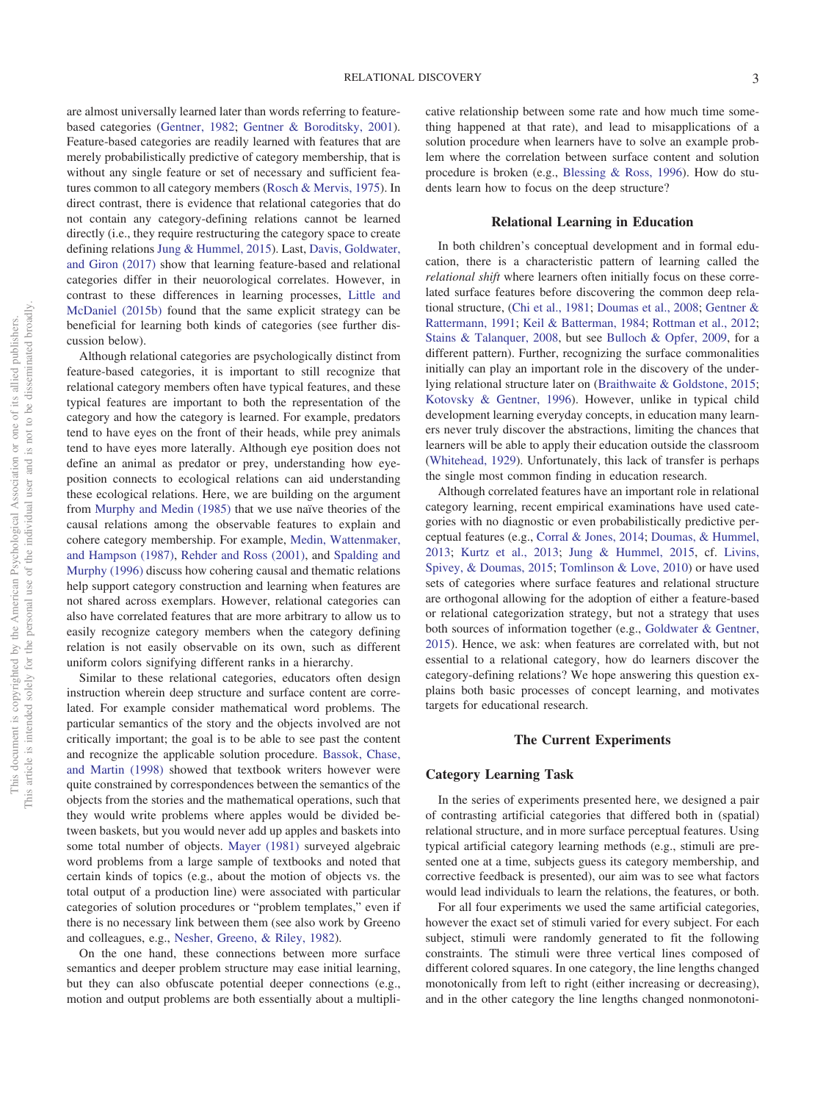are almost universally learned later than words referring to featurebased categories [\(Gentner, 1982;](#page-22-11) [Gentner & Boroditsky, 2001\)](#page-22-12). Feature-based categories are readily learned with features that are merely probabilistically predictive of category membership, that is without any single feature or set of necessary and sufficient features common to all category members [\(Rosch & Mervis, 1975\)](#page-24-9). In direct contrast, there is evidence that relational categories that do not contain any category-defining relations cannot be learned directly (i.e., they require restructuring the category space to create defining relations [Jung & Hummel, 2015\)](#page-23-14). Last, [Davis, Goldwater,](#page-22-13) [and Giron \(2017\)](#page-22-13) show that learning feature-based and relational categories differ in their neuorological correlates. However, in contrast to these differences in learning processes, [Little and](#page-23-10) [McDaniel \(2015b\)](#page-23-10) found that the same explicit strategy can be beneficial for learning both kinds of categories (see further discussion below).

Although relational categories are psychologically distinct from feature-based categories, it is important to still recognize that relational category members often have typical features, and these typical features are important to both the representation of the category and how the category is learned. For example, predators tend to have eyes on the front of their heads, while prey animals tend to have eyes more laterally. Although eye position does not define an animal as predator or prey, understanding how eyeposition connects to ecological relations can aid understanding these ecological relations. Here, we are building on the argument from [Murphy and Medin \(1985\)](#page-24-10) that we use naïve theories of the causal relations among the observable features to explain and cohere category membership. For example, [Medin, Wattenmaker,](#page-24-11) [and Hampson \(1987\),](#page-24-11) [Rehder and Ross \(2001\),](#page-24-12) and [Spalding and](#page-25-5) [Murphy \(1996\)](#page-25-5) discuss how cohering causal and thematic relations help support category construction and learning when features are not shared across exemplars. However, relational categories can also have correlated features that are more arbitrary to allow us to easily recognize category members when the category defining relation is not easily observable on its own, such as different uniform colors signifying different ranks in a hierarchy.

Similar to these relational categories, educators often design instruction wherein deep structure and surface content are correlated. For example consider mathematical word problems. The particular semantics of the story and the objects involved are not critically important; the goal is to be able to see past the content and recognize the applicable solution procedure. [Bassok, Chase,](#page-21-1) [and Martin \(1998\)](#page-21-1) showed that textbook writers however were quite constrained by correspondences between the semantics of the objects from the stories and the mathematical operations, such that they would write problems where apples would be divided between baskets, but you would never add up apples and baskets into some total number of objects. [Mayer \(1981\)](#page-24-13) surveyed algebraic word problems from a large sample of textbooks and noted that certain kinds of topics (e.g., about the motion of objects vs. the total output of a production line) were associated with particular categories of solution procedures or "problem templates," even if there is no necessary link between them (see also work by Greeno and colleagues, e.g., [Nesher, Greeno, & Riley, 1982\)](#page-24-14).

On the one hand, these connections between more surface semantics and deeper problem structure may ease initial learning, but they can also obfuscate potential deeper connections (e.g., motion and output problems are both essentially about a multiplicative relationship between some rate and how much time something happened at that rate), and lead to misapplications of a solution procedure when learners have to solve an example problem where the correlation between surface content and solution procedure is broken (e.g., [Blessing & Ross, 1996\)](#page-22-14). How do students learn how to focus on the deep structure?

#### **Relational Learning in Education**

In both children's conceptual development and in formal education, there is a characteristic pattern of learning called the *relational shift* where learners often initially focus on these correlated surface features before discovering the common deep relational structure, [\(Chi et al., 1981;](#page-22-5) [Doumas et al., 2008;](#page-22-6) [Gentner &](#page-22-15) [Rattermann, 1991;](#page-22-15) [Keil & Batterman, 1984;](#page-23-15) [Rottman et al., 2012;](#page-24-1) [Stains & Talanquer, 2008,](#page-25-0) but see [Bulloch & Opfer, 2009,](#page-22-16) for a different pattern). Further, recognizing the surface commonalities initially can play an important role in the discovery of the underlying relational structure later on [\(Braithwaite & Goldstone, 2015;](#page-22-17) [Kotovsky & Gentner, 1996\)](#page-23-16). However, unlike in typical child development learning everyday concepts, in education many learners never truly discover the abstractions, limiting the chances that learners will be able to apply their education outside the classroom [\(Whitehead, 1929\)](#page-25-1). Unfortunately, this lack of transfer is perhaps the single most common finding in education research.

Although correlated features have an important role in relational category learning, recent empirical examinations have used categories with no diagnostic or even probabilistically predictive perceptual features (e.g., [Corral & Jones, 2014;](#page-22-7) [Doumas, & Hummel,](#page-22-8) [2013;](#page-22-8) [Kurtz et al., 2013;](#page-23-7) [Jung & Hummel, 2015,](#page-23-14) cf. [Livins,](#page-23-17) [Spivey, & Doumas, 2015;](#page-23-17) [Tomlinson & Love, 2010\)](#page-25-4) or have used sets of categories where surface features and relational structure are orthogonal allowing for the adoption of either a feature-based or relational categorization strategy, but not a strategy that uses both sources of information together (e.g., [Goldwater & Gentner,](#page-23-18) [2015\)](#page-23-18). Hence, we ask: when features are correlated with, but not essential to a relational category, how do learners discover the category-defining relations? We hope answering this question explains both basic processes of concept learning, and motivates targets for educational research.

#### **The Current Experiments**

#### **Category Learning Task**

In the series of experiments presented here, we designed a pair of contrasting artificial categories that differed both in (spatial) relational structure, and in more surface perceptual features. Using typical artificial category learning methods (e.g., stimuli are presented one at a time, subjects guess its category membership, and corrective feedback is presented), our aim was to see what factors would lead individuals to learn the relations, the features, or both.

For all four experiments we used the same artificial categories, however the exact set of stimuli varied for every subject. For each subject, stimuli were randomly generated to fit the following constraints. The stimuli were three vertical lines composed of different colored squares. In one category, the line lengths changed monotonically from left to right (either increasing or decreasing), and in the other category the line lengths changed nonmonotoni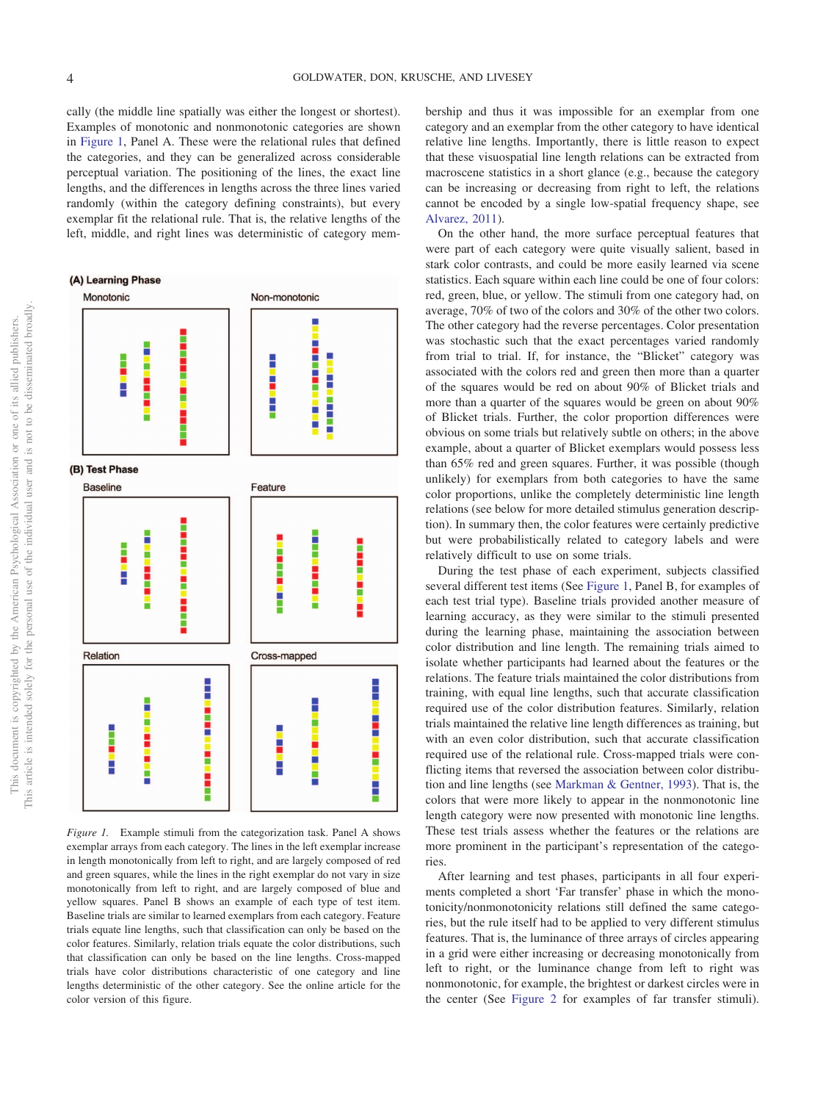cally (the middle line spatially was either the longest or shortest). Examples of monotonic and nonmonotonic categories are shown in [Figure 1,](#page-3-0) Panel A. These were the relational rules that defined the categories, and they can be generalized across considerable perceptual variation. The positioning of the lines, the exact line lengths, and the differences in lengths across the three lines varied randomly (within the category defining constraints), but every exemplar fit the relational rule. That is, the relative lengths of the left, middle, and right lines was deterministic of category mem-



<span id="page-3-0"></span>*Figure 1.* Example stimuli from the categorization task. Panel A shows exemplar arrays from each category. The lines in the left exemplar increase in length monotonically from left to right, and are largely composed of red and green squares, while the lines in the right exemplar do not vary in size monotonically from left to right, and are largely composed of blue and yellow squares. Panel B shows an example of each type of test item. Baseline trials are similar to learned exemplars from each category. Feature trials equate line lengths, such that classification can only be based on the color features. Similarly, relation trials equate the color distributions, such that classification can only be based on the line lengths. Cross-mapped trials have color distributions characteristic of one category and line lengths deterministic of the other category. See the online article for the color version of this figure.

bership and thus it was impossible for an exemplar from one category and an exemplar from the other category to have identical relative line lengths. Importantly, there is little reason to expect that these visuospatial line length relations can be extracted from macroscene statistics in a short glance (e.g., because the category can be increasing or decreasing from right to left, the relations cannot be encoded by a single low-spatial frequency shape, see [Alvarez, 2011\)](#page-21-2).

On the other hand, the more surface perceptual features that were part of each category were quite visually salient, based in stark color contrasts, and could be more easily learned via scene statistics. Each square within each line could be one of four colors: red, green, blue, or yellow. The stimuli from one category had, on average, 70% of two of the colors and 30% of the other two colors. The other category had the reverse percentages. Color presentation was stochastic such that the exact percentages varied randomly from trial to trial. If, for instance, the "Blicket" category was associated with the colors red and green then more than a quarter of the squares would be red on about 90% of Blicket trials and more than a quarter of the squares would be green on about 90% of Blicket trials. Further, the color proportion differences were obvious on some trials but relatively subtle on others; in the above example, about a quarter of Blicket exemplars would possess less than 65% red and green squares. Further, it was possible (though unlikely) for exemplars from both categories to have the same color proportions, unlike the completely deterministic line length relations (see below for more detailed stimulus generation description). In summary then, the color features were certainly predictive but were probabilistically related to category labels and were relatively difficult to use on some trials.

During the test phase of each experiment, subjects classified several different test items (See [Figure 1,](#page-3-0) Panel B, for examples of each test trial type). Baseline trials provided another measure of learning accuracy, as they were similar to the stimuli presented during the learning phase, maintaining the association between color distribution and line length. The remaining trials aimed to isolate whether participants had learned about the features or the relations. The feature trials maintained the color distributions from training, with equal line lengths, such that accurate classification required use of the color distribution features. Similarly, relation trials maintained the relative line length differences as training, but with an even color distribution, such that accurate classification required use of the relational rule. Cross-mapped trials were conflicting items that reversed the association between color distribution and line lengths (see [Markman & Gentner, 1993\)](#page-23-19). That is, the colors that were more likely to appear in the nonmonotonic line length category were now presented with monotonic line lengths. These test trials assess whether the features or the relations are more prominent in the participant's representation of the categories.

After learning and test phases, participants in all four experiments completed a short 'Far transfer' phase in which the monotonicity/nonmonotonicity relations still defined the same categories, but the rule itself had to be applied to very different stimulus features. That is, the luminance of three arrays of circles appearing in a grid were either increasing or decreasing monotonically from left to right, or the luminance change from left to right was nonmonotonic, for example, the brightest or darkest circles were in the center (See [Figure 2](#page-4-0) for examples of far transfer stimuli).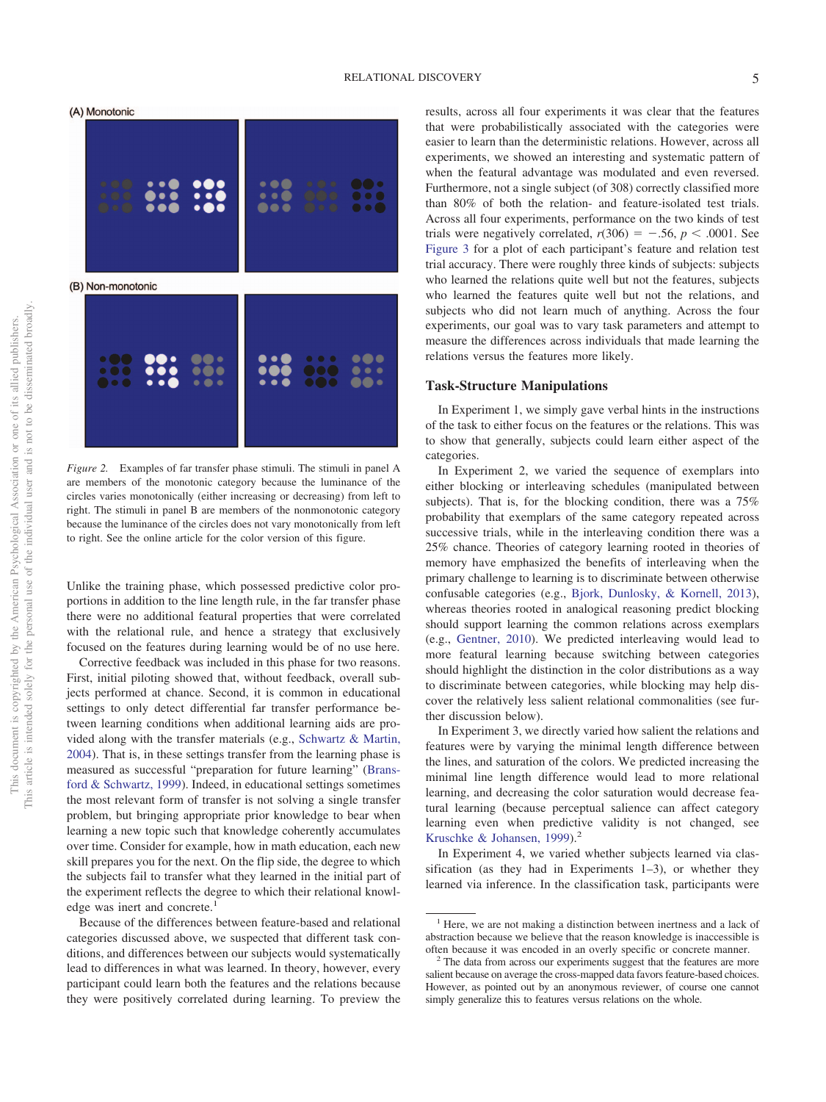(A) Monotonic



<span id="page-4-0"></span>*Figure 2.* Examples of far transfer phase stimuli. The stimuli in panel A are members of the monotonic category because the luminance of the circles varies monotonically (either increasing or decreasing) from left to right. The stimuli in panel B are members of the nonmonotonic category because the luminance of the circles does not vary monotonically from left to right. See the online article for the color version of this figure.

Unlike the training phase, which possessed predictive color proportions in addition to the line length rule, in the far transfer phase there were no additional featural properties that were correlated with the relational rule, and hence a strategy that exclusively focused on the features during learning would be of no use here.

Corrective feedback was included in this phase for two reasons. First, initial piloting showed that, without feedback, overall subjects performed at chance. Second, it is common in educational settings to only detect differential far transfer performance between learning conditions when additional learning aids are provided along with the transfer materials (e.g., [Schwartz & Martin,](#page-25-6) [2004\)](#page-25-6). That is, in these settings transfer from the learning phase is measured as successful "preparation for future learning" [\(Brans](#page-22-18)[ford & Schwartz, 1999\)](#page-22-18). Indeed, in educational settings sometimes the most relevant form of transfer is not solving a single transfer problem, but bringing appropriate prior knowledge to bear when learning a new topic such that knowledge coherently accumulates over time. Consider for example, how in math education, each new skill prepares you for the next. On the flip side, the degree to which the subjects fail to transfer what they learned in the initial part of the experiment reflects the degree to which their relational knowledge was inert and concrete.<sup>1</sup>

Because of the differences between feature-based and relational categories discussed above, we suspected that different task conditions, and differences between our subjects would systematically lead to differences in what was learned. In theory, however, every participant could learn both the features and the relations because they were positively correlated during learning. To preview the results, across all four experiments it was clear that the features that were probabilistically associated with the categories were easier to learn than the deterministic relations. However, across all experiments, we showed an interesting and systematic pattern of when the featural advantage was modulated and even reversed. Furthermore, not a single subject (of 308) correctly classified more than 80% of both the relation- and feature-isolated test trials. Across all four experiments, performance on the two kinds of test trials were negatively correlated,  $r(306) = -.56$ ,  $p < .0001$ . See [Figure 3](#page-5-0) for a plot of each participant's feature and relation test trial accuracy. There were roughly three kinds of subjects: subjects who learned the relations quite well but not the features, subjects who learned the features quite well but not the relations, and subjects who did not learn much of anything. Across the four experiments, our goal was to vary task parameters and attempt to measure the differences across individuals that made learning the relations versus the features more likely.

#### **Task-Structure Manipulations**

In Experiment 1, we simply gave verbal hints in the instructions of the task to either focus on the features or the relations. This was to show that generally, subjects could learn either aspect of the categories.

In Experiment 2, we varied the sequence of exemplars into either blocking or interleaving schedules (manipulated between subjects). That is, for the blocking condition, there was a 75% probability that exemplars of the same category repeated across successive trials, while in the interleaving condition there was a 25% chance. Theories of category learning rooted in theories of memory have emphasized the benefits of interleaving when the primary challenge to learning is to discriminate between otherwise confusable categories (e.g., [Bjork, Dunlosky, & Kornell, 2013\)](#page-22-19), whereas theories rooted in analogical reasoning predict blocking should support learning the common relations across exemplars (e.g., [Gentner, 2010\)](#page-22-20). We predicted interleaving would lead to more featural learning because switching between categories should highlight the distinction in the color distributions as a way to discriminate between categories, while blocking may help discover the relatively less salient relational commonalities (see further discussion below).

In Experiment 3, we directly varied how salient the relations and features were by varying the minimal length difference between the lines, and saturation of the colors. We predicted increasing the minimal line length difference would lead to more relational learning, and decreasing the color saturation would decrease featural learning (because perceptual salience can affect category learning even when predictive validity is not changed, see [Kruschke & Johansen, 1999\)](#page-23-20).<sup>2</sup>

In Experiment 4, we varied whether subjects learned via classification (as they had in Experiments 1–3), or whether they learned via inference. In the classification task, participants were

<sup>&</sup>lt;sup>1</sup> Here, we are not making a distinction between inertness and a lack of abstraction because we believe that the reason knowledge is inaccessible is

often because it was encoded in an overly specific or concrete manner. <sup>2</sup> The data from across our experiments suggest that the features are more salient because on average the cross-mapped data favors feature-based choices. However, as pointed out by an anonymous reviewer, of course one cannot simply generalize this to features versus relations on the whole.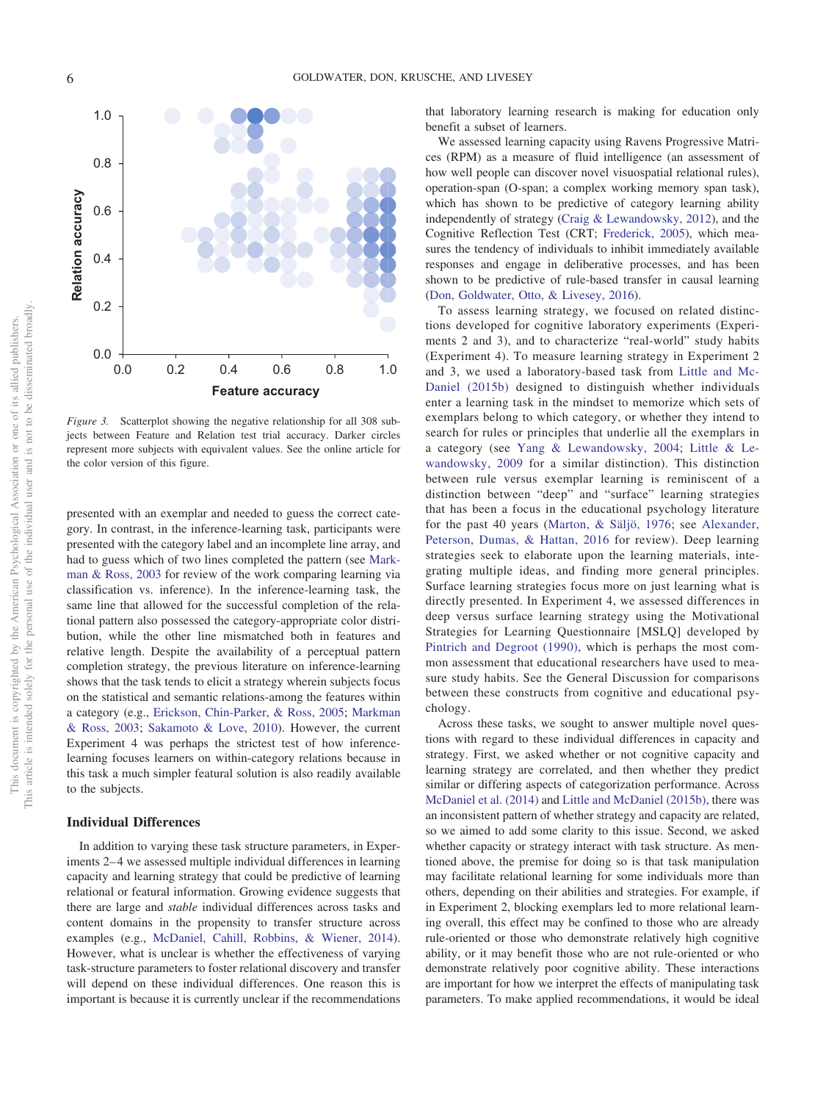

<span id="page-5-0"></span>*Figure 3.* Scatterplot showing the negative relationship for all 308 subjects between Feature and Relation test trial accuracy. Darker circles represent more subjects with equivalent values. See the online article for the color version of this figure.

presented with an exemplar and needed to guess the correct category. In contrast, in the inference-learning task, participants were presented with the category label and an incomplete line array, and had to guess which of two lines completed the pattern (see [Mark](#page-23-21)[man & Ross, 2003](#page-23-21) for review of the work comparing learning via classification vs. inference). In the inference-learning task, the same line that allowed for the successful completion of the relational pattern also possessed the category-appropriate color distribution, while the other line mismatched both in features and relative length. Despite the availability of a perceptual pattern completion strategy, the previous literature on inference-learning shows that the task tends to elicit a strategy wherein subjects focus on the statistical and semantic relations-among the features within a category (e.g., [Erickson, Chin-Parker, & Ross, 2005;](#page-22-21) [Markman](#page-23-21) [& Ross, 2003;](#page-23-21) [Sakamoto & Love, 2010\)](#page-24-15). However, the current Experiment 4 was perhaps the strictest test of how inferencelearning focuses learners on within-category relations because in this task a much simpler featural solution is also readily available to the subjects.

#### **Individual Differences**

In addition to varying these task structure parameters, in Experiments 2–4 we assessed multiple individual differences in learning capacity and learning strategy that could be predictive of learning relational or featural information. Growing evidence suggests that there are large and *stable* individual differences across tasks and content domains in the propensity to transfer structure across examples (e.g., [McDaniel, Cahill, Robbins, & Wiener, 2014\)](#page-24-16). However, what is unclear is whether the effectiveness of varying task-structure parameters to foster relational discovery and transfer will depend on these individual differences. One reason this is important is because it is currently unclear if the recommendations

that laboratory learning research is making for education only benefit a subset of learners.

We assessed learning capacity using Ravens Progressive Matrices (RPM) as a measure of fluid intelligence (an assessment of how well people can discover novel visuospatial relational rules), operation-span (O-span; a complex working memory span task), which has shown to be predictive of category learning ability independently of strategy [\(Craig & Lewandowsky, 2012\)](#page-22-22), and the Cognitive Reflection Test (CRT; [Frederick, 2005\)](#page-22-23), which measures the tendency of individuals to inhibit immediately available responses and engage in deliberative processes, and has been shown to be predictive of rule-based transfer in causal learning [\(Don, Goldwater, Otto, & Livesey, 2016\)](#page-22-24).

To assess learning strategy, we focused on related distinctions developed for cognitive laboratory experiments (Experiments 2 and 3), and to characterize "real-world" study habits (Experiment 4). To measure learning strategy in Experiment 2 and 3, we used a laboratory-based task from [Little and Mc-](#page-23-10)[Daniel \(2015b\)](#page-23-10) designed to distinguish whether individuals enter a learning task in the mindset to memorize which sets of exemplars belong to which category, or whether they intend to search for rules or principles that underlie all the exemplars in a category (see [Yang & Lewandowsky, 2004;](#page-25-7) [Little & Le](#page-23-22)[wandowsky, 2009](#page-23-22) for a similar distinction). This distinction between rule versus exemplar learning is reminiscent of a distinction between "deep" and "surface" learning strategies that has been a focus in the educational psychology literature for the past 40 years [\(Marton, & Säljö, 1976;](#page-24-17) see [Alexander,](#page-21-3) [Peterson, Dumas, & Hattan, 2016](#page-21-3) for review). Deep learning strategies seek to elaborate upon the learning materials, integrating multiple ideas, and finding more general principles. Surface learning strategies focus more on just learning what is directly presented. In Experiment 4, we assessed differences in deep versus surface learning strategy using the Motivational Strategies for Learning Questionnaire [MSLQ] developed by [Pintrich and Degroot \(1990\),](#page-24-18) which is perhaps the most common assessment that educational researchers have used to measure study habits. See the General Discussion for comparisons between these constructs from cognitive and educational psychology.

Across these tasks, we sought to answer multiple novel questions with regard to these individual differences in capacity and strategy. First, we asked whether or not cognitive capacity and learning strategy are correlated, and then whether they predict similar or differing aspects of categorization performance. Across [McDaniel et al. \(2014\)](#page-24-16) and [Little and McDaniel \(2015b\),](#page-23-10) there was an inconsistent pattern of whether strategy and capacity are related, so we aimed to add some clarity to this issue. Second, we asked whether capacity or strategy interact with task structure. As mentioned above, the premise for doing so is that task manipulation may facilitate relational learning for some individuals more than others, depending on their abilities and strategies. For example, if in Experiment 2, blocking exemplars led to more relational learning overall, this effect may be confined to those who are already rule-oriented or those who demonstrate relatively high cognitive ability, or it may benefit those who are not rule-oriented or who demonstrate relatively poor cognitive ability. These interactions are important for how we interpret the effects of manipulating task parameters. To make applied recommendations, it would be ideal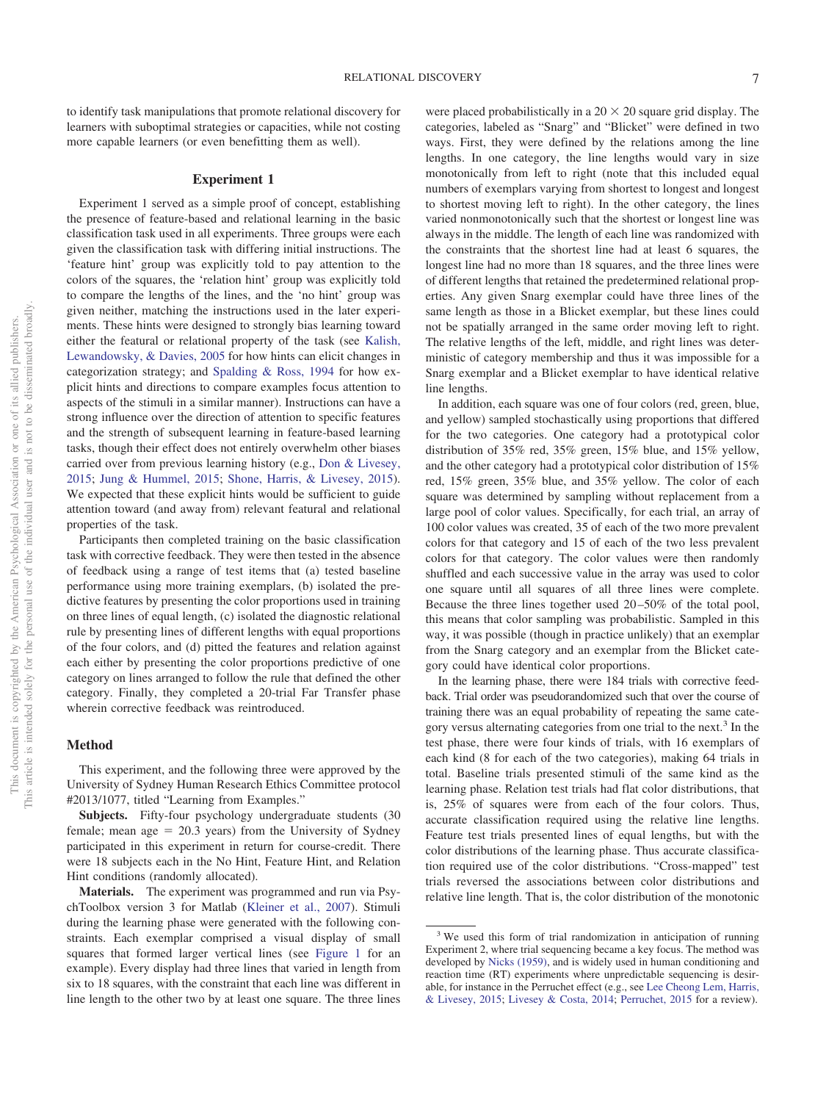to identify task manipulations that promote relational discovery for learners with suboptimal strategies or capacities, while not costing more capable learners (or even benefitting them as well).

#### **Experiment 1**

Experiment 1 served as a simple proof of concept, establishing the presence of feature-based and relational learning in the basic classification task used in all experiments. Three groups were each given the classification task with differing initial instructions. The 'feature hint' group was explicitly told to pay attention to the colors of the squares, the 'relation hint' group was explicitly told to compare the lengths of the lines, and the 'no hint' group was given neither, matching the instructions used in the later experiments. These hints were designed to strongly bias learning toward either the featural or relational property of the task (see [Kalish,](#page-23-23) [Lewandowsky, & Davies, 2005](#page-23-23) for how hints can elicit changes in categorization strategy; and [Spalding & Ross, 1994](#page-25-8) for how explicit hints and directions to compare examples focus attention to aspects of the stimuli in a similar manner). Instructions can have a strong influence over the direction of attention to specific features and the strength of subsequent learning in feature-based learning tasks, though their effect does not entirely overwhelm other biases carried over from previous learning history (e.g., [Don & Livesey,](#page-22-25) [2015;](#page-22-25) [Jung & Hummel, 2015;](#page-23-14) [Shone, Harris, & Livesey, 2015\)](#page-25-9). We expected that these explicit hints would be sufficient to guide attention toward (and away from) relevant featural and relational properties of the task.

Participants then completed training on the basic classification task with corrective feedback. They were then tested in the absence of feedback using a range of test items that (a) tested baseline performance using more training exemplars, (b) isolated the predictive features by presenting the color proportions used in training on three lines of equal length, (c) isolated the diagnostic relational rule by presenting lines of different lengths with equal proportions of the four colors, and (d) pitted the features and relation against each either by presenting the color proportions predictive of one category on lines arranged to follow the rule that defined the other category. Finally, they completed a 20-trial Far Transfer phase wherein corrective feedback was reintroduced.

## **Method**

This experiment, and the following three were approved by the University of Sydney Human Research Ethics Committee protocol #2013/1077, titled "Learning from Examples."

**Subjects.** Fifty-four psychology undergraduate students (30 female; mean  $age = 20.3$  years) from the University of Sydney participated in this experiment in return for course-credit. There were 18 subjects each in the No Hint, Feature Hint, and Relation Hint conditions (randomly allocated).

**Materials.** The experiment was programmed and run via PsychToolbox version 3 for Matlab [\(Kleiner et al., 2007\)](#page-23-24). Stimuli during the learning phase were generated with the following constraints. Each exemplar comprised a visual display of small squares that formed larger vertical lines (see [Figure 1](#page-3-0) for an example). Every display had three lines that varied in length from six to 18 squares, with the constraint that each line was different in line length to the other two by at least one square. The three lines

were placed probabilistically in a  $20 \times 20$  square grid display. The categories, labeled as "Snarg" and "Blicket" were defined in two ways. First, they were defined by the relations among the line lengths. In one category, the line lengths would vary in size monotonically from left to right (note that this included equal numbers of exemplars varying from shortest to longest and longest to shortest moving left to right). In the other category, the lines varied nonmonotonically such that the shortest or longest line was always in the middle. The length of each line was randomized with the constraints that the shortest line had at least 6 squares, the longest line had no more than 18 squares, and the three lines were of different lengths that retained the predetermined relational properties. Any given Snarg exemplar could have three lines of the same length as those in a Blicket exemplar, but these lines could not be spatially arranged in the same order moving left to right. The relative lengths of the left, middle, and right lines was deterministic of category membership and thus it was impossible for a Snarg exemplar and a Blicket exemplar to have identical relative line lengths.

In addition, each square was one of four colors (red, green, blue, and yellow) sampled stochastically using proportions that differed for the two categories. One category had a prototypical color distribution of 35% red, 35% green, 15% blue, and 15% yellow, and the other category had a prototypical color distribution of 15% red, 15% green, 35% blue, and 35% yellow. The color of each square was determined by sampling without replacement from a large pool of color values. Specifically, for each trial, an array of 100 color values was created, 35 of each of the two more prevalent colors for that category and 15 of each of the two less prevalent colors for that category. The color values were then randomly shuffled and each successive value in the array was used to color one square until all squares of all three lines were complete. Because the three lines together used 20–50% of the total pool, this means that color sampling was probabilistic. Sampled in this way, it was possible (though in practice unlikely) that an exemplar from the Snarg category and an exemplar from the Blicket category could have identical color proportions.

In the learning phase, there were 184 trials with corrective feedback. Trial order was pseudorandomized such that over the course of training there was an equal probability of repeating the same category versus alternating categories from one trial to the next.<sup>3</sup> In the test phase, there were four kinds of trials, with 16 exemplars of each kind (8 for each of the two categories), making 64 trials in total. Baseline trials presented stimuli of the same kind as the learning phase. Relation test trials had flat color distributions, that is, 25% of squares were from each of the four colors. Thus, accurate classification required using the relative line lengths. Feature test trials presented lines of equal lengths, but with the color distributions of the learning phase. Thus accurate classification required use of the color distributions. "Cross-mapped" test trials reversed the associations between color distributions and relative line length. That is, the color distribution of the monotonic

<sup>&</sup>lt;sup>3</sup> We used this form of trial randomization in anticipation of running Experiment 2, where trial sequencing became a key focus. The method was developed by [Nicks \(1959\),](#page-24-19) and is widely used in human conditioning and reaction time (RT) experiments where unpredictable sequencing is desirable, for instance in the Perruchet effect (e.g., see [Lee Cheong Lem, Harris,](#page-23-25) [& Livesey, 2015;](#page-23-25) [Livesey & Costa, 2014;](#page-23-26) [Perruchet, 2015](#page-24-20) for a review).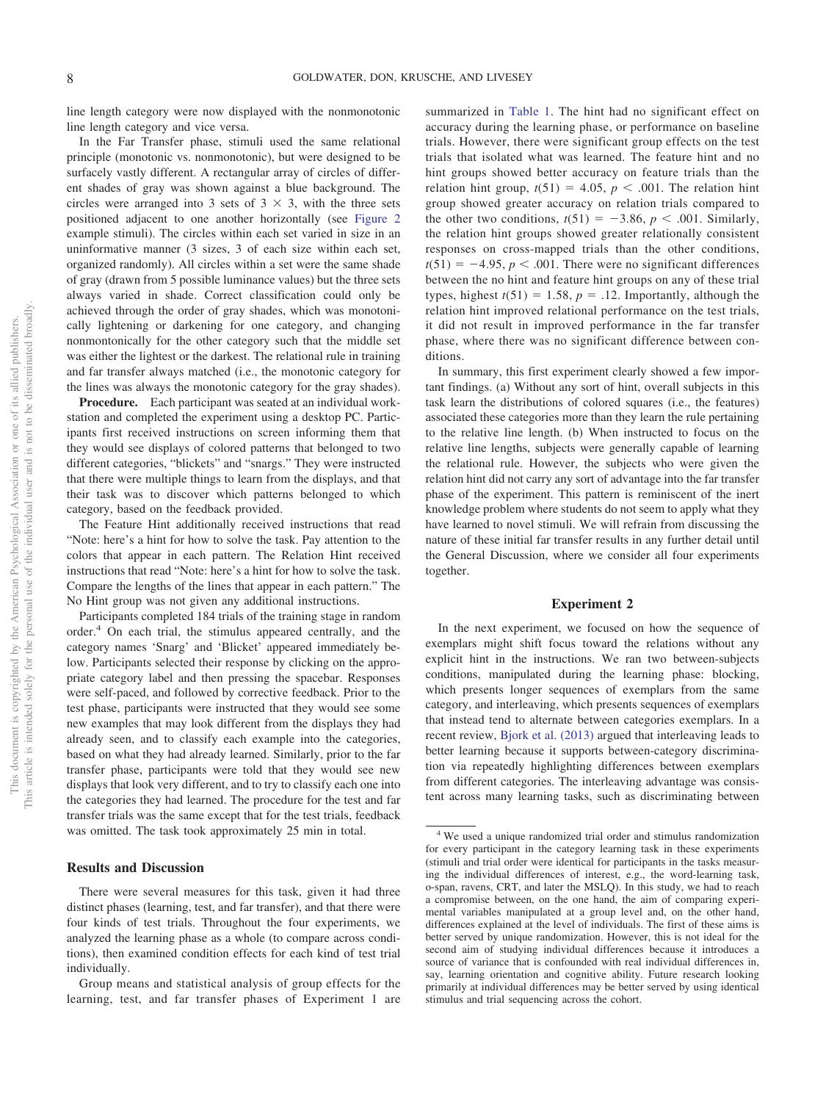line length category were now displayed with the nonmonotonic line length category and vice versa.

In the Far Transfer phase, stimuli used the same relational principle (monotonic vs. nonmonotonic), but were designed to be surfacely vastly different. A rectangular array of circles of different shades of gray was shown against a blue background. The circles were arranged into 3 sets of  $3 \times 3$ , with the three sets positioned adjacent to one another horizontally (see [Figure 2](#page-4-0) example stimuli). The circles within each set varied in size in an uninformative manner (3 sizes, 3 of each size within each set, organized randomly). All circles within a set were the same shade of gray (drawn from 5 possible luminance values) but the three sets always varied in shade. Correct classification could only be achieved through the order of gray shades, which was monotonically lightening or darkening for one category, and changing nonmontonically for the other category such that the middle set was either the lightest or the darkest. The relational rule in training and far transfer always matched (i.e., the monotonic category for the lines was always the monotonic category for the gray shades).

**Procedure.** Each participant was seated at an individual workstation and completed the experiment using a desktop PC. Participants first received instructions on screen informing them that they would see displays of colored patterns that belonged to two different categories, "blickets" and "snargs." They were instructed that there were multiple things to learn from the displays, and that their task was to discover which patterns belonged to which category, based on the feedback provided.

The Feature Hint additionally received instructions that read "Note: here's a hint for how to solve the task. Pay attention to the colors that appear in each pattern. The Relation Hint received instructions that read "Note: here's a hint for how to solve the task. Compare the lengths of the lines that appear in each pattern." The No Hint group was not given any additional instructions.

Participants completed 184 trials of the training stage in random order.4 On each trial, the stimulus appeared centrally, and the category names 'Snarg' and 'Blicket' appeared immediately below. Participants selected their response by clicking on the appropriate category label and then pressing the spacebar. Responses were self-paced, and followed by corrective feedback. Prior to the test phase, participants were instructed that they would see some new examples that may look different from the displays they had already seen, and to classify each example into the categories, based on what they had already learned. Similarly, prior to the far transfer phase, participants were told that they would see new displays that look very different, and to try to classify each one into the categories they had learned. The procedure for the test and far transfer trials was the same except that for the test trials, feedback was omitted. The task took approximately 25 min in total.

#### **Results and Discussion**

There were several measures for this task, given it had three distinct phases (learning, test, and far transfer), and that there were four kinds of test trials. Throughout the four experiments, we analyzed the learning phase as a whole (to compare across conditions), then examined condition effects for each kind of test trial individually.

summarized in [Table 1.](#page-8-0) The hint had no significant effect on accuracy during the learning phase, or performance on baseline trials. However, there were significant group effects on the test trials that isolated what was learned. The feature hint and no hint groups showed better accuracy on feature trials than the relation hint group,  $t(51) = 4.05$ ,  $p < .001$ . The relation hint group showed greater accuracy on relation trials compared to the other two conditions,  $t(51) = -3.86$ ,  $p < .001$ . Similarly, the relation hint groups showed greater relationally consistent responses on cross-mapped trials than the other conditions,  $t(51) = -4.95$ ,  $p < .001$ . There were no significant differences between the no hint and feature hint groups on any of these trial types, highest  $t(51) = 1.58$ ,  $p = .12$ . Importantly, although the relation hint improved relational performance on the test trials, it did not result in improved performance in the far transfer phase, where there was no significant difference between conditions.

In summary, this first experiment clearly showed a few important findings. (a) Without any sort of hint, overall subjects in this task learn the distributions of colored squares (i.e., the features) associated these categories more than they learn the rule pertaining to the relative line length. (b) When instructed to focus on the relative line lengths, subjects were generally capable of learning the relational rule. However, the subjects who were given the relation hint did not carry any sort of advantage into the far transfer phase of the experiment. This pattern is reminiscent of the inert knowledge problem where students do not seem to apply what they have learned to novel stimuli. We will refrain from discussing the nature of these initial far transfer results in any further detail until the General Discussion, where we consider all four experiments together.

## **Experiment 2**

In the next experiment, we focused on how the sequence of exemplars might shift focus toward the relations without any explicit hint in the instructions. We ran two between-subjects conditions, manipulated during the learning phase: blocking, which presents longer sequences of exemplars from the same category, and interleaving, which presents sequences of exemplars that instead tend to alternate between categories exemplars. In a recent review, [Bjork et al. \(2013\)](#page-22-19) argued that interleaving leads to better learning because it supports between-category discrimination via repeatedly highlighting differences between exemplars from different categories. The interleaving advantage was consistent across many learning tasks, such as discriminating between

Group means and statistical analysis of group effects for the learning, test, and far transfer phases of Experiment 1 are

<sup>4</sup> We used a unique randomized trial order and stimulus randomization for every participant in the category learning task in these experiments (stimuli and trial order were identical for participants in the tasks measuring the individual differences of interest, e.g., the word-learning task, o-span, ravens, CRT, and later the MSLQ). In this study, we had to reach a compromise between, on the one hand, the aim of comparing experimental variables manipulated at a group level and, on the other hand, differences explained at the level of individuals. The first of these aims is better served by unique randomization. However, this is not ideal for the second aim of studying individual differences because it introduces a source of variance that is confounded with real individual differences in, say, learning orientation and cognitive ability. Future research looking primarily at individual differences may be better served by using identical stimulus and trial sequencing across the cohort.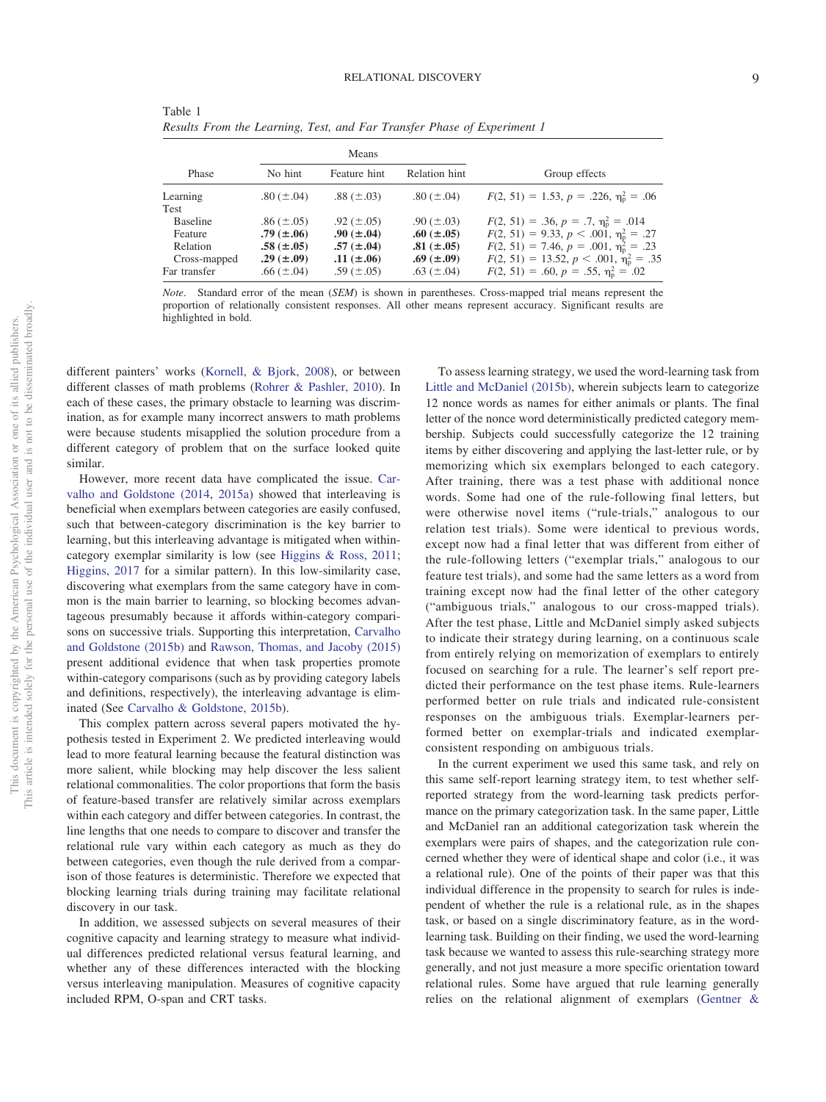<span id="page-8-0"></span>Table 1 *Results From the Learning, Test, and Far Transfer Phase of Experiment 1*

|                         |                   | Means             |                 |                                                  |
|-------------------------|-------------------|-------------------|-----------------|--------------------------------------------------|
| Phase                   | No hint           | Feature hint      | Relation hint   | Group effects                                    |
| Learning                | .80 $(\pm .04)$   | .88 $(\pm .03)$   | .80 $(\pm .04)$ | $F(2, 51) = 1.53, p = .226, \eta_p^2 = .06$      |
| Test<br><b>Baseline</b> | $.86 (\pm .05)$   | .92 $(\pm .05)$   | .90 $(\pm .03)$ | $F(2, 51) = .36, p = .7, \eta_{p}^{2} = .014$    |
| Feature                 | $.79 \ (\pm .06)$ | $.90 \ (\pm .04)$ | .60 $(\pm .05)$ | $F(2, 51) = 9.33, p < .001, \eta_{p}^{2} = .27$  |
| Relation                | $.58 \ (\pm .05)$ | $.57 \ (\pm .04)$ | .81 $(\pm .05)$ | $F(2, 51) = 7.46, p = .001, \eta_{p}^{2} = .23$  |
| Cross-mapped            | .29 $(\pm .09)$   | .11 $(\pm .06)$   | .69 $(\pm .09)$ | $F(2, 51) = 13.52, p < .001, \eta_{p}^{2} = .35$ |
| Far transfer            | .66 $(\pm .04)$   | .59 $(\pm .05)$   | .63 $(\pm .04)$ | $F(2, 51) = .60, p = .55, \eta_p^2 = .02$        |

*Note*. Standard error of the mean (*SEM*) is shown in parentheses. Cross-mapped trial means represent the proportion of relationally consistent responses. All other means represent accuracy. Significant results are highlighted in bold.

different painters' works [\(Kornell, & Bjork, 2008\)](#page-23-27), or between different classes of math problems [\(Rohrer & Pashler, 2010\)](#page-24-21). In each of these cases, the primary obstacle to learning was discrimination, as for example many incorrect answers to math problems were because students misapplied the solution procedure from a different category of problem that on the surface looked quite similar.

However, more recent data have complicated the issue. [Car](#page-22-26)[valho and Goldstone \(2014,](#page-22-26) [2015a\)](#page-22-27) showed that interleaving is beneficial when exemplars between categories are easily confused, such that between-category discrimination is the key barrier to learning, but this interleaving advantage is mitigated when withincategory exemplar similarity is low (see [Higgins & Ross, 2011;](#page-23-28) [Higgins, 2017](#page-23-29) for a similar pattern). In this low-similarity case, discovering what exemplars from the same category have in common is the main barrier to learning, so blocking becomes advantageous presumably because it affords within-category comparisons on successive trials. Supporting this interpretation, [Carvalho](#page-22-28) [and Goldstone \(2015b\)](#page-22-28) and [Rawson, Thomas, and Jacoby \(2015\)](#page-24-22) present additional evidence that when task properties promote within-category comparisons (such as by providing category labels and definitions, respectively), the interleaving advantage is eliminated (See [Carvalho & Goldstone, 2015b\)](#page-22-28).

This complex pattern across several papers motivated the hypothesis tested in Experiment 2. We predicted interleaving would lead to more featural learning because the featural distinction was more salient, while blocking may help discover the less salient relational commonalities. The color proportions that form the basis of feature-based transfer are relatively similar across exemplars within each category and differ between categories. In contrast, the line lengths that one needs to compare to discover and transfer the relational rule vary within each category as much as they do between categories, even though the rule derived from a comparison of those features is deterministic. Therefore we expected that blocking learning trials during training may facilitate relational discovery in our task.

In addition, we assessed subjects on several measures of their cognitive capacity and learning strategy to measure what individual differences predicted relational versus featural learning, and whether any of these differences interacted with the blocking versus interleaving manipulation. Measures of cognitive capacity included RPM, O-span and CRT tasks.

To assess learning strategy, we used the word-learning task from [Little and McDaniel \(2015b\),](#page-23-10) wherein subjects learn to categorize 12 nonce words as names for either animals or plants. The final letter of the nonce word deterministically predicted category membership. Subjects could successfully categorize the 12 training items by either discovering and applying the last-letter rule, or by memorizing which six exemplars belonged to each category. After training, there was a test phase with additional nonce words. Some had one of the rule-following final letters, but were otherwise novel items ("rule-trials," analogous to our relation test trials). Some were identical to previous words, except now had a final letter that was different from either of the rule-following letters ("exemplar trials," analogous to our feature test trials), and some had the same letters as a word from training except now had the final letter of the other category ("ambiguous trials," analogous to our cross-mapped trials). After the test phase, Little and McDaniel simply asked subjects to indicate their strategy during learning, on a continuous scale from entirely relying on memorization of exemplars to entirely focused on searching for a rule. The learner's self report predicted their performance on the test phase items. Rule-learners performed better on rule trials and indicated rule-consistent responses on the ambiguous trials. Exemplar-learners performed better on exemplar-trials and indicated exemplarconsistent responding on ambiguous trials.

In the current experiment we used this same task, and rely on this same self-report learning strategy item, to test whether selfreported strategy from the word-learning task predicts performance on the primary categorization task. In the same paper, Little and McDaniel ran an additional categorization task wherein the exemplars were pairs of shapes, and the categorization rule concerned whether they were of identical shape and color (i.e., it was a relational rule). One of the points of their paper was that this individual difference in the propensity to search for rules is independent of whether the rule is a relational rule, as in the shapes task, or based on a single discriminatory feature, as in the wordlearning task. Building on their finding, we used the word-learning task because we wanted to assess this rule-searching strategy more generally, and not just measure a more specific orientation toward relational rules. Some have argued that rule learning generally relies on the relational alignment of exemplars [\(Gentner &](#page-22-29)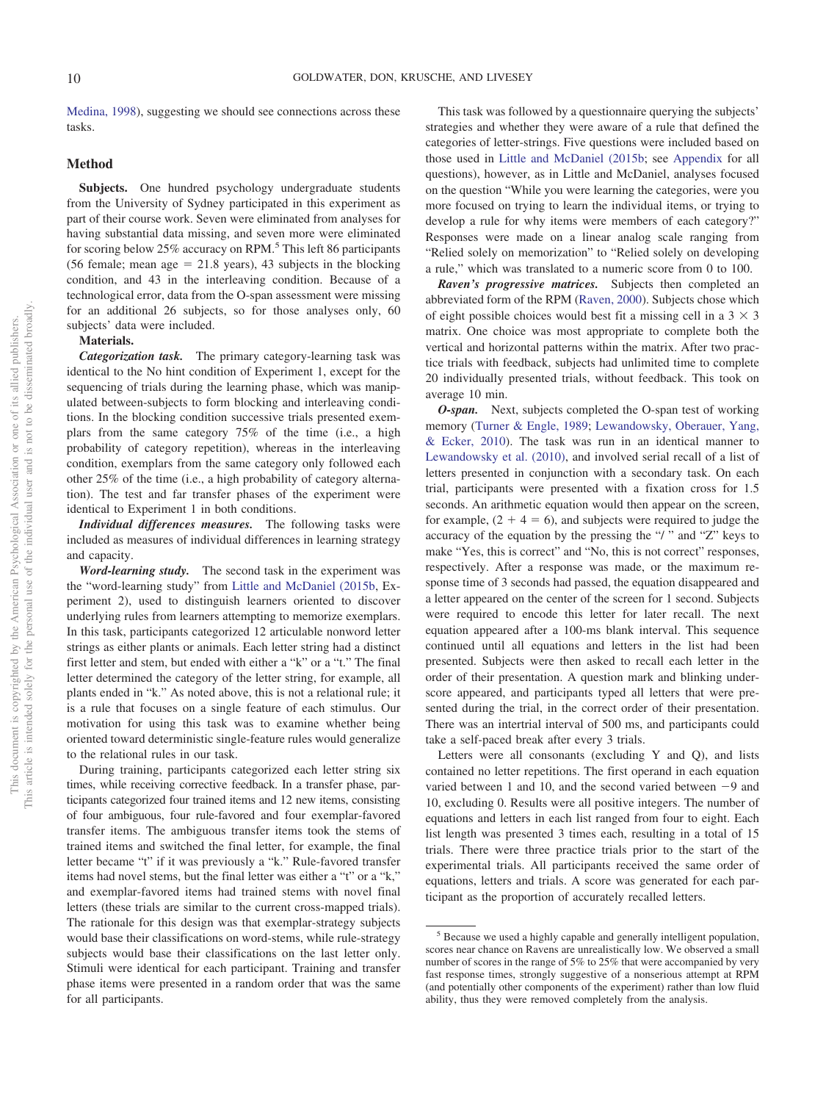[Medina, 1998\)](#page-22-29), suggesting we should see connections across these tasks.

#### **Method**

**Subjects.** One hundred psychology undergraduate students from the University of Sydney participated in this experiment as part of their course work. Seven were eliminated from analyses for having substantial data missing, and seven more were eliminated for scoring below 25% accuracy on RPM.<sup>5</sup> This left 86 participants  $(56$  female; mean age = 21.8 years), 43 subjects in the blocking condition, and 43 in the interleaving condition. Because of a technological error, data from the O-span assessment were missing for an additional 26 subjects, so for those analyses only, 60 subjects' data were included.

## **Materials.**

*Categorization task.* The primary category-learning task was identical to the No hint condition of Experiment 1, except for the sequencing of trials during the learning phase, which was manipulated between-subjects to form blocking and interleaving conditions. In the blocking condition successive trials presented exemplars from the same category 75% of the time (i.e., a high probability of category repetition), whereas in the interleaving condition, exemplars from the same category only followed each other 25% of the time (i.e., a high probability of category alternation). The test and far transfer phases of the experiment were identical to Experiment 1 in both conditions.

*Individual differences measures.* The following tasks were included as measures of individual differences in learning strategy and capacity.

*Word-learning study.* The second task in the experiment was the "word-learning study" from [Little and McDaniel \(2015b,](#page-23-10) Experiment 2), used to distinguish learners oriented to discover underlying rules from learners attempting to memorize exemplars. In this task, participants categorized 12 articulable nonword letter strings as either plants or animals. Each letter string had a distinct first letter and stem, but ended with either a "k" or a "t." The final letter determined the category of the letter string, for example, all plants ended in "k." As noted above, this is not a relational rule; it is a rule that focuses on a single feature of each stimulus. Our motivation for using this task was to examine whether being oriented toward deterministic single-feature rules would generalize to the relational rules in our task.

During training, participants categorized each letter string six times, while receiving corrective feedback. In a transfer phase, participants categorized four trained items and 12 new items, consisting of four ambiguous, four rule-favored and four exemplar-favored transfer items. The ambiguous transfer items took the stems of trained items and switched the final letter, for example, the final letter became "t" if it was previously a "k." Rule-favored transfer items had novel stems, but the final letter was either a "t" or a "k," and exemplar-favored items had trained stems with novel final letters (these trials are similar to the current cross-mapped trials). The rationale for this design was that exemplar-strategy subjects would base their classifications on word-stems, while rule-strategy subjects would base their classifications on the last letter only. Stimuli were identical for each participant. Training and transfer phase items were presented in a random order that was the same for all participants.

This task was followed by a questionnaire querying the subjects' strategies and whether they were aware of a rule that defined the categories of letter-strings. Five questions were included based on those used in [Little and McDaniel \(2015b;](#page-23-10) see [Appendix](#page-26-0) for all questions), however, as in Little and McDaniel, analyses focused on the question "While you were learning the categories, were you more focused on trying to learn the individual items, or trying to develop a rule for why items were members of each category?" Responses were made on a linear analog scale ranging from "Relied solely on memorization" to "Relied solely on developing a rule," which was translated to a numeric score from 0 to 100.

*Raven's progressive matrices.* Subjects then completed an abbreviated form of the RPM [\(Raven, 2000\)](#page-24-23). Subjects chose which of eight possible choices would best fit a missing cell in a  $3 \times 3$ matrix. One choice was most appropriate to complete both the vertical and horizontal patterns within the matrix. After two practice trials with feedback, subjects had unlimited time to complete 20 individually presented trials, without feedback. This took on average 10 min.

*O-span.* Next, subjects completed the O-span test of working memory [\(Turner & Engle, 1989;](#page-25-10) [Lewandowsky, Oberauer, Yang,](#page-23-30) [& Ecker, 2010\)](#page-23-30). The task was run in an identical manner to [Lewandowsky et al. \(2010\),](#page-23-30) and involved serial recall of a list of letters presented in conjunction with a secondary task. On each trial, participants were presented with a fixation cross for 1.5 seconds. An arithmetic equation would then appear on the screen, for example,  $(2 + 4 = 6)$ , and subjects were required to judge the accuracy of the equation by the pressing the "/ " and "Z" keys to make "Yes, this is correct" and "No, this is not correct" responses, respectively. After a response was made, or the maximum response time of 3 seconds had passed, the equation disappeared and a letter appeared on the center of the screen for 1 second. Subjects were required to encode this letter for later recall. The next equation appeared after a 100-ms blank interval. This sequence continued until all equations and letters in the list had been presented. Subjects were then asked to recall each letter in the order of their presentation. A question mark and blinking underscore appeared, and participants typed all letters that were presented during the trial, in the correct order of their presentation. There was an intertrial interval of 500 ms, and participants could take a self-paced break after every 3 trials.

Letters were all consonants (excluding Y and Q), and lists contained no letter repetitions. The first operand in each equation varied between 1 and 10, and the second varied between  $-9$  and 10, excluding 0. Results were all positive integers. The number of equations and letters in each list ranged from four to eight. Each list length was presented 3 times each, resulting in a total of 15 trials. There were three practice trials prior to the start of the experimental trials. All participants received the same order of equations, letters and trials. A score was generated for each participant as the proportion of accurately recalled letters.

<sup>5</sup> Because we used a highly capable and generally intelligent population, scores near chance on Ravens are unrealistically low. We observed a small number of scores in the range of 5% to 25% that were accompanied by very fast response times, strongly suggestive of a nonserious attempt at RPM (and potentially other components of the experiment) rather than low fluid ability, thus they were removed completely from the analysis.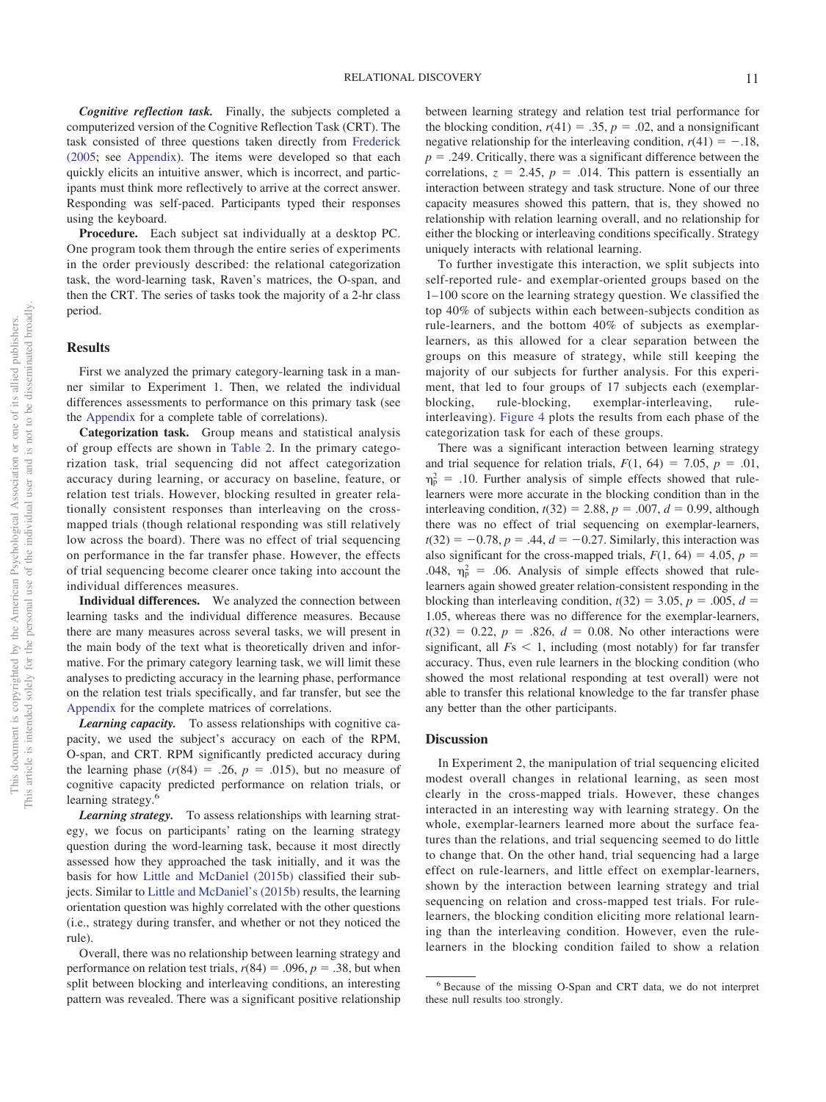*Cognitive reflection task.* Finally, the subjects completed a computerized version of the Cognitive Reflection Task (CRT). The task consisted of three questions taken directly from [Frederick](#page-22-23) [\(2005;](#page-22-23) see [Appendix\)](#page-26-0). The items were developed so that each quickly elicits an intuitive answer, which is incorrect, and participants must think more reflectively to arrive at the correct answer. Responding was self-paced. Participants typed their responses using the keyboard.

**Procedure.** Each subject sat individually at a desktop PC. One program took them through the entire series of experiments in the order previously described: the relational categorization task, the word-learning task, Raven's matrices, the O-span, and then the CRT. The series of tasks took the majority of a 2-hr class period.

#### **Results**

First we analyzed the primary category-learning task in a manner similar to Experiment 1. Then, we related the individual differences assessments to performance on this primary task (see the [Appendix](#page-26-0) for a complete table of correlations).

**Categorization task.** Group means and statistical analysis of group effects are shown in [Table 2.](#page-11-0) In the primary categorization task, trial sequencing did not affect categorization accuracy during learning, or accuracy on baseline, feature, or relation test trials. However, blocking resulted in greater relationally consistent responses than interleaving on the crossmapped trials (though relational responding was still relatively low across the board). There was no effect of trial sequencing on performance in the far transfer phase. However, the effects of trial sequencing become clearer once taking into account the individual differences measures.

**Individual differences.** We analyzed the connection between learning tasks and the individual difference measures. Because there are many measures across several tasks, we will present in the main body of the text what is theoretically driven and informative. For the primary category learning task, we will limit these analyses to predicting accuracy in the learning phase, performance on the relation test trials specifically, and far transfer, but see the [Appendix](#page-26-0) for the complete matrices of correlations.

*Learning capacity.* To assess relationships with cognitive capacity, we used the subject's accuracy on each of the RPM, O-span, and CRT. RPM significantly predicted accuracy during the learning phase  $(r(84) = .26, p = .015)$ , but no measure of cognitive capacity predicted performance on relation trials, or learning strategy. $\frac{6}{5}$ 

*Learning strategy.* To assess relationships with learning strategy, we focus on participants' rating on the learning strategy question during the word-learning task, because it most directly assessed how they approached the task initially, and it was the basis for how [Little and McDaniel \(2015b\)](#page-23-10) classified their subjects. Similar to [Little and McDaniel's \(2015b\)](#page-23-10) results, the learning orientation question was highly correlated with the other questions (i.e., strategy during transfer, and whether or not they noticed the rule).

Overall, there was no relationship between learning strategy and performance on relation test trials,  $r(84) = .096$ ,  $p = .38$ , but when split between blocking and interleaving conditions, an interesting pattern was revealed. There was a significant positive relationship

between learning strategy and relation test trial performance for the blocking condition,  $r(41) = .35$ ,  $p = .02$ , and a nonsignificant negative relationship for the interleaving condition,  $r(41) = -.18$ ,  $p = 0.249$ . Critically, there was a significant difference between the correlations,  $z = 2.45$ ,  $p = .014$ . This pattern is essentially an interaction between strategy and task structure. None of our three capacity measures showed this pattern, that is, they showed no relationship with relation learning overall, and no relationship for either the blocking or interleaving conditions specifically. Strategy uniquely interacts with relational learning.

To further investigate this interaction, we split subjects into self-reported rule- and exemplar-oriented groups based on the 1–100 score on the learning strategy question. We classified the top 40% of subjects within each between-subjects condition as rule-learners, and the bottom 40% of subjects as exemplarlearners, as this allowed for a clear separation between the groups on this measure of strategy, while still keeping the majority of our subjects for further analysis. For this experiment, that led to four groups of 17 subjects each (exemplarblocking, rule-blocking, exemplar-interleaving, ruleinterleaving). [Figure 4](#page-12-0) plots the results from each phase of the categorization task for each of these groups.

There was a significant interaction between learning strategy and trial sequence for relation trials,  $F(1, 64) = 7.05$ ,  $p = .01$ ,  $\eta_{\rm p}^2$  = .10. Further analysis of simple effects showed that rulelearners were more accurate in the blocking condition than in the interleaving condition,  $t(32) = 2.88$ ,  $p = .007$ ,  $d = 0.99$ , although there was no effect of trial sequencing on exemplar-learners,  $t(32) = -0.78, p = .44, d = -0.27$ . Similarly, this interaction was also significant for the cross-mapped trials,  $F(1, 64) = 4.05$ ,  $p =$ .048,  $\eta_p^2$  = .06. Analysis of simple effects showed that rulelearners again showed greater relation-consistent responding in the blocking than interleaving condition,  $t(32) = 3.05$ ,  $p = .005$ ,  $d =$ 1.05, whereas there was no difference for the exemplar-learners,  $t(32) = 0.22, p = .826, d = 0.08$ . No other interactions were significant, all  $Fs < 1$ , including (most notably) for far transfer accuracy. Thus, even rule learners in the blocking condition (who showed the most relational responding at test overall) were not able to transfer this relational knowledge to the far transfer phase any better than the other participants.

#### **Discussion**

In Experiment 2, the manipulation of trial sequencing elicited modest overall changes in relational learning, as seen most clearly in the cross-mapped trials. However, these changes interacted in an interesting way with learning strategy. On the whole, exemplar-learners learned more about the surface features than the relations, and trial sequencing seemed to do little to change that. On the other hand, trial sequencing had a large effect on rule-learners, and little effect on exemplar-learners, shown by the interaction between learning strategy and trial sequencing on relation and cross-mapped test trials. For rulelearners, the blocking condition eliciting more relational learning than the interleaving condition. However, even the rulelearners in the blocking condition failed to show a relation

<sup>6</sup> Because of the missing O-Span and CRT data, we do not interpret these null results too strongly.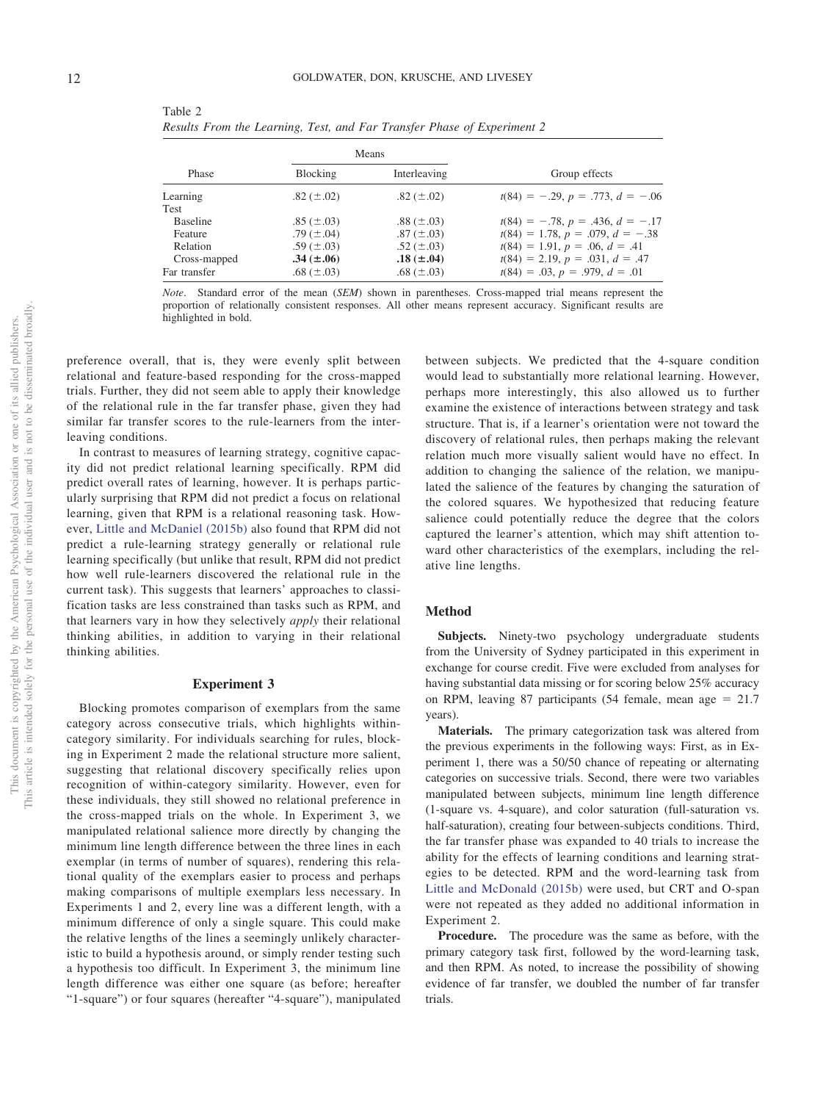|                  |                   | Means             |                                       |
|------------------|-------------------|-------------------|---------------------------------------|
| Phase            | Blocking          | Interleaving      | Group effects                         |
| Learning<br>Test | .82 $(\pm .02)$   | .82 $(\pm .02)$   | $t(84) = -0.29, p = 0.773, d = -0.06$ |
| <b>Baseline</b>  | .85 $(\pm .03)$   | .88 $(\pm .03)$   | $t(84) = -.78, p = .436, d = -.17$    |
| Feature          | .79 $(\pm .04)$   | .87 $(\pm .03)$   | $t(84) = 1.78, p = .079, d = -.38$    |
| Relation         | .59 $(\pm .03)$   | .52 $(\pm .03)$   | $t(84) = 1.91, p = .06, d = .41$      |
| Cross-mapped     | $.34 \ (\pm .06)$ | $.18 \ (\pm .04)$ | $t(84) = 2.19, p = .031, d = .47$     |
| Far transfer     | .68 $(\pm .03)$   | .68 $(\pm .03)$   | $t(84) = .03, p = .979, d = .01$      |

<span id="page-11-0"></span>Table 2 *Results From the Learning, Test, and Far Transfer Phase of Experiment 2*

*Note*. Standard error of the mean (*SEM*) shown in parentheses. Cross-mapped trial means represent the proportion of relationally consistent responses. All other means represent accuracy. Significant results are highlighted in bold.

preference overall, that is, they were evenly split between relational and feature-based responding for the cross-mapped trials. Further, they did not seem able to apply their knowledge of the relational rule in the far transfer phase, given they had similar far transfer scores to the rule-learners from the interleaving conditions.

In contrast to measures of learning strategy, cognitive capacity did not predict relational learning specifically. RPM did predict overall rates of learning, however. It is perhaps particularly surprising that RPM did not predict a focus on relational learning, given that RPM is a relational reasoning task. However, [Little and McDaniel \(2015b\)](#page-23-10) also found that RPM did not predict a rule-learning strategy generally or relational rule learning specifically (but unlike that result, RPM did not predict how well rule-learners discovered the relational rule in the current task). This suggests that learners' approaches to classification tasks are less constrained than tasks such as RPM, and that learners vary in how they selectively *apply* their relational thinking abilities, in addition to varying in their relational thinking abilities.

#### **Experiment 3**

Blocking promotes comparison of exemplars from the same category across consecutive trials, which highlights withincategory similarity. For individuals searching for rules, blocking in Experiment 2 made the relational structure more salient, suggesting that relational discovery specifically relies upon recognition of within-category similarity. However, even for these individuals, they still showed no relational preference in the cross-mapped trials on the whole. In Experiment 3, we manipulated relational salience more directly by changing the minimum line length difference between the three lines in each exemplar (in terms of number of squares), rendering this relational quality of the exemplars easier to process and perhaps making comparisons of multiple exemplars less necessary. In Experiments 1 and 2, every line was a different length, with a minimum difference of only a single square. This could make the relative lengths of the lines a seemingly unlikely characteristic to build a hypothesis around, or simply render testing such a hypothesis too difficult. In Experiment 3, the minimum line length difference was either one square (as before; hereafter "1-square") or four squares (hereafter "4-square"), manipulated

between subjects. We predicted that the 4-square condition would lead to substantially more relational learning. However, perhaps more interestingly, this also allowed us to further examine the existence of interactions between strategy and task structure. That is, if a learner's orientation were not toward the discovery of relational rules, then perhaps making the relevant relation much more visually salient would have no effect. In addition to changing the salience of the relation, we manipulated the salience of the features by changing the saturation of the colored squares. We hypothesized that reducing feature salience could potentially reduce the degree that the colors captured the learner's attention, which may shift attention toward other characteristics of the exemplars, including the relative line lengths.

## **Method**

**Subjects.** Ninety-two psychology undergraduate students from the University of Sydney participated in this experiment in exchange for course credit. Five were excluded from analyses for having substantial data missing or for scoring below 25% accuracy on RPM, leaving 87 participants  $(54 \text{ female}, \text{ mean age} = 21.7)$ years).

**Materials.** The primary categorization task was altered from the previous experiments in the following ways: First, as in Experiment 1, there was a 50/50 chance of repeating or alternating categories on successive trials. Second, there were two variables manipulated between subjects, minimum line length difference (1-square vs. 4-square), and color saturation (full-saturation vs. half-saturation), creating four between-subjects conditions. Third, the far transfer phase was expanded to 40 trials to increase the ability for the effects of learning conditions and learning strategies to be detected. RPM and the word-learning task from [Little and McDonald \(2015b\)](#page-23-10) were used, but CRT and O-span were not repeated as they added no additional information in Experiment 2.

**Procedure.** The procedure was the same as before, with the primary category task first, followed by the word-learning task, and then RPM. As noted, to increase the possibility of showing evidence of far transfer, we doubled the number of far transfer trials.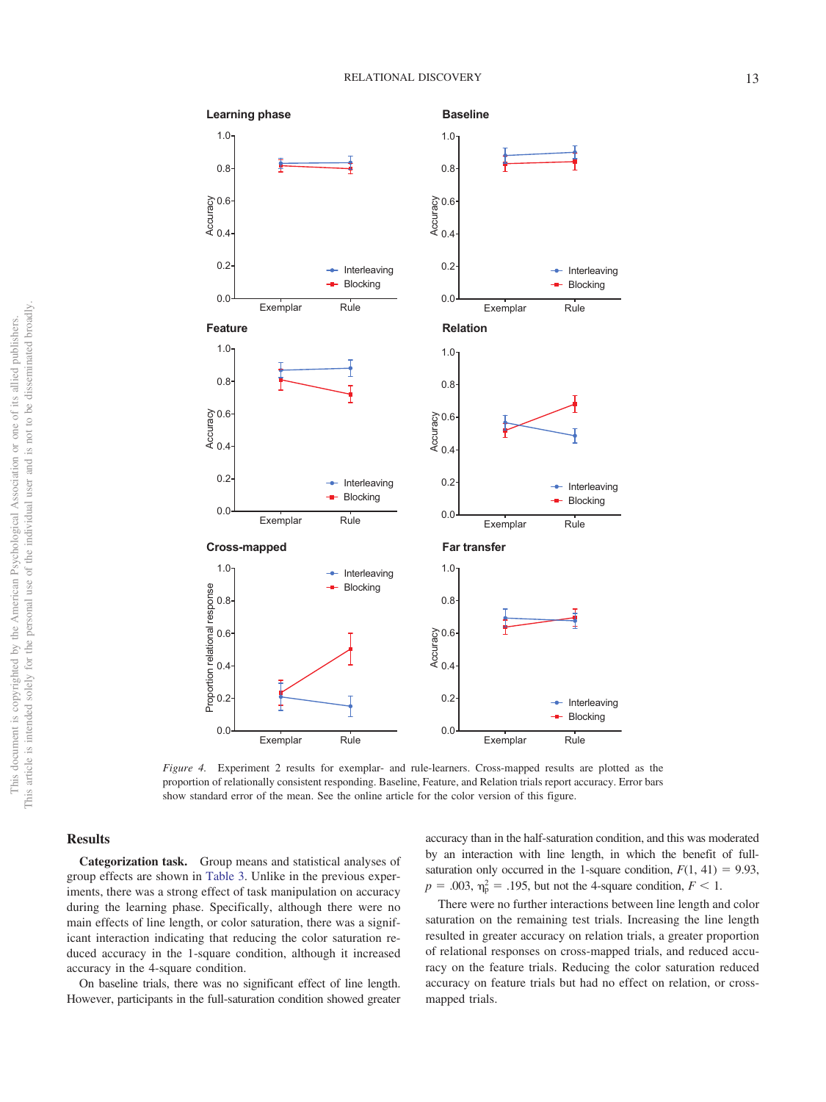

<span id="page-12-0"></span>*Figure 4.* Experiment 2 results for exemplar- and rule-learners. Cross-mapped results are plotted as the proportion of relationally consistent responding. Baseline, Feature, and Relation trials report accuracy. Error bars show standard error of the mean. See the online article for the color version of this figure.

#### **Results**

**Categorization task.** Group means and statistical analyses of group effects are shown in [Table 3.](#page-13-0) Unlike in the previous experiments, there was a strong effect of task manipulation on accuracy during the learning phase. Specifically, although there were no main effects of line length, or color saturation, there was a significant interaction indicating that reducing the color saturation reduced accuracy in the 1-square condition, although it increased accuracy in the 4-square condition.

On baseline trials, there was no significant effect of line length. However, participants in the full-saturation condition showed greater accuracy than in the half-saturation condition, and this was moderated by an interaction with line length, in which the benefit of fullsaturation only occurred in the 1-square condition,  $F(1, 41) = 9.93$ ,  $p = .003$ ,  $\eta_p^2 = .195$ , but not the 4-square condition,  $F < 1$ .

There were no further interactions between line length and color saturation on the remaining test trials. Increasing the line length resulted in greater accuracy on relation trials, a greater proportion of relational responses on cross-mapped trials, and reduced accuracy on the feature trials. Reducing the color saturation reduced accuracy on feature trials but had no effect on relation, or crossmapped trials.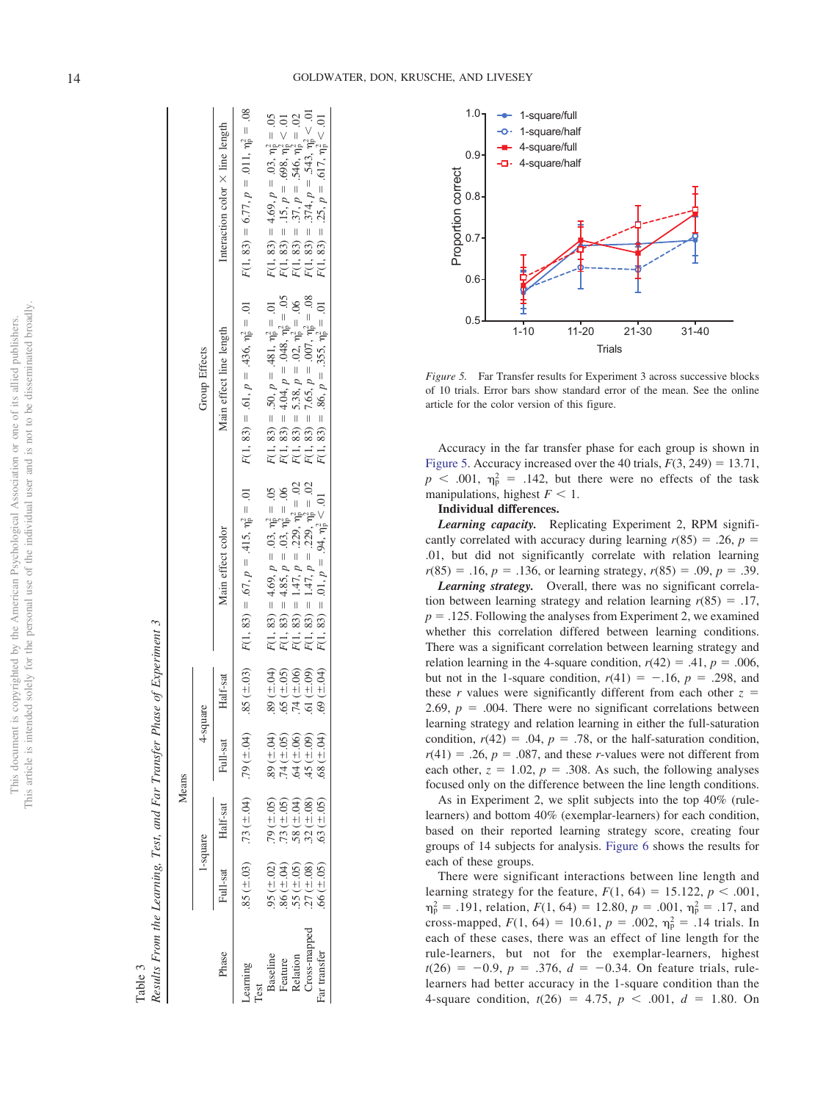Results From the Learning, Test, and Far Transfer Phase of Experiment 3 Results From the Learning, Test, and Far Transfer Phase of Experiment 3 Table 3

|                |                                                              | Means                                                                            |                                                          |                  |                                                                                                                                                                                                                                                    |                                                                                                                                                                                                                                                                                                       |                                                                                                                                                                                                                                     |
|----------------|--------------------------------------------------------------|----------------------------------------------------------------------------------|----------------------------------------------------------|------------------|----------------------------------------------------------------------------------------------------------------------------------------------------------------------------------------------------------------------------------------------------|-------------------------------------------------------------------------------------------------------------------------------------------------------------------------------------------------------------------------------------------------------------------------------------------------------|-------------------------------------------------------------------------------------------------------------------------------------------------------------------------------------------------------------------------------------|
|                |                                                              | l-square                                                                         | 4-square                                                 |                  |                                                                                                                                                                                                                                                    | Group Effects                                                                                                                                                                                                                                                                                         |                                                                                                                                                                                                                                     |
| Phase          | hill-sat                                                     | Half-sat                                                                         | Full-sat                                                 | Half-sat         | Main effect color                                                                                                                                                                                                                                  | Main effect line length                                                                                                                                                                                                                                                                               | Interaction color $\times$ line length                                                                                                                                                                                              |
| earning<br>est |                                                              | $(4.03)$ . 73 ( $\pm .04$ )                                                      | $(10.1)$ 6.                                              | $(50 \pm 0.85)$  | $F(1, 83) = .67, p = .415, \eta_0^2 = .01$                                                                                                                                                                                                         | $F(1, 83) = .61, p = .436, \eta_{\rm p}^2 = .01$                                                                                                                                                                                                                                                      | $F(1, 83) = 6.77, p = .011, \eta_0^2 = .08$                                                                                                                                                                                         |
| saseline       |                                                              |                                                                                  | $(10.1)$ 68                                              | $(50 \pm 0.04)$  |                                                                                                                                                                                                                                                    |                                                                                                                                                                                                                                                                                                       |                                                                                                                                                                                                                                     |
| eature         |                                                              |                                                                                  |                                                          | $.65 (\pm .05)$  |                                                                                                                                                                                                                                                    |                                                                                                                                                                                                                                                                                                       |                                                                                                                                                                                                                                     |
| Relation       |                                                              |                                                                                  |                                                          | $.74 (\pm .06)$  |                                                                                                                                                                                                                                                    |                                                                                                                                                                                                                                                                                                       |                                                                                                                                                                                                                                     |
| ross-mapped    | $.95 (+ 02)$<br>$.86 (+ 04)$<br>$.55 (+ 05)$<br>$.27 (+ 08)$ | $.79 \ (\pm .05)$<br>$.73 \ (\pm .04)$<br>$.58 \ (\pm .04)$<br>$.32 \ (\pm .08)$ | 74 ( $\pm .05$ )<br>64 ( $\pm .06$ )<br>45 ( $\pm .09$ ) | $.61 (\pm .09)$  |                                                                                                                                                                                                                                                    |                                                                                                                                                                                                                                                                                                       |                                                                                                                                                                                                                                     |
| ır transfer    | $6(6 \pm .05)$                                               | $63 (\pm .05)$                                                                   | $-10^{1.1}$ 8                                            | 69 ( $\pm .04$ ) | F(1, 83) = 4.69, $p = .03$ , $\eta_1^2 = .05$<br>F(1, 83) = 4.85, $p = .03$ , $\eta_1^2 = .06$<br>F(1, 83) = 1.47, $p = .229$ , $\eta_1^2 = .02$<br>F(1, 83) = 1.47, $p = .229$ , $\eta_1^2 = .02$<br>F(1, 83) = .01, $p = .29$ , $\eta_1^2 = .02$ | F(1, 83) = .50, $p = .481$ , $\eta_{\parallel}^2 = .01$<br>F(1, 83) = 4.04, $p = .048$ , $\eta_{\parallel}^2 = .05$<br>F(1, 83) = 5.38, $p = .02$ , $\eta_{\parallel}^2 = .06$<br>F(1, 83) = 7.65, $p = .007$ , $\eta_{\parallel}^2 = .08$<br>F(1, 83) = .86, $p = .355$ , $\eta_{\parallel}^2 = .01$ | $F(1, 83) = 4.69, p = .03, \eta_1^2 = .05$<br>$F(1, 83) = .15, p = .698, \eta_1^2 < .01$<br>$F(1, 83) = .37, p = .546, \eta_1^2 = .02$<br>$F(1, 83) = .374, p = .543, \eta_1^2 < .01$<br>$F(1, 83) = .25, p = .617, \eta_1^2 < .01$ |
|                |                                                              |                                                                                  |                                                          |                  |                                                                                                                                                                                                                                                    |                                                                                                                                                                                                                                                                                                       |                                                                                                                                                                                                                                     |



<span id="page-13-1"></span>*Figure 5.* Far Transfer results for Experiment 3 across successive blocks of 10 trials. Error bars show standard error of the mean. See the online article for the color version of this figure.

Accuracy in the far transfer phase for each group is shown in [Figure 5.](#page-13-1) Accuracy increased over the 40 trials,  $F(3, 249) = 13.71$ ,  $p \leq 0.001$ ,  $\eta_p^2 = 0.142$ , but there were no effects of the task manipulations, highest  $F \leq 1$ .

#### **Individual differences.**

*Learning capacity.* Replicating Experiment 2, RPM significantly correlated with accuracy during learning  $r(85) = .26$ ,  $p =$ .01, but did not significantly correlate with relation learning  $r(85) = .16, p = .136$ , or learning strategy,  $r(85) = .09, p = .39$ .

*Learning strategy.* Overall, there was no significant correlation between learning strategy and relation learning  $r(85) = .17$ ,  $p = 0.125$ . Following the analyses from Experiment 2, we examined whether this correlation differed between learning conditions. There was a significant correlation between learning strategy and relation learning in the 4-square condition,  $r(42) = .41$ ,  $p = .006$ , but not in the 1-square condition,  $r(41) = -.16$ ,  $p = .298$ , and these *r* values were significantly different from each other  $z =$ 2.69,  $p = .004$ . There were no significant correlations between learning strategy and relation learning in either the full-saturation condition,  $r(42) = .04$ ,  $p = .78$ , or the half-saturation condition,  $r(41) = .26$ ,  $p = .087$ , and these *r*-values were not different from each other,  $z = 1.02$ ,  $p = .308$ . As such, the following analyses focused only on the difference between the line length conditions.

As in Experiment 2, we split subjects into the top 40% (rulelearners) and bottom 40% (exemplar-learners) for each condition, based on their reported learning strategy score, creating four groups of 14 subjects for analysis. [Figure 6](#page-14-0) shows the results for each of these groups.

<span id="page-13-0"></span>There were significant interactions between line length and learning strategy for the feature,  $F(1, 64) = 15.122$ ,  $p < .001$ ,  $\eta_p^2 = .191$ , relation,  $F(1, 64) = 12.80$ ,  $p = .001$ ,  $\eta_p^2 = .17$ , and cross-mapped,  $F(1, 64) = 10.61$ ,  $p = .002$ ,  $\eta_p^2 = .14$  trials. In each of these cases, there was an effect of line length for the rule-learners, but not for the exemplar-learners, highest  $t(26) = -0.9, p = .376, d = -0.34$ . On feature trials, rulelearners had better accuracy in the 1-square condition than the 4-square condition,  $t(26) = 4.75$ ,  $p < .001$ ,  $d = 1.80$ . On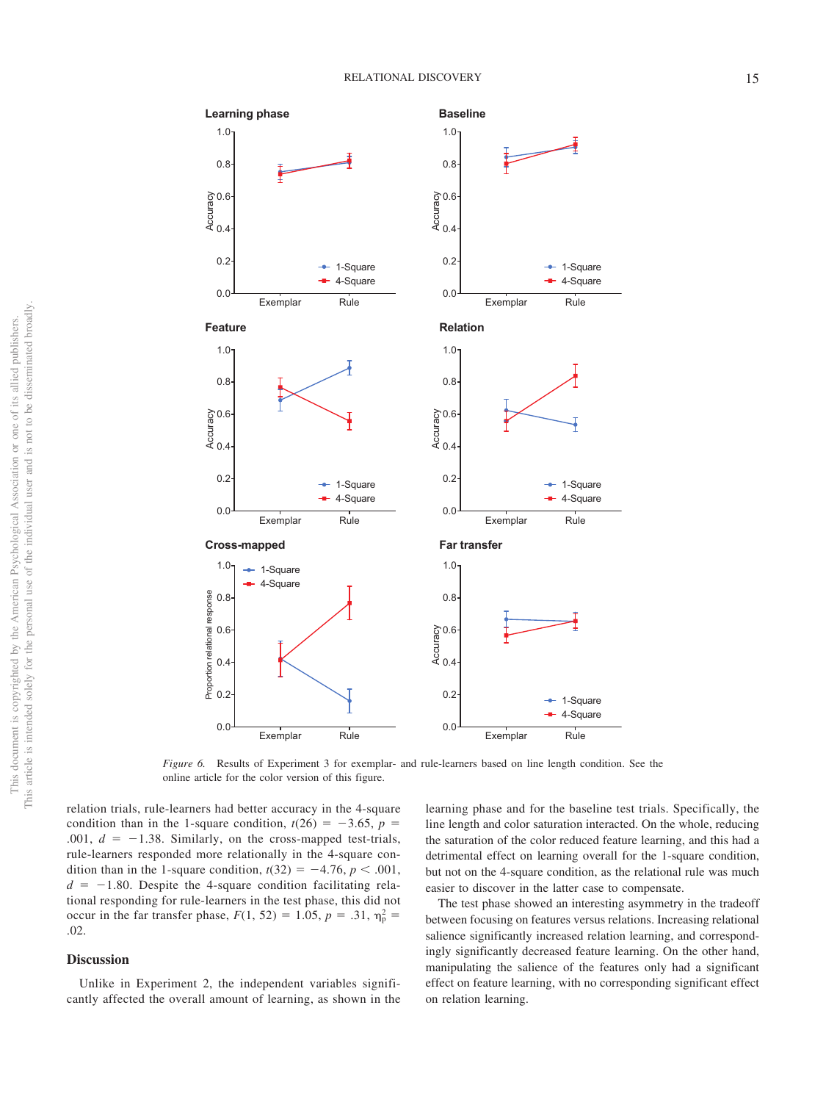

<span id="page-14-0"></span>*Figure 6.* Results of Experiment 3 for exemplar- and rule-learners based on line length condition. See the online article for the color version of this figure.

relation trials, rule-learners had better accuracy in the 4-square condition than in the 1-square condition,  $t(26) = -3.65$ ,  $p =$ .001,  $d = -1.38$ . Similarly, on the cross-mapped test-trials, rule-learners responded more relationally in the 4-square condition than in the 1-square condition,  $t(32) = -4.76$ ,  $p < .001$ ,  $d = -1.80$ . Despite the 4-square condition facilitating relational responding for rule-learners in the test phase, this did not occur in the far transfer phase,  $F(1, 52) = 1.05$ ,  $p = .31$ ,  $\eta_p^2 =$ .02.

## **Discussion**

Unlike in Experiment 2, the independent variables significantly affected the overall amount of learning, as shown in the

learning phase and for the baseline test trials. Specifically, the line length and color saturation interacted. On the whole, reducing the saturation of the color reduced feature learning, and this had a detrimental effect on learning overall for the 1-square condition, but not on the 4-square condition, as the relational rule was much easier to discover in the latter case to compensate.

The test phase showed an interesting asymmetry in the tradeoff between focusing on features versus relations. Increasing relational salience significantly increased relation learning, and correspondingly significantly decreased feature learning. On the other hand, manipulating the salience of the features only had a significant effect on feature learning, with no corresponding significant effect on relation learning.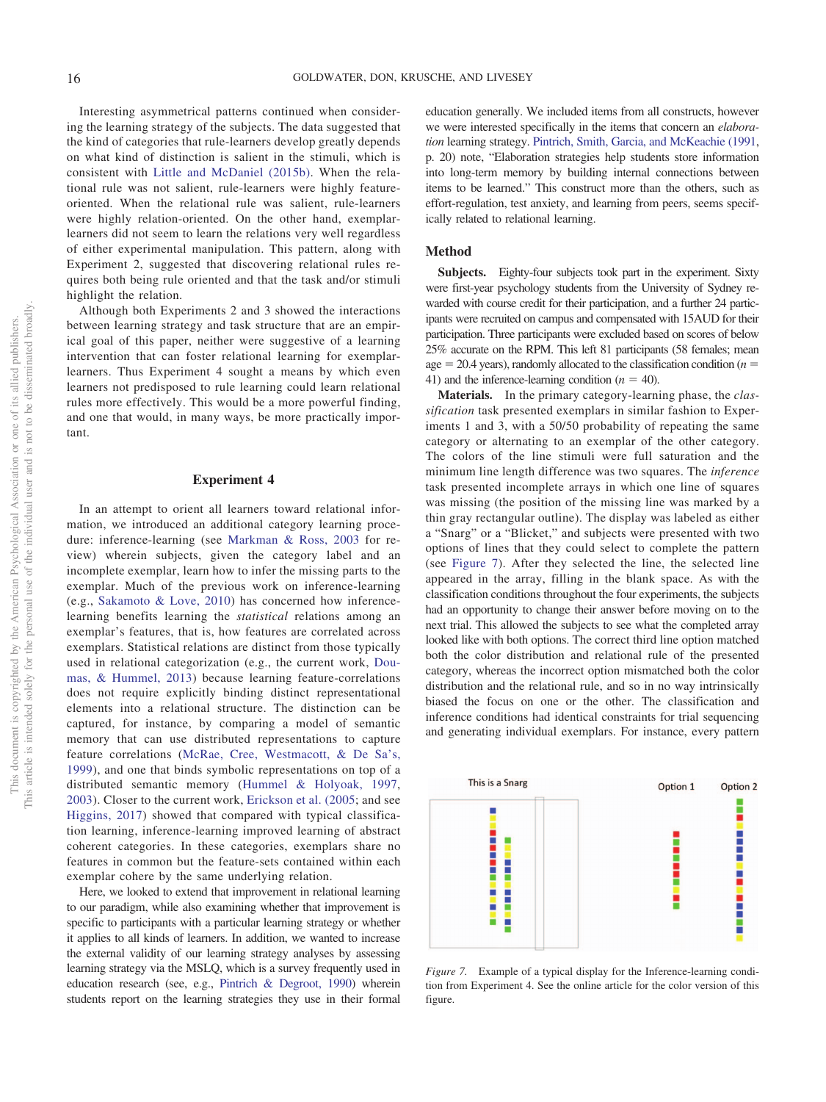Interesting asymmetrical patterns continued when considering the learning strategy of the subjects. The data suggested that the kind of categories that rule-learners develop greatly depends on what kind of distinction is salient in the stimuli, which is consistent with [Little and McDaniel \(2015b\).](#page-23-10) When the relational rule was not salient, rule-learners were highly featureoriented. When the relational rule was salient, rule-learners were highly relation-oriented. On the other hand, exemplarlearners did not seem to learn the relations very well regardless of either experimental manipulation. This pattern, along with Experiment 2, suggested that discovering relational rules requires both being rule oriented and that the task and/or stimuli highlight the relation.

Although both Experiments 2 and 3 showed the interactions between learning strategy and task structure that are an empirical goal of this paper, neither were suggestive of a learning intervention that can foster relational learning for exemplarlearners. Thus Experiment 4 sought a means by which even learners not predisposed to rule learning could learn relational rules more effectively. This would be a more powerful finding, and one that would, in many ways, be more practically important.

#### **Experiment 4**

In an attempt to orient all learners toward relational information, we introduced an additional category learning procedure: inference-learning (see [Markman & Ross, 2003](#page-23-21) for review) wherein subjects, given the category label and an incomplete exemplar, learn how to infer the missing parts to the exemplar. Much of the previous work on inference-learning (e.g., [Sakamoto & Love, 2010\)](#page-24-15) has concerned how inferencelearning benefits learning the *statistical* relations among an exemplar's features, that is, how features are correlated across exemplars. Statistical relations are distinct from those typically used in relational categorization (e.g., the current work, [Dou](#page-22-8)[mas, & Hummel, 2013\)](#page-22-8) because learning feature-correlations does not require explicitly binding distinct representational elements into a relational structure. The distinction can be captured, for instance, by comparing a model of semantic memory that can use distributed representations to capture feature correlations [\(McRae, Cree, Westmacott, & De Sa's,](#page-24-24) [1999\)](#page-24-24), and one that binds symbolic representations on top of a distributed semantic memory [\(Hummel & Holyoak, 1997,](#page-23-13) [2003\)](#page-23-6). Closer to the current work, [Erickson et al. \(2005;](#page-22-21) and see [Higgins, 2017\)](#page-23-29) showed that compared with typical classification learning, inference-learning improved learning of abstract coherent categories. In these categories, exemplars share no features in common but the feature-sets contained within each exemplar cohere by the same underlying relation.

Here, we looked to extend that improvement in relational learning to our paradigm, while also examining whether that improvement is specific to participants with a particular learning strategy or whether it applies to all kinds of learners. In addition, we wanted to increase the external validity of our learning strategy analyses by assessing learning strategy via the MSLQ, which is a survey frequently used in education research (see, e.g., [Pintrich & Degroot, 1990\)](#page-24-18) wherein students report on the learning strategies they use in their formal

education generally. We included items from all constructs, however we were interested specifically in the items that concern an *elaboration* learning strategy. [Pintrich, Smith, Garcia, and McKeachie \(1991,](#page-24-25) p. 20) note, "Elaboration strategies help students store information into long-term memory by building internal connections between items to be learned." This construct more than the others, such as effort-regulation, test anxiety, and learning from peers, seems specifically related to relational learning.

## **Method**

**Subjects.** Eighty-four subjects took part in the experiment. Sixty were first-year psychology students from the University of Sydney rewarded with course credit for their participation, and a further 24 participants were recruited on campus and compensated with 15AUD for their participation. Three participants were excluded based on scores of below 25% accurate on the RPM. This left 81 participants (58 females; mean  $age = 20.4$  years), randomly allocated to the classification condition ( $n =$ 41) and the inference-learning condition  $(n = 40)$ .

**Materials.** In the primary category-learning phase, the *classification* task presented exemplars in similar fashion to Experiments 1 and 3, with a 50/50 probability of repeating the same category or alternating to an exemplar of the other category. The colors of the line stimuli were full saturation and the minimum line length difference was two squares. The *inference* task presented incomplete arrays in which one line of squares was missing (the position of the missing line was marked by a thin gray rectangular outline). The display was labeled as either a "Snarg" or a "Blicket," and subjects were presented with two options of lines that they could select to complete the pattern (see [Figure 7\)](#page-15-0). After they selected the line, the selected line appeared in the array, filling in the blank space. As with the classification conditions throughout the four experiments, the subjects had an opportunity to change their answer before moving on to the next trial. This allowed the subjects to see what the completed array looked like with both options. The correct third line option matched both the color distribution and relational rule of the presented category, whereas the incorrect option mismatched both the color distribution and the relational rule, and so in no way intrinsically biased the focus on one or the other. The classification and inference conditions had identical constraints for trial sequencing and generating individual exemplars. For instance, every pattern



<span id="page-15-0"></span>*Figure 7.* Example of a typical display for the Inference-learning condition from Experiment 4. See the online article for the color version of this figure.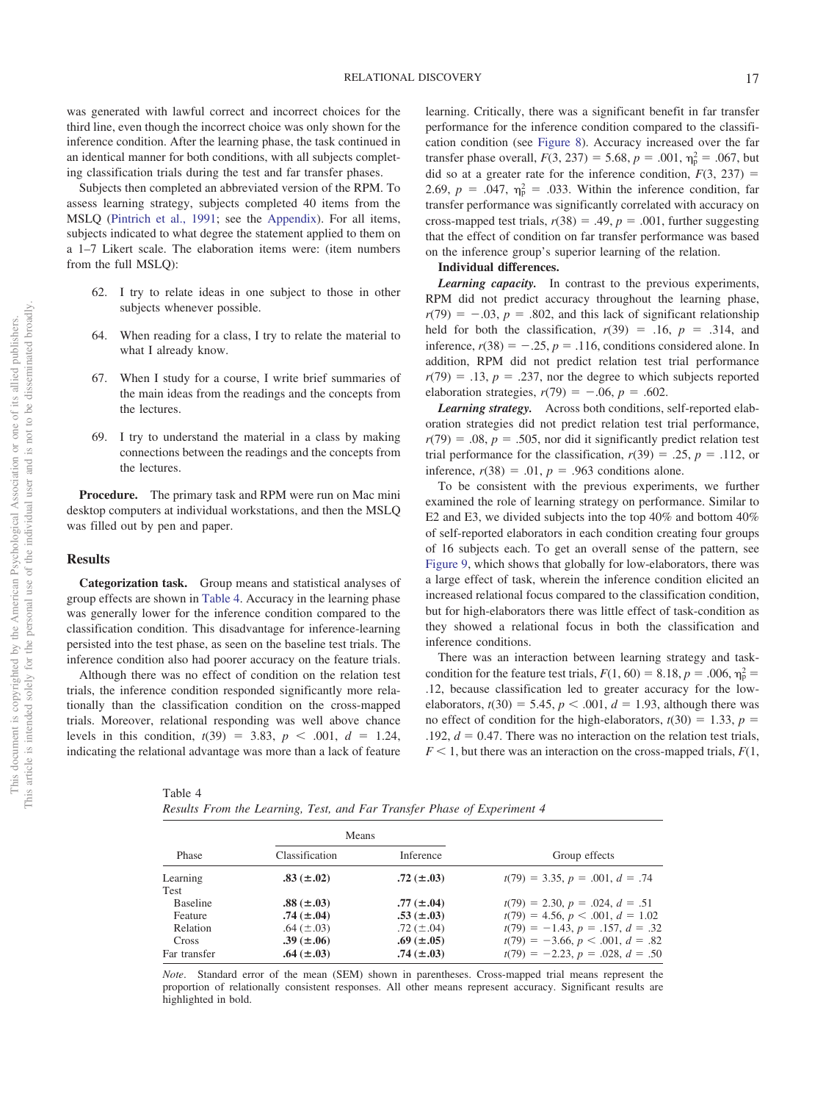was generated with lawful correct and incorrect choices for the third line, even though the incorrect choice was only shown for the inference condition. After the learning phase, the task continued in an identical manner for both conditions, with all subjects completing classification trials during the test and far transfer phases.

Subjects then completed an abbreviated version of the RPM. To assess learning strategy, subjects completed 40 items from the MSLQ [\(Pintrich et al., 1991;](#page-24-25) see the [Appendix\)](#page-26-0). For all items, subjects indicated to what degree the statement applied to them on a 1–7 Likert scale. The elaboration items were: (item numbers from the full MSLQ):

- 62. I try to relate ideas in one subject to those in other subjects whenever possible.
- 64. When reading for a class, I try to relate the material to what I already know.
- 67. When I study for a course, I write brief summaries of the main ideas from the readings and the concepts from the lectures.
- 69. I try to understand the material in a class by making connections between the readings and the concepts from the lectures.

**Procedure.** The primary task and RPM were run on Mac mini desktop computers at individual workstations, and then the MSLQ was filled out by pen and paper.

#### **Results**

**Categorization task.** Group means and statistical analyses of group effects are shown in [Table 4.](#page-16-0) Accuracy in the learning phase was generally lower for the inference condition compared to the classification condition. This disadvantage for inference-learning persisted into the test phase, as seen on the baseline test trials. The inference condition also had poorer accuracy on the feature trials.

Although there was no effect of condition on the relation test trials, the inference condition responded significantly more relationally than the classification condition on the cross-mapped trials. Moreover, relational responding was well above chance levels in this condition,  $t(39) = 3.83$ ,  $p < .001$ ,  $d = 1.24$ , indicating the relational advantage was more than a lack of feature

<span id="page-16-0"></span>Table 4

| Results From the Learning, Test, and Far Transfer Phase of Experiment 4 |  |  |
|-------------------------------------------------------------------------|--|--|
|-------------------------------------------------------------------------|--|--|

| learning. Critically, there was a significant benefit in far transfer             |
|-----------------------------------------------------------------------------------|
| performance for the inference condition compared to the classifi-                 |
| cation condition (see Figure 8). Accuracy increased over the far                  |
| transfer phase overall, $F(3, 237) = 5.68$ , $p = .001$ , $\eta_p^2 = .067$ , but |
| did so at a greater rate for the inference condition, $F(3, 237) =$               |
| 2.69, $p = .047$ , $\eta_p^2 = .033$ . Within the inference condition, far        |
| transfer performance was significantly correlated with accuracy on                |
| cross-mapped test trials, $r(38) = .49$ , $p = .001$ , further suggesting         |
| that the effect of condition on far transfer performance was based                |
| on the inference group's superior learning of the relation.                       |
|                                                                                   |

## **Individual differences.**

*Learning capacity.* In contrast to the previous experiments, RPM did not predict accuracy throughout the learning phase,  $r(79) = -.03$ ,  $p = .802$ , and this lack of significant relationship held for both the classification,  $r(39) = .16$ ,  $p = .314$ , and inference,  $r(38) = -.25$ ,  $p = .116$ , conditions considered alone. In addition, RPM did not predict relation test trial performance  $r(79) = .13$ ,  $p = .237$ , nor the degree to which subjects reported elaboration strategies,  $r(79) = -.06$ ,  $p = .602$ .

*Learning strategy.* Across both conditions, self-reported elaboration strategies did not predict relation test trial performance,  $r(79) = .08$ ,  $p = .505$ , nor did it significantly predict relation test trial performance for the classification,  $r(39) = .25$ ,  $p = .112$ , or inference,  $r(38) = .01$ ,  $p = .963$  conditions alone.

To be consistent with the previous experiments, we further examined the role of learning strategy on performance. Similar to E2 and E3, we divided subjects into the top 40% and bottom 40% of self-reported elaborators in each condition creating four groups of 16 subjects each. To get an overall sense of the pattern, see [Figure 9,](#page-18-0) which shows that globally for low-elaborators, there was a large effect of task, wherein the inference condition elicited an increased relational focus compared to the classification condition, but for high-elaborators there was little effect of task-condition as they showed a relational focus in both the classification and inference conditions.

There was an interaction between learning strategy and taskcondition for the feature test trials,  $F(1, 60) = 8.18$ ,  $p = .006$ ,  $\eta_p^2 =$ .12, because classification led to greater accuracy for the lowelaborators,  $t(30) = 5.45$ ,  $p < .001$ ,  $d = 1.93$ , although there was no effect of condition for the high-elaborators,  $t(30) = 1.33$ ,  $p =$  $.192, d = 0.47$ . There was no interaction on the relation test trials,  $F < 1$ , but there was an interaction on the cross-mapped trials,  $F(1, 1)$ 

|                                                 | Means                                                                      |                                                                            |                                                                                                                                                     |
|-------------------------------------------------|----------------------------------------------------------------------------|----------------------------------------------------------------------------|-----------------------------------------------------------------------------------------------------------------------------------------------------|
| Phase                                           | Classification                                                             | Inference                                                                  | Group effects                                                                                                                                       |
| Learning<br>Test                                | $.83 \ (\pm .02)$                                                          | $.72 \ (\pm .03)$                                                          | $t(79) = 3.35, p = .001, d = .74$                                                                                                                   |
| <b>Baseline</b><br>Feature<br>Relation<br>Cross | $.88 \ (\pm .03)$<br>$.74~(\pm .04)$<br>.64 $(\pm .03)$<br>.39 $(\pm .06)$ | $.77~(\pm .04)$<br>$.53 \ (\pm .03)$<br>.72 $(\pm .04)$<br>.69 $(\pm .05)$ | $t(79) = 2.30, p = .024, d = .51$<br>$t(79) = 4.56, p < .001, d = 1.02$<br>$t(79) = -1.43, p = .157, d = .32$<br>$t(79) = -3.66, p < .001, d = .82$ |
| Far transfer                                    | .64 $(\pm .03)$                                                            | $.74 \ (\pm .03)$                                                          | $t(79) = -2.23, p = .028, d = .50$                                                                                                                  |

*Note*. Standard error of the mean (SEM) shown in parentheses. Cross-mapped trial means represent the proportion of relationally consistent responses. All other means represent accuracy. Significant results are highlighted in bold.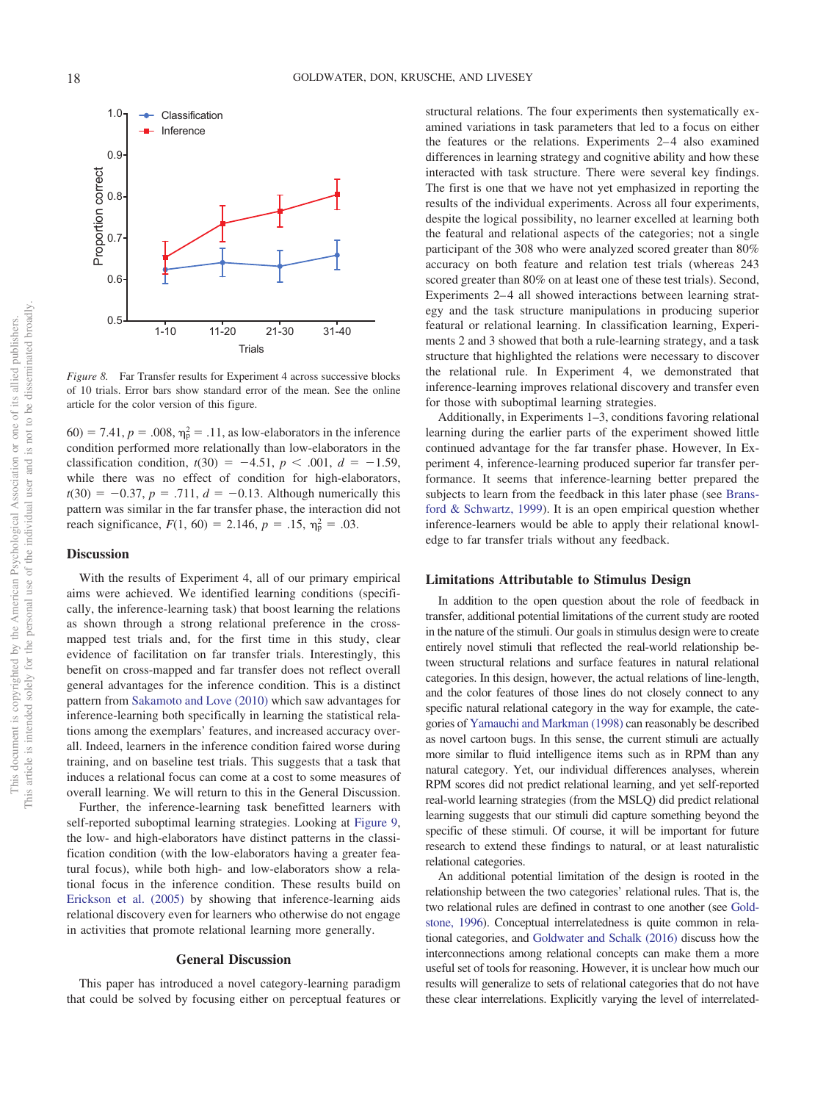Inference Proportion correct  $0.6$  $0.5$  $1 - 10$ 1-10 1-10 1-20 21-40 21-40 21-40 22-40 22-40 22-40 22-40 22-40 22-40 22-40 22-40 22-40 22-40 22-40 22-40 22-40<br>1-10 21-40 22-40 22-40 22-40 22-40 22-40 22-40 22-40 22-40 22-40 22-40 22-40 22-40 22-40 22-40 22-40 22-40 22-

<span id="page-17-0"></span>*Figure 8.* Far Transfer results for Experiment 4 across successive blocks of 10 trials. Error bars show standard error of the mean. See the online article for the color version of this figure.

 $(60) = 7.41, p = .008, \eta_{\rm p}^2 = .11,$  as low-elaborators in the inference condition performed more relationally than low-elaborators in the classification condition,  $t(30) = -4.51$ ,  $p < .001$ ,  $d = -1.59$ , while there was no effect of condition for high-elaborators,  $t(30) = -0.37, p = .711, d = -0.13$ . Although numerically this pattern was similar in the far transfer phase, the interaction did not reach significance,  $F(1, 60) = 2.146$ ,  $p = .15$ ,  $\eta_p^2 = .03$ .

#### **Discussion**

With the results of Experiment 4, all of our primary empirical aims were achieved. We identified learning conditions (specifically, the inference-learning task) that boost learning the relations as shown through a strong relational preference in the crossmapped test trials and, for the first time in this study, clear evidence of facilitation on far transfer trials. Interestingly, this benefit on cross-mapped and far transfer does not reflect overall general advantages for the inference condition. This is a distinct pattern from [Sakamoto and Love \(2010\)](#page-24-15) which saw advantages for inference-learning both specifically in learning the statistical relations among the exemplars' features, and increased accuracy overall. Indeed, learners in the inference condition faired worse during training, and on baseline test trials. This suggests that a task that induces a relational focus can come at a cost to some measures of overall learning. We will return to this in the General Discussion.

Further, the inference-learning task benefitted learners with self-reported suboptimal learning strategies. Looking at [Figure 9,](#page-18-0) the low- and high-elaborators have distinct patterns in the classification condition (with the low-elaborators having a greater featural focus), while both high- and low-elaborators show a relational focus in the inference condition. These results build on [Erickson et al. \(2005\)](#page-22-21) by showing that inference-learning aids relational discovery even for learners who otherwise do not engage in activities that promote relational learning more generally.

#### **General Discussion**

This paper has introduced a novel category-learning paradigm that could be solved by focusing either on perceptual features or structural relations. The four experiments then systematically examined variations in task parameters that led to a focus on either the features or the relations. Experiments 2–4 also examined differences in learning strategy and cognitive ability and how these interacted with task structure. There were several key findings. The first is one that we have not yet emphasized in reporting the results of the individual experiments. Across all four experiments, despite the logical possibility, no learner excelled at learning both the featural and relational aspects of the categories; not a single participant of the 308 who were analyzed scored greater than 80% accuracy on both feature and relation test trials (whereas 243 scored greater than 80% on at least one of these test trials). Second, Experiments 2–4 all showed interactions between learning strategy and the task structure manipulations in producing superior featural or relational learning. In classification learning, Experiments 2 and 3 showed that both a rule-learning strategy, and a task structure that highlighted the relations were necessary to discover the relational rule. In Experiment 4, we demonstrated that inference-learning improves relational discovery and transfer even for those with suboptimal learning strategies.

Additionally, in Experiments 1–3, conditions favoring relational learning during the earlier parts of the experiment showed little continued advantage for the far transfer phase. However, In Experiment 4, inference-learning produced superior far transfer performance. It seems that inference-learning better prepared the subjects to learn from the feedback in this later phase (see [Brans](#page-22-18)[ford & Schwartz, 1999\)](#page-22-18). It is an open empirical question whether inference-learners would be able to apply their relational knowledge to far transfer trials without any feedback.

#### **Limitations Attributable to Stimulus Design**

In addition to the open question about the role of feedback in transfer, additional potential limitations of the current study are rooted in the nature of the stimuli. Our goals in stimulus design were to create entirely novel stimuli that reflected the real-world relationship between structural relations and surface features in natural relational categories. In this design, however, the actual relations of line-length, and the color features of those lines do not closely connect to any specific natural relational category in the way for example, the categories of [Yamauchi and Markman \(1998\)](#page-25-11) can reasonably be described as novel cartoon bugs. In this sense, the current stimuli are actually more similar to fluid intelligence items such as in RPM than any natural category. Yet, our individual differences analyses, wherein RPM scores did not predict relational learning, and yet self-reported real-world learning strategies (from the MSLQ) did predict relational learning suggests that our stimuli did capture something beyond the specific of these stimuli. Of course, it will be important for future research to extend these findings to natural, or at least naturalistic relational categories.

An additional potential limitation of the design is rooted in the relationship between the two categories' relational rules. That is, the two relational rules are defined in contrast to one another (see [Gold](#page-22-30)[stone, 1996\)](#page-22-30). Conceptual interrelatedness is quite common in relational categories, and [Goldwater and Schalk \(2016\)](#page-23-3) discuss how the interconnections among relational concepts can make them a more useful set of tools for reasoning. However, it is unclear how much our results will generalize to sets of relational categories that do not have these clear interrelations. Explicitly varying the level of interrelated-

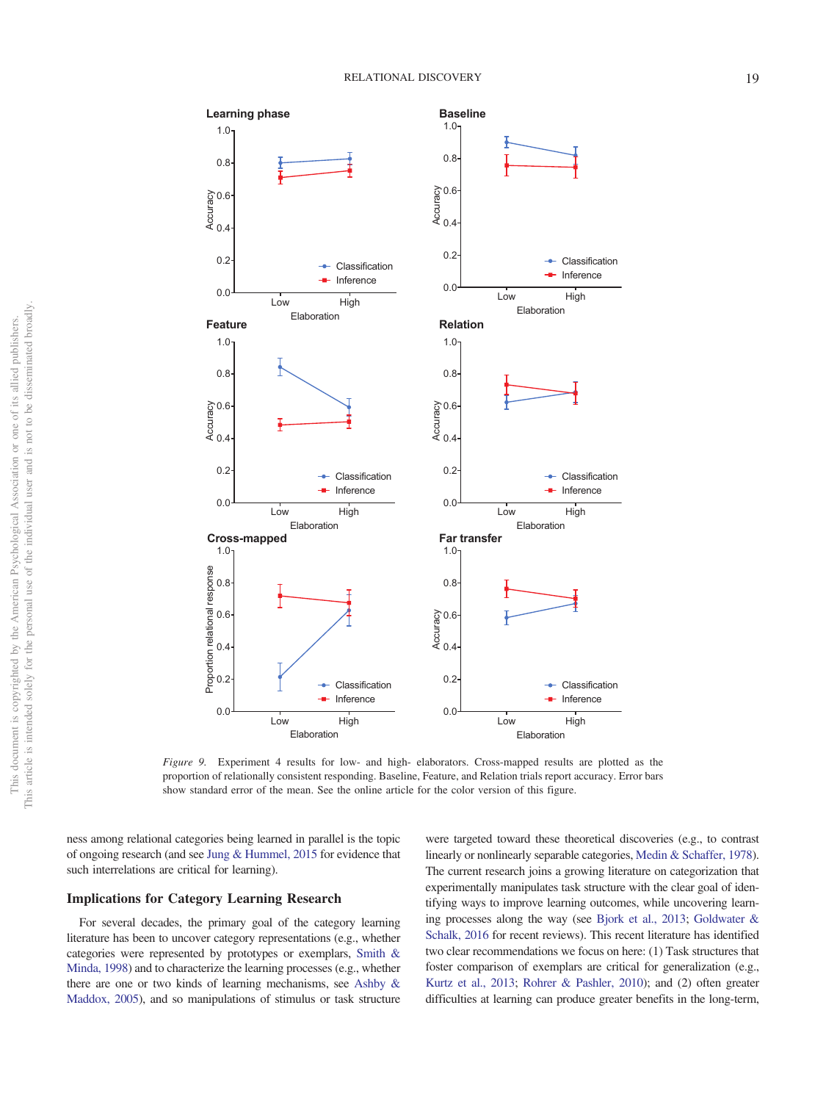

<span id="page-18-0"></span>*Figure 9.* Experiment 4 results for low- and high- elaborators. Cross-mapped results are plotted as the proportion of relationally consistent responding. Baseline, Feature, and Relation trials report accuracy. Error bars show standard error of the mean. See the online article for the color version of this figure.

ness among relational categories being learned in parallel is the topic of ongoing research (and see [Jung & Hummel, 2015](#page-23-14) for evidence that such interrelations are critical for learning).

#### **Implications for Category Learning Research**

For several decades, the primary goal of the category learning literature has been to uncover category representations (e.g., whether categories were represented by prototypes or exemplars, [Smith &](#page-25-12) [Minda, 1998\)](#page-25-12) and to characterize the learning processes (e.g., whether there are one or two kinds of learning mechanisms, see [Ashby &](#page-21-0) [Maddox, 2005\)](#page-21-0), and so manipulations of stimulus or task structure

were targeted toward these theoretical discoveries (e.g., to contrast linearly or nonlinearly separable categories, [Medin & Schaffer, 1978\)](#page-24-26). The current research joins a growing literature on categorization that experimentally manipulates task structure with the clear goal of identifying ways to improve learning outcomes, while uncovering learning processes along the way (see [Bjork et al., 2013;](#page-22-19) [Goldwater &](#page-23-3) [Schalk, 2016](#page-23-3) for recent reviews). This recent literature has identified two clear recommendations we focus on here: (1) Task structures that foster comparison of exemplars are critical for generalization (e.g., [Kurtz et al., 2013;](#page-23-7) [Rohrer & Pashler, 2010\)](#page-24-21); and (2) often greater difficulties at learning can produce greater benefits in the long-term,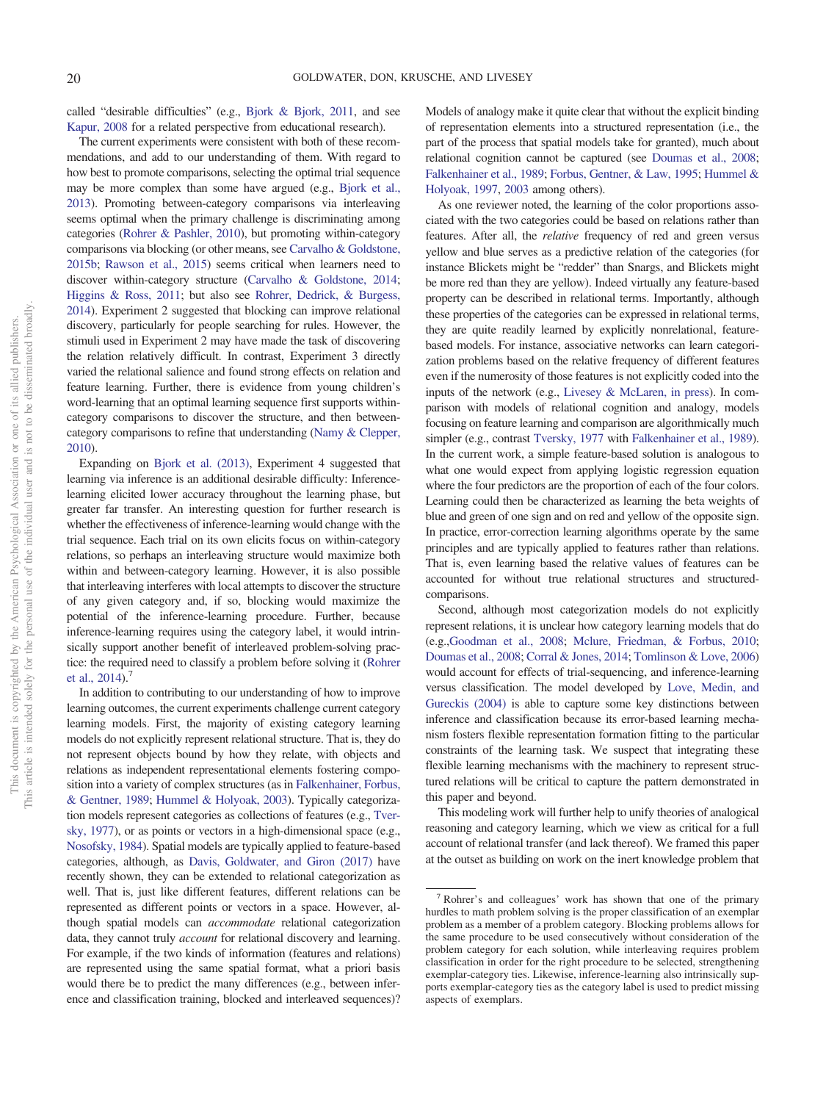called "desirable difficulties" (e.g., [Bjork & Bjork, 2011,](#page-21-4) and see [Kapur, 2008](#page-23-31) for a related perspective from educational research).

The current experiments were consistent with both of these recommendations, and add to our understanding of them. With regard to how best to promote comparisons, selecting the optimal trial sequence may be more complex than some have argued (e.g., [Bjork et al.,](#page-22-19) [2013\)](#page-22-19). Promoting between-category comparisons via interleaving seems optimal when the primary challenge is discriminating among categories [\(Rohrer & Pashler, 2010\)](#page-24-21), but promoting within-category comparisons via blocking (or other means, see [Carvalho & Goldstone,](#page-22-28) [2015b;](#page-22-28) [Rawson et al., 2015\)](#page-24-22) seems critical when learners need to discover within-category structure [\(Carvalho & Goldstone, 2014;](#page-22-26) [Higgins & Ross, 2011;](#page-23-28) but also see [Rohrer, Dedrick, & Burgess,](#page-24-27) [2014\)](#page-24-27). Experiment 2 suggested that blocking can improve relational discovery, particularly for people searching for rules. However, the stimuli used in Experiment 2 may have made the task of discovering the relation relatively difficult. In contrast, Experiment 3 directly varied the relational salience and found strong effects on relation and feature learning. Further, there is evidence from young children's word-learning that an optimal learning sequence first supports withincategory comparisons to discover the structure, and then betweencategory comparisons to refine that understanding [\(Namy & Clepper,](#page-24-28) [2010\)](#page-24-28).

Expanding on [Bjork et al. \(2013\),](#page-22-19) Experiment 4 suggested that learning via inference is an additional desirable difficulty: Inferencelearning elicited lower accuracy throughout the learning phase, but greater far transfer. An interesting question for further research is whether the effectiveness of inference-learning would change with the trial sequence. Each trial on its own elicits focus on within-category relations, so perhaps an interleaving structure would maximize both within and between-category learning. However, it is also possible that interleaving interferes with local attempts to discover the structure of any given category and, if so, blocking would maximize the potential of the inference-learning procedure. Further, because inference-learning requires using the category label, it would intrinsically support another benefit of interleaved problem-solving practice: the required need to classify a problem before solving it [\(Rohrer](#page-24-27) et al.,  $2014$ ).<sup>7</sup>

In addition to contributing to our understanding of how to improve learning outcomes, the current experiments challenge current category learning models. First, the majority of existing category learning models do not explicitly represent relational structure. That is, they do not represent objects bound by how they relate, with objects and relations as independent representational elements fostering composition into a variety of complex structures (as in [Falkenhainer, Forbus,](#page-22-31) [& Gentner, 1989;](#page-22-31) [Hummel & Holyoak, 2003\)](#page-23-6). Typically categorization models represent categories as collections of features (e.g., [Tver](#page-25-13)[sky, 1977\)](#page-25-13), or as points or vectors in a high-dimensional space (e.g., [Nosofsky, 1984\)](#page-24-29). Spatial models are typically applied to feature-based categories, although, as [Davis, Goldwater, and Giron \(2017\)](#page-22-13) have recently shown, they can be extended to relational categorization as well. That is, just like different features, different relations can be represented as different points or vectors in a space. However, although spatial models can *accommodate* relational categorization data, they cannot truly *account* for relational discovery and learning. For example, if the two kinds of information (features and relations) are represented using the same spatial format, what a priori basis would there be to predict the many differences (e.g., between inference and classification training, blocked and interleaved sequences)? Models of analogy make it quite clear that without the explicit binding of representation elements into a structured representation (i.e., the part of the process that spatial models take for granted), much about relational cognition cannot be captured (see [Doumas et al., 2008;](#page-22-6) [Falkenhainer et al., 1989;](#page-22-31) [Forbus, Gentner, & Law, 1995;](#page-22-10) [Hummel &](#page-23-13) [Holyoak, 1997,](#page-23-13) [2003](#page-23-6) among others).

As one reviewer noted, the learning of the color proportions associated with the two categories could be based on relations rather than features. After all, the *relative* frequency of red and green versus yellow and blue serves as a predictive relation of the categories (for instance Blickets might be "redder" than Snargs, and Blickets might be more red than they are yellow). Indeed virtually any feature-based property can be described in relational terms. Importantly, although these properties of the categories can be expressed in relational terms, they are quite readily learned by explicitly nonrelational, featurebased models. For instance, associative networks can learn categorization problems based on the relative frequency of different features even if the numerosity of those features is not explicitly coded into the inputs of the network (e.g., [Livesey & McLaren, in press\)](#page-23-32). In comparison with models of relational cognition and analogy, models focusing on feature learning and comparison are algorithmically much simpler (e.g., contrast [Tversky, 1977](#page-25-13) with [Falkenhainer et al., 1989\)](#page-22-31). In the current work, a simple feature-based solution is analogous to what one would expect from applying logistic regression equation where the four predictors are the proportion of each of the four colors. Learning could then be characterized as learning the beta weights of blue and green of one sign and on red and yellow of the opposite sign. In practice, error-correction learning algorithms operate by the same principles and are typically applied to features rather than relations. That is, even learning based the relative values of features can be accounted for without true relational structures and structuredcomparisons.

Second, although most categorization models do not explicitly represent relations, it is unclear how category learning models that do (e.g.[,Goodman et al., 2008;](#page-23-11) [Mclure, Friedman, & Forbus, 2010;](#page-24-30) [Doumas et al., 2008;](#page-22-6) [Corral & Jones, 2014;](#page-22-7) [Tomlinson & Love, 2006\)](#page-25-14) would account for effects of trial-sequencing, and inference-learning versus classification. The model developed by [Love, Medin, and](#page-23-33) [Gureckis \(2004\)](#page-23-33) is able to capture some key distinctions between inference and classification because its error-based learning mechanism fosters flexible representation formation fitting to the particular constraints of the learning task. We suspect that integrating these flexible learning mechanisms with the machinery to represent structured relations will be critical to capture the pattern demonstrated in this paper and beyond.

This modeling work will further help to unify theories of analogical reasoning and category learning, which we view as critical for a full account of relational transfer (and lack thereof). We framed this paper at the outset as building on work on the inert knowledge problem that

<sup>7</sup> Rohrer's and colleagues' work has shown that one of the primary hurdles to math problem solving is the proper classification of an exemplar problem as a member of a problem category. Blocking problems allows for the same procedure to be used consecutively without consideration of the problem category for each solution, while interleaving requires problem classification in order for the right procedure to be selected, strengthening exemplar-category ties. Likewise, inference-learning also intrinsically supports exemplar-category ties as the category label is used to predict missing aspects of exemplars.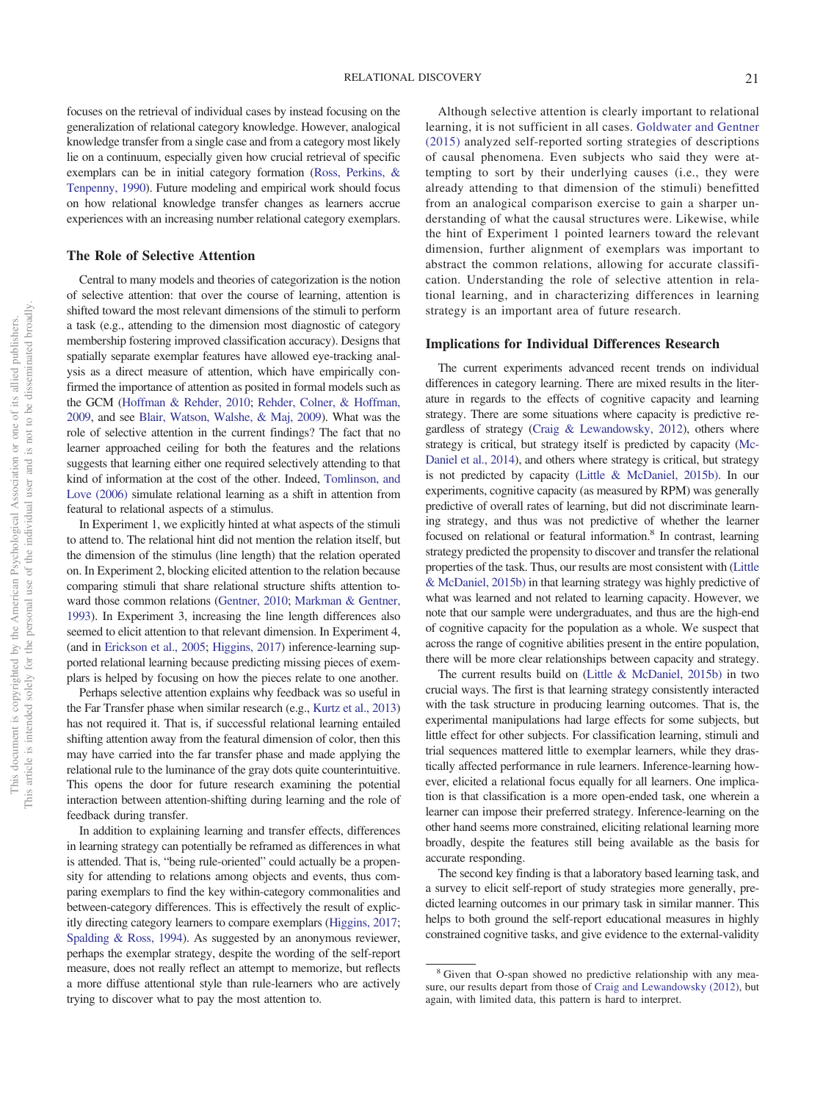focuses on the retrieval of individual cases by instead focusing on the generalization of relational category knowledge. However, analogical knowledge transfer from a single case and from a category most likely lie on a continuum, especially given how crucial retrieval of specific exemplars can be in initial category formation [\(Ross, Perkins, &](#page-24-31) [Tenpenny, 1990\)](#page-24-31). Future modeling and empirical work should focus on how relational knowledge transfer changes as learners accrue experiences with an increasing number relational category exemplars.

#### **The Role of Selective Attention**

Central to many models and theories of categorization is the notion of selective attention: that over the course of learning, attention is shifted toward the most relevant dimensions of the stimuli to perform a task (e.g., attending to the dimension most diagnostic of category membership fostering improved classification accuracy). Designs that spatially separate exemplar features have allowed eye-tracking analysis as a direct measure of attention, which have empirically confirmed the importance of attention as posited in formal models such as the GCM [\(Hoffman & Rehder, 2010;](#page-23-34) [Rehder, Colner, & Hoffman,](#page-24-32) [2009,](#page-24-32) and see [Blair, Watson, Walshe, & Maj, 2009\)](#page-22-32). What was the role of selective attention in the current findings? The fact that no learner approached ceiling for both the features and the relations suggests that learning either one required selectively attending to that kind of information at the cost of the other. Indeed, [Tomlinson, and](#page-25-14) [Love \(2006\)](#page-25-14) simulate relational learning as a shift in attention from featural to relational aspects of a stimulus.

In Experiment 1, we explicitly hinted at what aspects of the stimuli to attend to. The relational hint did not mention the relation itself, but the dimension of the stimulus (line length) that the relation operated on. In Experiment 2, blocking elicited attention to the relation because comparing stimuli that share relational structure shifts attention toward those common relations [\(Gentner, 2010;](#page-22-20) [Markman & Gentner,](#page-23-19) [1993\)](#page-23-19). In Experiment 3, increasing the line length differences also seemed to elicit attention to that relevant dimension. In Experiment 4, (and in [Erickson et al., 2005;](#page-22-21) [Higgins, 2017\)](#page-23-29) inference-learning supported relational learning because predicting missing pieces of exemplars is helped by focusing on how the pieces relate to one another.

Perhaps selective attention explains why feedback was so useful in the Far Transfer phase when similar research (e.g., [Kurtz et al., 2013\)](#page-23-7) has not required it. That is, if successful relational learning entailed shifting attention away from the featural dimension of color, then this may have carried into the far transfer phase and made applying the relational rule to the luminance of the gray dots quite counterintuitive. This opens the door for future research examining the potential interaction between attention-shifting during learning and the role of feedback during transfer.

In addition to explaining learning and transfer effects, differences in learning strategy can potentially be reframed as differences in what is attended. That is, "being rule-oriented" could actually be a propensity for attending to relations among objects and events, thus comparing exemplars to find the key within-category commonalities and between-category differences. This is effectively the result of explicitly directing category learners to compare exemplars [\(Higgins, 2017;](#page-23-29) [Spalding & Ross, 1994\)](#page-25-8). As suggested by an anonymous reviewer, perhaps the exemplar strategy, despite the wording of the self-report measure, does not really reflect an attempt to memorize, but reflects a more diffuse attentional style than rule-learners who are actively trying to discover what to pay the most attention to.

Although selective attention is clearly important to relational learning, it is not sufficient in all cases. [Goldwater and Gentner](#page-23-18) [\(2015\)](#page-23-18) analyzed self-reported sorting strategies of descriptions of causal phenomena. Even subjects who said they were attempting to sort by their underlying causes (i.e., they were already attending to that dimension of the stimuli) benefitted from an analogical comparison exercise to gain a sharper understanding of what the causal structures were. Likewise, while the hint of Experiment 1 pointed learners toward the relevant dimension, further alignment of exemplars was important to abstract the common relations, allowing for accurate classification. Understanding the role of selective attention in relational learning, and in characterizing differences in learning strategy is an important area of future research.

#### **Implications for Individual Differences Research**

The current experiments advanced recent trends on individual differences in category learning. There are mixed results in the literature in regards to the effects of cognitive capacity and learning strategy. There are some situations where capacity is predictive regardless of strategy [\(Craig & Lewandowsky, 2012\)](#page-22-22), others where strategy is critical, but strategy itself is predicted by capacity [\(Mc-](#page-24-16)[Daniel et al., 2014\)](#page-24-16), and others where strategy is critical, but strategy is not predicted by capacity [\(Little & McDaniel, 2015b\).](#page-23-10) In our experiments, cognitive capacity (as measured by RPM) was generally predictive of overall rates of learning, but did not discriminate learning strategy, and thus was not predictive of whether the learner focused on relational or featural information.<sup>8</sup> In contrast, learning strategy predicted the propensity to discover and transfer the relational properties of the task. Thus, our results are most consistent with [\(Little](#page-23-10) [& McDaniel, 2015b\)](#page-23-10) in that learning strategy was highly predictive of what was learned and not related to learning capacity. However, we note that our sample were undergraduates, and thus are the high-end of cognitive capacity for the population as a whole. We suspect that across the range of cognitive abilities present in the entire population, there will be more clear relationships between capacity and strategy.

The current results build on [\(Little & McDaniel, 2015b\)](#page-23-10) in two crucial ways. The first is that learning strategy consistently interacted with the task structure in producing learning outcomes. That is, the experimental manipulations had large effects for some subjects, but little effect for other subjects. For classification learning, stimuli and trial sequences mattered little to exemplar learners, while they drastically affected performance in rule learners. Inference-learning however, elicited a relational focus equally for all learners. One implication is that classification is a more open-ended task, one wherein a learner can impose their preferred strategy. Inference-learning on the other hand seems more constrained, eliciting relational learning more broadly, despite the features still being available as the basis for accurate responding.

The second key finding is that a laboratory based learning task, and a survey to elicit self-report of study strategies more generally, predicted learning outcomes in our primary task in similar manner. This helps to both ground the self-report educational measures in highly constrained cognitive tasks, and give evidence to the external-validity

<sup>8</sup> Given that O-span showed no predictive relationship with any measure, our results depart from those of [Craig and Lewandowsky \(2012\),](#page-22-22) but again, with limited data, this pattern is hard to interpret.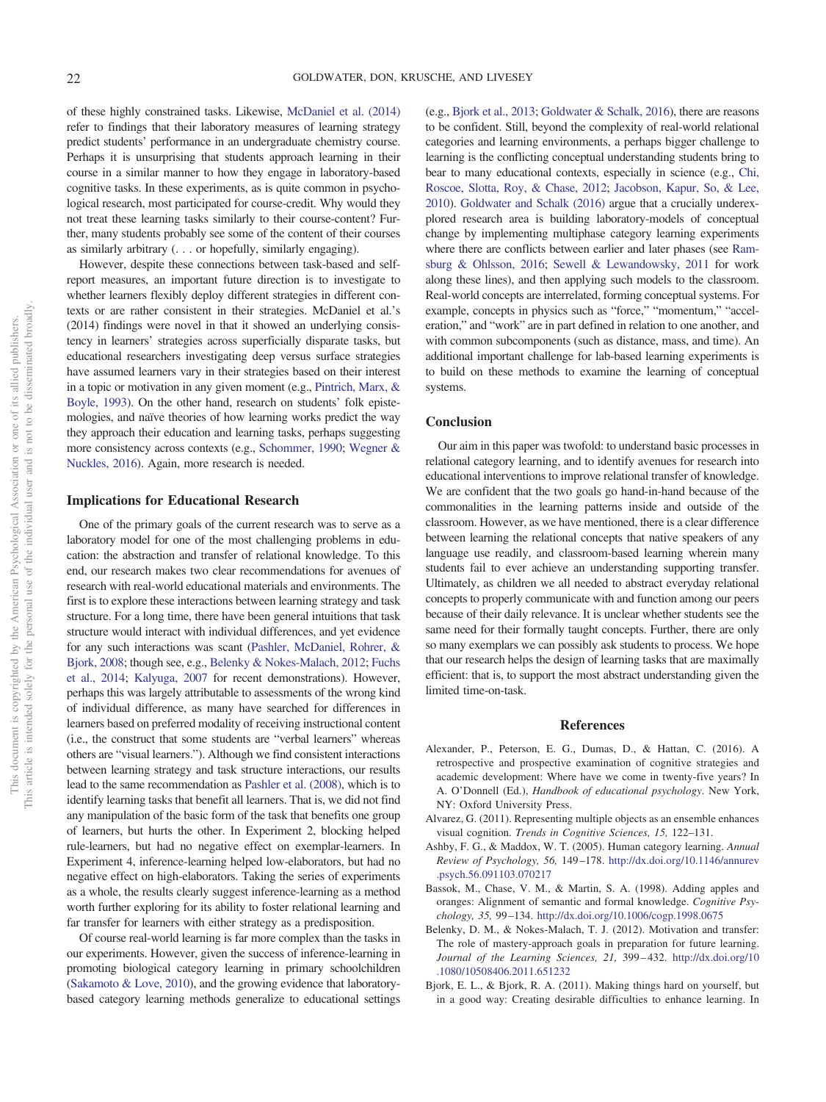of these highly constrained tasks. Likewise, [McDaniel et al. \(2014\)](#page-24-16) refer to findings that their laboratory measures of learning strategy predict students' performance in an undergraduate chemistry course. Perhaps it is unsurprising that students approach learning in their course in a similar manner to how they engage in laboratory-based cognitive tasks. In these experiments, as is quite common in psychological research, most participated for course-credit. Why would they not treat these learning tasks similarly to their course-content? Further, many students probably see some of the content of their courses as similarly arbitrary (. . . or hopefully, similarly engaging).

However, despite these connections between task-based and selfreport measures, an important future direction is to investigate to whether learners flexibly deploy different strategies in different contexts or are rather consistent in their strategies. McDaniel et al.'s (2014) findings were novel in that it showed an underlying consistency in learners' strategies across superficially disparate tasks, but educational researchers investigating deep versus surface strategies have assumed learners vary in their strategies based on their interest in a topic or motivation in any given moment (e.g., [Pintrich, Marx, &](#page-24-33) [Boyle, 1993\)](#page-24-33). On the other hand, research on students' folk epistemologies, and naïve theories of how learning works predict the way they approach their education and learning tasks, perhaps suggesting more consistency across contexts (e.g., [Schommer, 1990;](#page-25-15) [Wegner &](#page-25-16) [Nuckles, 2016\)](#page-25-16). Again, more research is needed.

#### **Implications for Educational Research**

One of the primary goals of the current research was to serve as a laboratory model for one of the most challenging problems in education: the abstraction and transfer of relational knowledge. To this end, our research makes two clear recommendations for avenues of research with real-world educational materials and environments. The first is to explore these interactions between learning strategy and task structure. For a long time, there have been general intuitions that task structure would interact with individual differences, and yet evidence for any such interactions was scant [\(Pashler, McDaniel, Rohrer, &](#page-24-34) [Bjork, 2008;](#page-24-34) though see, e.g., [Belenky & Nokes-Malach, 2012;](#page-21-5) [Fuchs](#page-22-33) [et al., 2014;](#page-22-33) [Kalyuga, 2007](#page-23-35) for recent demonstrations). However, perhaps this was largely attributable to assessments of the wrong kind of individual difference, as many have searched for differences in learners based on preferred modality of receiving instructional content (i.e., the construct that some students are "verbal learners" whereas others are "visual learners."). Although we find consistent interactions between learning strategy and task structure interactions, our results lead to the same recommendation as [Pashler et al. \(2008\),](#page-24-34) which is to identify learning tasks that benefit all learners. That is, we did not find any manipulation of the basic form of the task that benefits one group of learners, but hurts the other. In Experiment 2, blocking helped rule-learners, but had no negative effect on exemplar-learners. In Experiment 4, inference-learning helped low-elaborators, but had no negative effect on high-elaborators. Taking the series of experiments as a whole, the results clearly suggest inference-learning as a method worth further exploring for its ability to foster relational learning and far transfer for learners with either strategy as a predisposition.

Of course real-world learning is far more complex than the tasks in our experiments. However, given the success of inference-learning in promoting biological category learning in primary schoolchildren [\(Sakamoto & Love, 2010\)](#page-24-15), and the growing evidence that laboratorybased category learning methods generalize to educational settings

(e.g., [Bjork et al., 2013;](#page-22-19) [Goldwater & Schalk, 2016\)](#page-23-3), there are reasons to be confident. Still, beyond the complexity of real-world relational categories and learning environments, a perhaps bigger challenge to learning is the conflicting conceptual understanding students bring to bear to many educational contexts, especially in science (e.g., [Chi,](#page-22-34) [Roscoe, Slotta, Roy, & Chase, 2012;](#page-22-34) [Jacobson, Kapur, So, & Lee,](#page-23-36) [2010\)](#page-23-36). [Goldwater and Schalk \(2016\)](#page-23-3) argue that a crucially underexplored research area is building laboratory-models of conceptual change by implementing multiphase category learning experiments where there are conflicts between earlier and later phases (see [Ram](#page-24-35)[sburg & Ohlsson, 2016;](#page-24-35) [Sewell & Lewandowsky, 2011](#page-25-17) for work along these lines), and then applying such models to the classroom. Real-world concepts are interrelated, forming conceptual systems. For example, concepts in physics such as "force," "momentum," "acceleration," and "work" are in part defined in relation to one another, and with common subcomponents (such as distance, mass, and time). An additional important challenge for lab-based learning experiments is to build on these methods to examine the learning of conceptual systems.

## **Conclusion**

Our aim in this paper was twofold: to understand basic processes in relational category learning, and to identify avenues for research into educational interventions to improve relational transfer of knowledge. We are confident that the two goals go hand-in-hand because of the commonalities in the learning patterns inside and outside of the classroom. However, as we have mentioned, there is a clear difference between learning the relational concepts that native speakers of any language use readily, and classroom-based learning wherein many students fail to ever achieve an understanding supporting transfer. Ultimately, as children we all needed to abstract everyday relational concepts to properly communicate with and function among our peers because of their daily relevance. It is unclear whether students see the same need for their formally taught concepts. Further, there are only so many exemplars we can possibly ask students to process. We hope that our research helps the design of learning tasks that are maximally efficient: that is, to support the most abstract understanding given the limited time-on-task.

#### **References**

- <span id="page-21-3"></span>Alexander, P., Peterson, E. G., Dumas, D., & Hattan, C. (2016). A retrospective and prospective examination of cognitive strategies and academic development: Where have we come in twenty-five years? In A. O'Donnell (Ed.), *Handbook of educational psychology*. New York, NY: Oxford University Press.
- <span id="page-21-2"></span>Alvarez, G. (2011). Representing multiple objects as an ensemble enhances visual cognition. *Trends in Cognitive Sciences, 15,* 122–131.
- <span id="page-21-0"></span>Ashby, F. G., & Maddox, W. T. (2005). Human category learning. *Annual Review of Psychology, 56,* 149 –178. [http://dx.doi.org/10.1146/annurev](http://dx.doi.org/10.1146/annurev.psych.56.091103.070217) [.psych.56.091103.070217](http://dx.doi.org/10.1146/annurev.psych.56.091103.070217)
- <span id="page-21-1"></span>Bassok, M., Chase, V. M., & Martin, S. A. (1998). Adding apples and oranges: Alignment of semantic and formal knowledge. *Cognitive Psychology, 35,* 99 –134. <http://dx.doi.org/10.1006/cogp.1998.0675>
- <span id="page-21-5"></span>Belenky, D. M., & Nokes-Malach, T. J. (2012). Motivation and transfer: The role of mastery-approach goals in preparation for future learning. *Journal of the Learning Sciences, 21,* 399 – 432. [http://dx.doi.org/10](http://dx.doi.org/10.1080/10508406.2011.651232) [.1080/10508406.2011.651232](http://dx.doi.org/10.1080/10508406.2011.651232)
- <span id="page-21-4"></span>Bjork, E. L., & Bjork, R. A. (2011). Making things hard on yourself, but in a good way: Creating desirable difficulties to enhance learning. In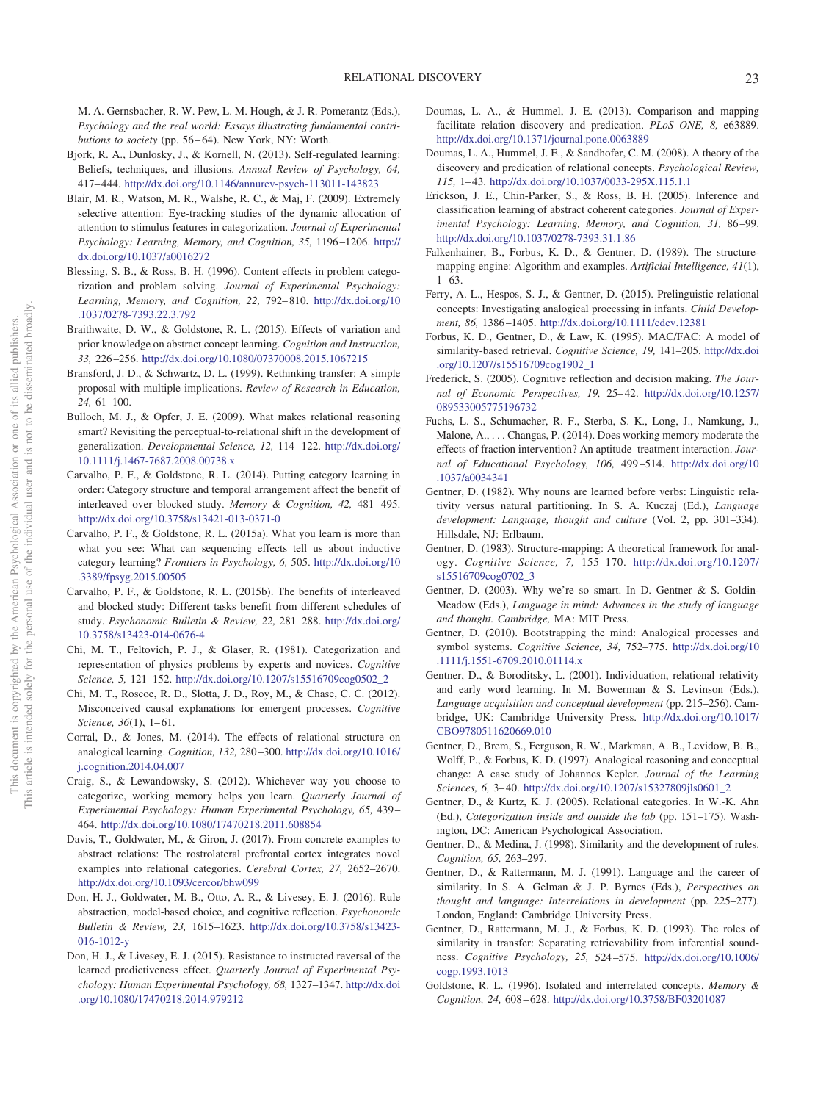M. A. Gernsbacher, R. W. Pew, L. M. Hough, & J. R. Pomerantz (Eds.), *Psychology and the real world: Essays illustrating fundamental contri*butions to society (pp. 56-64). New York, NY: Worth.

- <span id="page-22-19"></span>Bjork, R. A., Dunlosky, J., & Kornell, N. (2013). Self-regulated learning: Beliefs, techniques, and illusions. *Annual Review of Psychology, 64,* 417– 444. <http://dx.doi.org/10.1146/annurev-psych-113011-143823>
- <span id="page-22-32"></span>Blair, M. R., Watson, M. R., Walshe, R. C., & Maj, F. (2009). Extremely selective attention: Eye-tracking studies of the dynamic allocation of attention to stimulus features in categorization. *Journal of Experimental Psychology: Learning, Memory, and Cognition, 35,* 1196 –1206. [http://](http://dx.doi.org/10.1037/a0016272) [dx.doi.org/10.1037/a0016272](http://dx.doi.org/10.1037/a0016272)
- <span id="page-22-14"></span>Blessing, S. B., & Ross, B. H. (1996). Content effects in problem categorization and problem solving. *Journal of Experimental Psychology: Learning, Memory, and Cognition, 22,* 792– 810. [http://dx.doi.org/10](http://dx.doi.org/10.1037/0278-7393.22.3.792) [.1037/0278-7393.22.3.792](http://dx.doi.org/10.1037/0278-7393.22.3.792)
- <span id="page-22-17"></span>Braithwaite, D. W., & Goldstone, R. L. (2015). Effects of variation and prior knowledge on abstract concept learning. *Cognition and Instruction, 33,* 226 –256. <http://dx.doi.org/10.1080/07370008.2015.1067215>
- <span id="page-22-18"></span>Bransford, J. D., & Schwartz, D. L. (1999). Rethinking transfer: A simple proposal with multiple implications. *Review of Research in Education, 24,* 61–100.
- <span id="page-22-16"></span>Bulloch, M. J., & Opfer, J. E. (2009). What makes relational reasoning smart? Revisiting the perceptual-to-relational shift in the development of generalization. *Developmental Science, 12,* 114 –122. [http://dx.doi.org/](http://dx.doi.org/10.1111/j.1467-7687.2008.00738.x) [10.1111/j.1467-7687.2008.00738.x](http://dx.doi.org/10.1111/j.1467-7687.2008.00738.x)
- <span id="page-22-26"></span>Carvalho, P. F., & Goldstone, R. L. (2014). Putting category learning in order: Category structure and temporal arrangement affect the benefit of interleaved over blocked study. Memory & Cognition, 42, 481-495. <http://dx.doi.org/10.3758/s13421-013-0371-0>
- <span id="page-22-27"></span>Carvalho, P. F., & Goldstone, R. L. (2015a). What you learn is more than what you see: What can sequencing effects tell us about inductive category learning? *Frontiers in Psychology, 6,* 505. [http://dx.doi.org/10](http://dx.doi.org/10.3389/fpsyg.2015.00505) [.3389/fpsyg.2015.00505](http://dx.doi.org/10.3389/fpsyg.2015.00505)
- <span id="page-22-28"></span>Carvalho, P. F., & Goldstone, R. L. (2015b). The benefits of interleaved and blocked study: Different tasks benefit from different schedules of study. *Psychonomic Bulletin & Review, 22,* 281–288. [http://dx.doi.org/](http://dx.doi.org/10.3758/s13423-014-0676-4) [10.3758/s13423-014-0676-4](http://dx.doi.org/10.3758/s13423-014-0676-4)
- <span id="page-22-5"></span>Chi, M. T., Feltovich, P. J., & Glaser, R. (1981). Categorization and representation of physics problems by experts and novices. *Cognitive Science, 5,* 121–152. [http://dx.doi.org/10.1207/s15516709cog0502\\_2](http://dx.doi.org/10.1207/s15516709cog0502_2)
- <span id="page-22-34"></span>Chi, M. T., Roscoe, R. D., Slotta, J. D., Roy, M., & Chase, C. C. (2012). Misconceived causal explanations for emergent processes. *Cognitive Science, 36*(1), 1–61.
- <span id="page-22-7"></span>Corral, D., & Jones, M. (2014). The effects of relational structure on analogical learning. *Cognition, 132,* 280 –300. [http://dx.doi.org/10.1016/](http://dx.doi.org/10.1016/j.cognition.2014.04.007) [j.cognition.2014.04.007](http://dx.doi.org/10.1016/j.cognition.2014.04.007)
- <span id="page-22-22"></span>Craig, S., & Lewandowsky, S. (2012). Whichever way you choose to categorize, working memory helps you learn. *Quarterly Journal of Experimental Psychology: Human Experimental Psychology, 65,* 439 – 464. <http://dx.doi.org/10.1080/17470218.2011.608854>
- <span id="page-22-13"></span>Davis, T., Goldwater, M., & Giron, J. (2017). From concrete examples to abstract relations: The rostrolateral prefrontal cortex integrates novel examples into relational categories. *Cerebral Cortex, 27,* 2652–2670. <http://dx.doi.org/10.1093/cercor/bhw099>
- <span id="page-22-24"></span>Don, H. J., Goldwater, M. B., Otto, A. R., & Livesey, E. J. (2016). Rule abstraction, model-based choice, and cognitive reflection. *Psychonomic Bulletin & Review, 23,* 1615–1623. [http://dx.doi.org/10.3758/s13423-](http://dx.doi.org/10.3758/s13423-016-1012-y) [016-1012-y](http://dx.doi.org/10.3758/s13423-016-1012-y)
- <span id="page-22-25"></span>Don, H. J., & Livesey, E. J. (2015). Resistance to instructed reversal of the learned predictiveness effect. *Quarterly Journal of Experimental Psychology: Human Experimental Psychology, 68,* 1327–1347. [http://dx.doi](http://dx.doi.org/10.1080/17470218.2014.979212) [.org/10.1080/17470218.2014.979212](http://dx.doi.org/10.1080/17470218.2014.979212)
- <span id="page-22-8"></span>Doumas, L. A., & Hummel, J. E. (2013). Comparison and mapping facilitate relation discovery and predication. *PLoS ONE, 8,* e63889. <http://dx.doi.org/10.1371/journal.pone.0063889>
- <span id="page-22-6"></span>Doumas, L. A., Hummel, J. E., & Sandhofer, C. M. (2008). A theory of the discovery and predication of relational concepts. *Psychological Review, 115,* 1– 43. <http://dx.doi.org/10.1037/0033-295X.115.1.1>
- <span id="page-22-21"></span>Erickson, J. E., Chin-Parker, S., & Ross, B. H. (2005). Inference and classification learning of abstract coherent categories. *Journal of Experimental Psychology: Learning, Memory, and Cognition, 31,* 86 –99. <http://dx.doi.org/10.1037/0278-7393.31.1.86>
- <span id="page-22-31"></span>Falkenhainer, B., Forbus, K. D., & Gentner, D. (1989). The structuremapping engine: Algorithm and examples. *Artificial Intelligence, 41*(1),  $1 - 63.$
- <span id="page-22-1"></span>Ferry, A. L., Hespos, S. J., & Gentner, D. (2015). Prelinguistic relational concepts: Investigating analogical processing in infants. *Child Development, 86,* 1386 –1405. <http://dx.doi.org/10.1111/cdev.12381>
- <span id="page-22-10"></span>Forbus, K. D., Gentner, D., & Law, K. (1995). MAC/FAC: A model of similarity-based retrieval. *Cognitive Science, 19,* 141–205. [http://dx.doi](http://dx.doi.org/10.1207/s15516709cog1902_1) [.org/10.1207/s15516709cog1902\\_1](http://dx.doi.org/10.1207/s15516709cog1902_1)
- <span id="page-22-23"></span>Frederick, S. (2005). Cognitive reflection and decision making. *The Journal of Economic Perspectives, 19,* 25– 42. [http://dx.doi.org/10.1257/](http://dx.doi.org/10.1257/089533005775196732) [089533005775196732](http://dx.doi.org/10.1257/089533005775196732)
- <span id="page-22-33"></span>Fuchs, L. S., Schumacher, R. F., Sterba, S. K., Long, J., Namkung, J., Malone, A.,... Changas, P. (2014). Does working memory moderate the effects of fraction intervention? An aptitude–treatment interaction. *Journal of Educational Psychology, 106,* 499 –514. [http://dx.doi.org/10](http://dx.doi.org/10.1037/a0034341) [.1037/a0034341](http://dx.doi.org/10.1037/a0034341)
- <span id="page-22-11"></span>Gentner, D. (1982). Why nouns are learned before verbs: Linguistic relativity versus natural partitioning. In S. A. Kuczaj (Ed.), *Language development: Language, thought and culture* (Vol. 2, pp. 301–334). Hillsdale, NJ: Erlbaum.
- <span id="page-22-0"></span>Gentner, D. (1983). Structure-mapping: A theoretical framework for analogy. *Cognitive Science, 7,* 155–170. [http://dx.doi.org/10.1207/](http://dx.doi.org/10.1207/s15516709cog0702_3) [s15516709cog0702\\_3](http://dx.doi.org/10.1207/s15516709cog0702_3)
- <span id="page-22-2"></span>Gentner, D. (2003). Why we're so smart. In D. Gentner & S. Goldin-Meadow (Eds.), *Language in mind: Advances in the study of language and thought. Cambridge,* MA: MIT Press.
- <span id="page-22-20"></span>Gentner, D. (2010). Bootstrapping the mind: Analogical processes and symbol systems. *Cognitive Science, 34,* 752–775. [http://dx.doi.org/10](http://dx.doi.org/10.1111/j.1551-6709.2010.01114.x) [.1111/j.1551-6709.2010.01114.x](http://dx.doi.org/10.1111/j.1551-6709.2010.01114.x)
- <span id="page-22-12"></span>Gentner, D., & Boroditsky, L. (2001). Individuation, relational relativity and early word learning. In M. Bowerman & S. Levinson (Eds.), *Language acquisition and conceptual development* (pp. 215–256). Cambridge, UK: Cambridge University Press. [http://dx.doi.org/10.1017/](http://dx.doi.org/10.1017/CBO9780511620669.010) [CBO9780511620669.010](http://dx.doi.org/10.1017/CBO9780511620669.010)
- <span id="page-22-4"></span>Gentner, D., Brem, S., Ferguson, R. W., Markman, A. B., Levidow, B. B., Wolff, P., & Forbus, K. D. (1997). Analogical reasoning and conceptual change: A case study of Johannes Kepler. *Journal of the Learning Sciences, 6,* 3– 40. [http://dx.doi.org/10.1207/s15327809jls0601\\_2](http://dx.doi.org/10.1207/s15327809jls0601_2)
- <span id="page-22-3"></span>Gentner, D., & Kurtz, K. J. (2005). Relational categories. In W.-K. Ahn (Ed.), *Categorization inside and outside the lab* (pp. 151–175). Washington, DC: American Psychological Association.
- <span id="page-22-29"></span>Gentner, D., & Medina, J. (1998). Similarity and the development of rules. *Cognition, 65,* 263–297.
- <span id="page-22-15"></span>Gentner, D., & Rattermann, M. J. (1991). Language and the career of similarity. In S. A. Gelman & J. P. Byrnes (Eds.), *Perspectives on thought and language: Interrelations in development* (pp. 225–277). London, England: Cambridge University Press.
- <span id="page-22-9"></span>Gentner, D., Rattermann, M. J., & Forbus, K. D. (1993). The roles of similarity in transfer: Separating retrievability from inferential soundness. *Cognitive Psychology, 25,* 524 –575. [http://dx.doi.org/10.1006/](http://dx.doi.org/10.1006/cogp.1993.1013) [cogp.1993.1013](http://dx.doi.org/10.1006/cogp.1993.1013)
- <span id="page-22-30"></span>Goldstone, R. L. (1996). Isolated and interrelated concepts. *Memory & Cognition, 24,* 608 – 628. <http://dx.doi.org/10.3758/BF03201087>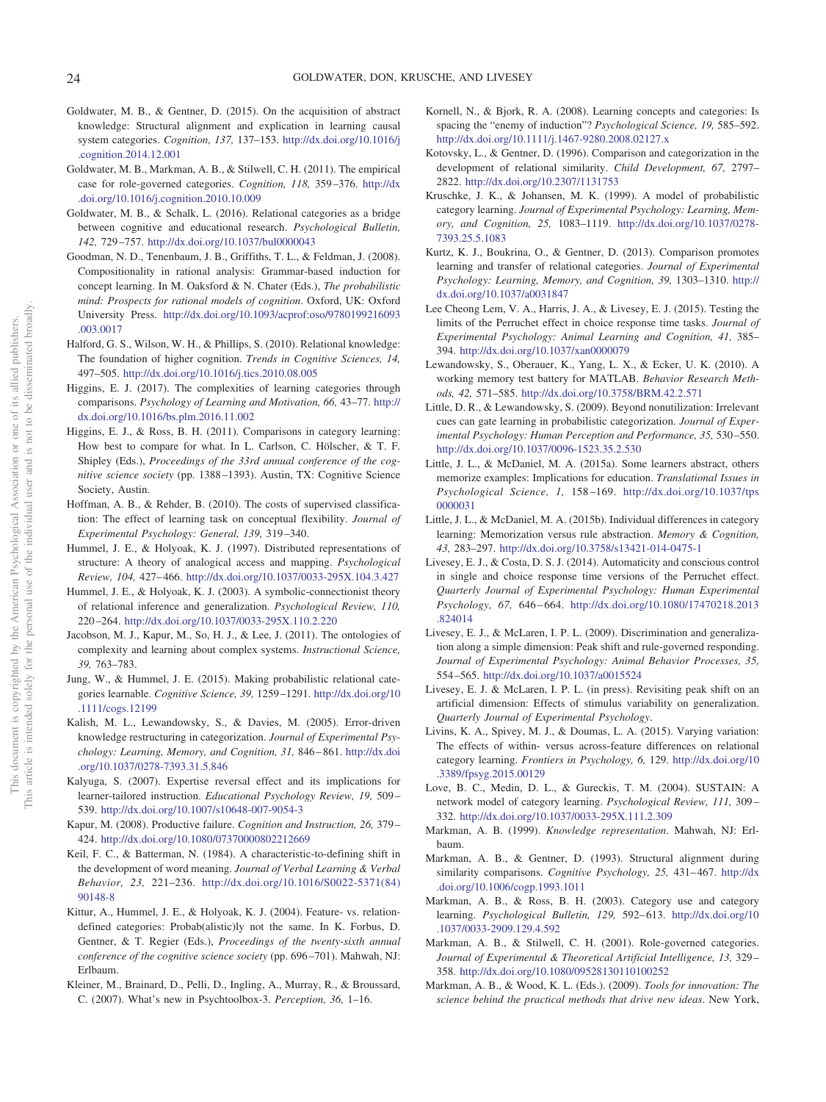- <span id="page-23-18"></span>Goldwater, M. B., & Gentner, D. (2015). On the acquisition of abstract knowledge: Structural alignment and explication in learning causal system categories. *Cognition, 137,* 137–153. [http://dx.doi.org/10.1016/j](http://dx.doi.org/10.1016/j.cognition.2014.12.001) [.cognition.2014.12.001](http://dx.doi.org/10.1016/j.cognition.2014.12.001)
- <span id="page-23-2"></span>Goldwater, M. B., Markman, A. B., & Stilwell, C. H. (2011). The empirical case for role-governed categories. *Cognition, 118,* 359 –376. [http://dx](http://dx.doi.org/10.1016/j.cognition.2010.10.009) [.doi.org/10.1016/j.cognition.2010.10.009](http://dx.doi.org/10.1016/j.cognition.2010.10.009)
- <span id="page-23-3"></span>Goldwater, M. B., & Schalk, L. (2016). Relational categories as a bridge between cognitive and educational research. *Psychological Bulletin, 142,* 729 –757. <http://dx.doi.org/10.1037/bul0000043>
- <span id="page-23-11"></span>Goodman, N. D., Tenenbaum, J. B., Griffiths, T. L., & Feldman, J. (2008). Compositionality in rational analysis: Grammar-based induction for concept learning. In M. Oaksford & N. Chater (Eds.), *The probabilistic mind: Prospects for rational models of cognition*. Oxford, UK: Oxford University Press. [http://dx.doi.org/10.1093/acprof:oso/9780199216093](http://dx.doi.org/10.1093/acprof:oso/9780199216093.003.0017) [.003.0017](http://dx.doi.org/10.1093/acprof:oso/9780199216093.003.0017)
- <span id="page-23-0"></span>Halford, G. S., Wilson, W. H., & Phillips, S. (2010). Relational knowledge: The foundation of higher cognition. *Trends in Cognitive Sciences, 14,* 497–505. <http://dx.doi.org/10.1016/j.tics.2010.08.005>
- <span id="page-23-29"></span>Higgins, E. J. (2017). The complexities of learning categories through comparisons. *Psychology of Learning and Motivation, 66,* 43–77. [http://](http://dx.doi.org/10.1016/bs.plm.2016.11.002) [dx.doi.org/10.1016/bs.plm.2016.11.002](http://dx.doi.org/10.1016/bs.plm.2016.11.002)
- <span id="page-23-28"></span>Higgins, E. J., & Ross, B. H. (2011). Comparisons in category learning: How best to compare for what. In L. Carlson, C. Hölscher, & T. F. Shipley (Eds.), *Proceedings of the 33rd annual conference of the cognitive science society* (pp. 1388 –1393). Austin, TX: Cognitive Science Society, Austin.
- <span id="page-23-34"></span>Hoffman, A. B., & Rehder, B. (2010). The costs of supervised classification: The effect of learning task on conceptual flexibility. *Journal of Experimental Psychology: General, 139,* 319 –340.
- <span id="page-23-13"></span>Hummel, J. E., & Holyoak, K. J. (1997). Distributed representations of structure: A theory of analogical access and mapping. *Psychological Review, 104,* 427– 466. <http://dx.doi.org/10.1037/0033-295X.104.3.427>
- <span id="page-23-6"></span>Hummel, J. E., & Holyoak, K. J. (2003). A symbolic-connectionist theory of relational inference and generalization. *Psychological Review, 110,* 220 –264. <http://dx.doi.org/10.1037/0033-295X.110.2.220>
- <span id="page-23-36"></span>Jacobson, M. J., Kapur, M., So, H. J., & Lee, J. (2011). The ontologies of complexity and learning about complex systems. *Instructional Science, 39,* 763–783.
- <span id="page-23-14"></span>Jung, W., & Hummel, J. E. (2015). Making probabilistic relational categories learnable. *Cognitive Science, 39,* 1259 –1291. [http://dx.doi.org/10](http://dx.doi.org/10.1111/cogs.12199) [.1111/cogs.12199](http://dx.doi.org/10.1111/cogs.12199)
- <span id="page-23-23"></span>Kalish, M. L., Lewandowsky, S., & Davies, M. (2005). Error-driven knowledge restructuring in categorization. *Journal of Experimental Psychology: Learning, Memory, and Cognition, 31,* 846 – 861. [http://dx.doi](http://dx.doi.org/10.1037/0278-7393.31.5.846) [.org/10.1037/0278-7393.31.5.846](http://dx.doi.org/10.1037/0278-7393.31.5.846)
- <span id="page-23-35"></span>Kalyuga, S. (2007). Expertise reversal effect and its implications for learner-tailored instruction. *Educational Psychology Review, 19,* 509 – 539. <http://dx.doi.org/10.1007/s10648-007-9054-3>
- <span id="page-23-31"></span>Kapur, M. (2008). Productive failure. *Cognition and Instruction, 26,* 379 – 424. <http://dx.doi.org/10.1080/07370000802212669>
- <span id="page-23-15"></span>Keil, F. C., & Batterman, N. (1984). A characteristic-to-defining shift in the development of word meaning. *Journal of Verbal Learning & Verbal Behavior, 23,* 221–236. [http://dx.doi.org/10.1016/S0022-5371\(84\)](http://dx.doi.org/10.1016/S0022-5371%2884%2990148-8) [90148-8](http://dx.doi.org/10.1016/S0022-5371%2884%2990148-8)
- <span id="page-23-12"></span>Kittur, A., Hummel, J. E., & Holyoak, K. J. (2004). Feature- vs. relationdefined categories: Probab(alistic)ly not the same. In K. Forbus, D. Gentner, & T. Regier (Eds.), *Proceedings of the twenty-sixth annual conference of the cognitive science society* (pp. 696 –701). Mahwah, NJ: Erlbaum.
- <span id="page-23-24"></span>Kleiner, M., Brainard, D., Pelli, D., Ingling, A., Murray, R., & Broussard, C. (2007). What's new in Psychtoolbox-3. *Perception, 36,* 1–16.
- <span id="page-23-27"></span>Kornell, N., & Bjork, R. A. (2008). Learning concepts and categories: Is spacing the "enemy of induction"? *Psychological Science, 19,* 585–592. <http://dx.doi.org/10.1111/j.1467-9280.2008.02127.x>
- <span id="page-23-16"></span>Kotovsky, L., & Gentner, D. (1996). Comparison and categorization in the development of relational similarity. *Child Development, 67,* 2797– 2822. <http://dx.doi.org/10.2307/1131753>
- <span id="page-23-20"></span>Kruschke, J. K., & Johansen, M. K. (1999). A model of probabilistic category learning. *Journal of Experimental Psychology: Learning, Memory, and Cognition, 25,* 1083–1119. [http://dx.doi.org/10.1037/0278-](http://dx.doi.org/10.1037/0278-7393.25.5.1083) [7393.25.5.1083](http://dx.doi.org/10.1037/0278-7393.25.5.1083)
- <span id="page-23-7"></span>Kurtz, K. J., Boukrina, O., & Gentner, D. (2013). Comparison promotes learning and transfer of relational categories. *Journal of Experimental Psychology: Learning, Memory, and Cognition, 39,* 1303–1310. [http://](http://dx.doi.org/10.1037/a0031847) [dx.doi.org/10.1037/a0031847](http://dx.doi.org/10.1037/a0031847)
- <span id="page-23-25"></span>Lee Cheong Lem, V. A., Harris, J. A., & Livesey, E. J. (2015). Testing the limits of the Perruchet effect in choice response time tasks. *Journal of Experimental Psychology: Animal Learning and Cognition, 41,* 385– 394. <http://dx.doi.org/10.1037/xan0000079>
- <span id="page-23-30"></span>Lewandowsky, S., Oberauer, K., Yang, L. X., & Ecker, U. K. (2010). A working memory test battery for MATLAB. *Behavior Research Methods, 42,* 571–585. <http://dx.doi.org/10.3758/BRM.42.2.571>
- <span id="page-23-22"></span>Little, D. R., & Lewandowsky, S. (2009). Beyond nonutilization: Irrelevant cues can gate learning in probabilistic categorization. *Journal of Experimental Psychology: Human Perception and Performance, 35,* 530 –550. <http://dx.doi.org/10.1037/0096-1523.35.2.530>
- <span id="page-23-8"></span>Little, J. L., & McDaniel, M. A. (2015a). Some learners abstract, others memorize examples: Implications for education. *Translational Issues in Psychological Science, 1,* 158 –169. [http://dx.doi.org/10.1037/tps](http://dx.doi.org/10.1037/tps0000031) [0000031](http://dx.doi.org/10.1037/tps0000031)
- <span id="page-23-10"></span>Little, J. L., & McDaniel, M. A. (2015b). Individual differences in category learning: Memorization versus rule abstraction. *Memory & Cognition, 43,* 283–297. <http://dx.doi.org/10.3758/s13421-014-0475-1>
- <span id="page-23-26"></span>Livesey, E. J., & Costa, D. S. J. (2014). Automaticity and conscious control in single and choice response time versions of the Perruchet effect. *Quarterly Journal of Experimental Psychology: Human Experimental Psychology, 67,* 646 – 664. [http://dx.doi.org/10.1080/17470218.2013](http://dx.doi.org/10.1080/17470218.2013.824014) [.824014](http://dx.doi.org/10.1080/17470218.2013.824014)
- <span id="page-23-9"></span>Livesey, E. J., & McLaren, I. P. L. (2009). Discrimination and generalization along a simple dimension: Peak shift and rule-governed responding. *Journal of Experimental Psychology: Animal Behavior Processes, 35,* 554 –565. <http://dx.doi.org/10.1037/a0015524>
- <span id="page-23-32"></span>Livesey, E. J. & McLaren, I. P. L. (in press). Revisiting peak shift on an artificial dimension: Effects of stimulus variability on generalization. *Quarterly Journal of Experimental Psychology*.
- <span id="page-23-17"></span>Livins, K. A., Spivey, M. J., & Doumas, L. A. (2015). Varying variation: The effects of within- versus across-feature differences on relational category learning. *Frontiers in Psychology, 6,* 129. [http://dx.doi.org/10](http://dx.doi.org/10.3389/fpsyg.2015.00129) [.3389/fpsyg.2015.00129](http://dx.doi.org/10.3389/fpsyg.2015.00129)
- <span id="page-23-33"></span>Love, B. C., Medin, D. L., & Gureckis, T. M. (2004). SUSTAIN: A network model of category learning. *Psychological Review, 111,* 309 – 332. <http://dx.doi.org/10.1037/0033-295X.111.2.309>
- <span id="page-23-5"></span>Markman, A. B. (1999). *Knowledge representation*. Mahwah, NJ: Erlbaum.
- <span id="page-23-19"></span>Markman, A. B., & Gentner, D. (1993). Structural alignment during similarity comparisons. *Cognitive Psychology, 25,* 431– 467. [http://dx](http://dx.doi.org/10.1006/cogp.1993.1011) [.doi.org/10.1006/cogp.1993.1011](http://dx.doi.org/10.1006/cogp.1993.1011)
- <span id="page-23-21"></span>Markman, A. B., & Ross, B. H. (2003). Category use and category learning. *Psychological Bulletin, 129,* 592– 613. [http://dx.doi.org/10](http://dx.doi.org/10.1037/0033-2909.129.4.592) [.1037/0033-2909.129.4.592](http://dx.doi.org/10.1037/0033-2909.129.4.592)
- <span id="page-23-1"></span>Markman, A. B., & Stilwell, C. H. (2001). Role-governed categories. *Journal of Experimental & Theoretical Artificial Intelligence, 13,* 329 – 358. <http://dx.doi.org/10.1080/09528130110100252>
- <span id="page-23-4"></span>Markman, A. B., & Wood, K. L. (Eds.). (2009). *Tools for innovation: The science behind the practical methods that drive new ideas*. New York,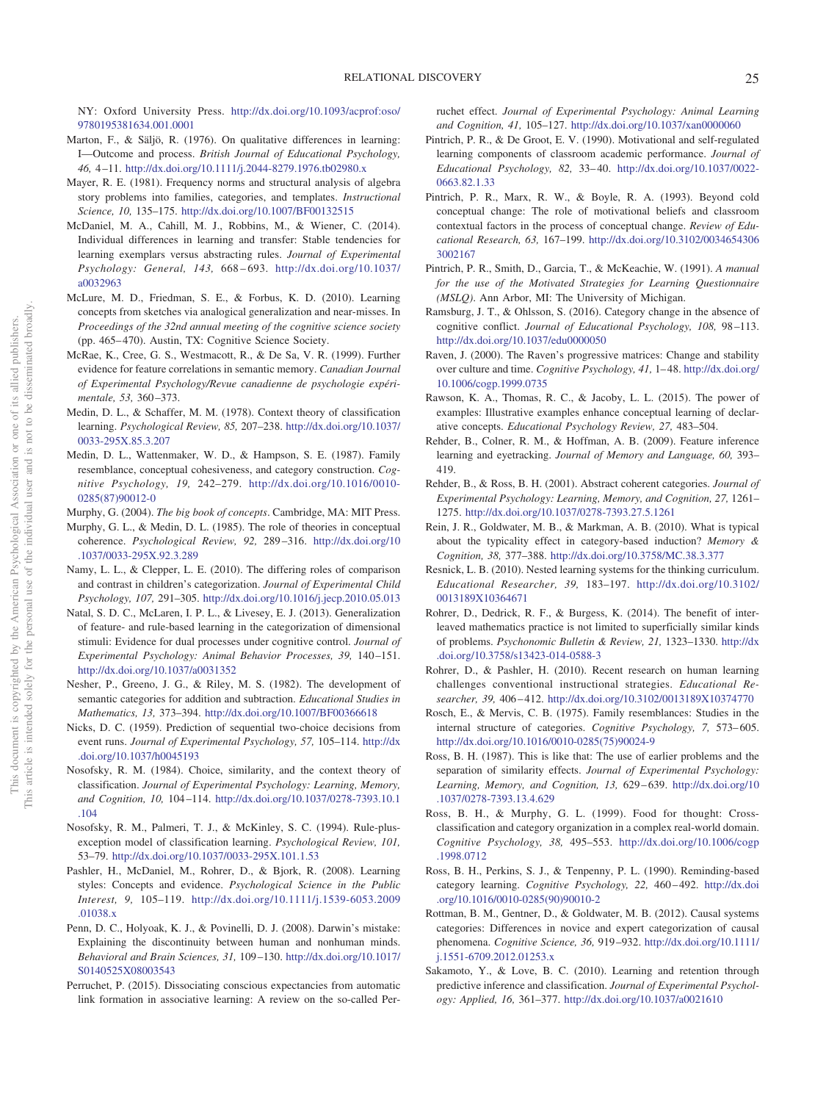NY: Oxford University Press. [http://dx.doi.org/10.1093/acprof:oso/](http://dx.doi.org/10.1093/acprof:oso/9780195381634.001.0001) [9780195381634.001.0001](http://dx.doi.org/10.1093/acprof:oso/9780195381634.001.0001)

- <span id="page-24-17"></span>Marton, F., & Säljö, R. (1976). On qualitative differences in learning: I—Outcome and process. *British Journal of Educational Psychology, 46,* 4 –11. <http://dx.doi.org/10.1111/j.2044-8279.1976.tb02980.x>
- <span id="page-24-13"></span>Mayer, R. E. (1981). Frequency norms and structural analysis of algebra story problems into families, categories, and templates. *Instructional Science, 10,* 135–175. <http://dx.doi.org/10.1007/BF00132515>
- <span id="page-24-16"></span>McDaniel, M. A., Cahill, M. J., Robbins, M., & Wiener, C. (2014). Individual differences in learning and transfer: Stable tendencies for learning exemplars versus abstracting rules. *Journal of Experimental Psychology: General, 143,* 668 – 693. [http://dx.doi.org/10.1037/](http://dx.doi.org/10.1037/a0032963) [a0032963](http://dx.doi.org/10.1037/a0032963)
- <span id="page-24-30"></span>McLure, M. D., Friedman, S. E., & Forbus, K. D. (2010). Learning concepts from sketches via analogical generalization and near-misses. In *Proceedings of the 32nd annual meeting of the cognitive science society* (pp. 465– 470). Austin, TX: Cognitive Science Society.
- <span id="page-24-24"></span>McRae, K., Cree, G. S., Westmacott, R., & De Sa, V. R. (1999). Further evidence for feature correlations in semantic memory. *Canadian Journal of Experimental Psychology/Revue canadienne de psychologie expérimentale, 53,* 360 –373.
- <span id="page-24-26"></span>Medin, D. L., & Schaffer, M. M. (1978). Context theory of classification learning. *Psychological Review, 85,* 207–238. [http://dx.doi.org/10.1037/](http://dx.doi.org/10.1037/0033-295X.85.3.207) [0033-295X.85.3.207](http://dx.doi.org/10.1037/0033-295X.85.3.207)
- <span id="page-24-11"></span>Medin, D. L., Wattenmaker, W. D., & Hampson, S. E. (1987). Family resemblance, conceptual cohesiveness, and category construction. *Cognitive Psychology, 19,* 242–279. [http://dx.doi.org/10.1016/0010-](http://dx.doi.org/10.1016/0010-0285%2887%2990012-0) [0285\(87\)90012-0](http://dx.doi.org/10.1016/0010-0285%2887%2990012-0)
- <span id="page-24-2"></span>Murphy, G. (2004). *The big book of concepts*. Cambridge, MA: MIT Press.
- <span id="page-24-10"></span>Murphy, G. L., & Medin, D. L. (1985). The role of theories in conceptual coherence. *Psychological Review, 92,* 289 –316. [http://dx.doi.org/10](http://dx.doi.org/10.1037/0033-295X.92.3.289) [.1037/0033-295X.92.3.289](http://dx.doi.org/10.1037/0033-295X.92.3.289)
- <span id="page-24-28"></span>Namy, L. L., & Clepper, L. E. (2010). The differing roles of comparison and contrast in children's categorization. *Journal of Experimental Child Psychology, 107,* 291–305. <http://dx.doi.org/10.1016/j.jecp.2010.05.013>
- <span id="page-24-4"></span>Natal, S. D. C., McLaren, I. P. L., & Livesey, E. J. (2013). Generalization of feature- and rule-based learning in the categorization of dimensional stimuli: Evidence for dual processes under cognitive control. *Journal of Experimental Psychology: Animal Behavior Processes, 39,* 140 –151. <http://dx.doi.org/10.1037/a0031352>
- <span id="page-24-14"></span>Nesher, P., Greeno, J. G., & Riley, M. S. (1982). The development of semantic categories for addition and subtraction. *Educational Studies in Mathematics, 13,* 373–394. <http://dx.doi.org/10.1007/BF00366618>
- <span id="page-24-19"></span>Nicks, D. C. (1959). Prediction of sequential two-choice decisions from event runs. *Journal of Experimental Psychology, 57,* 105–114. [http://dx](http://dx.doi.org/10.1037/h0045193) [.doi.org/10.1037/h0045193](http://dx.doi.org/10.1037/h0045193)
- <span id="page-24-29"></span>Nosofsky, R. M. (1984). Choice, similarity, and the context theory of classification. *Journal of Experimental Psychology: Learning, Memory, and Cognition, 10,* 104 –114. [http://dx.doi.org/10.1037/0278-7393.10.1](http://dx.doi.org/10.1037/0278-7393.10.1.104) [.104](http://dx.doi.org/10.1037/0278-7393.10.1.104)
- <span id="page-24-5"></span>Nosofsky, R. M., Palmeri, T. J., & McKinley, S. C. (1994). Rule-plusexception model of classification learning. *Psychological Review, 101,* 53–79. <http://dx.doi.org/10.1037/0033-295X.101.1.53>
- <span id="page-24-34"></span>Pashler, H., McDaniel, M., Rohrer, D., & Bjork, R. (2008). Learning styles: Concepts and evidence. *Psychological Science in the Public Interest, 9,* 105–119. [http://dx.doi.org/10.1111/j.1539-6053.2009](http://dx.doi.org/10.1111/j.1539-6053.2009.01038.x) [.01038.x](http://dx.doi.org/10.1111/j.1539-6053.2009.01038.x)
- <span id="page-24-0"></span>Penn, D. C., Holyoak, K. J., & Povinelli, D. J. (2008). Darwin's mistake: Explaining the discontinuity between human and nonhuman minds. *Behavioral and Brain Sciences, 31,* 109 –130. [http://dx.doi.org/10.1017/](http://dx.doi.org/10.1017/S0140525X08003543) [S0140525X08003543](http://dx.doi.org/10.1017/S0140525X08003543)
- <span id="page-24-20"></span>Perruchet, P. (2015). Dissociating conscious expectancies from automatic link formation in associative learning: A review on the so-called Per-

ruchet effect. *Journal of Experimental Psychology: Animal Learning and Cognition, 41,* 105–127. <http://dx.doi.org/10.1037/xan0000060>

- <span id="page-24-18"></span>Pintrich, P. R., & De Groot, E. V. (1990). Motivational and self-regulated learning components of classroom academic performance. *Journal of Educational Psychology, 82,* 33– 40. [http://dx.doi.org/10.1037/0022-](http://dx.doi.org/10.1037/0022-0663.82.1.33) [0663.82.1.33](http://dx.doi.org/10.1037/0022-0663.82.1.33)
- <span id="page-24-33"></span>Pintrich, P. R., Marx, R. W., & Boyle, R. A. (1993). Beyond cold conceptual change: The role of motivational beliefs and classroom contextual factors in the process of conceptual change. *Review of Educational Research, 63,* 167–199. [http://dx.doi.org/10.3102/0034654306](http://dx.doi.org/10.3102/00346543063002167) [3002167](http://dx.doi.org/10.3102/00346543063002167)
- <span id="page-24-25"></span>Pintrich, P. R., Smith, D., Garcia, T., & McKeachie, W. (1991). *A manual for the use of the Motivated Strategies for Learning Questionnaire (MSLQ)*. Ann Arbor, MI: The University of Michigan.
- <span id="page-24-35"></span>Ramsburg, J. T., & Ohlsson, S. (2016). Category change in the absence of cognitive conflict. *Journal of Educational Psychology, 108,* 98 –113. <http://dx.doi.org/10.1037/edu0000050>
- <span id="page-24-23"></span>Raven, J. (2000). The Raven's progressive matrices: Change and stability over culture and time. *Cognitive Psychology, 41,* 1– 48. [http://dx.doi.org/](http://dx.doi.org/10.1006/cogp.1999.0735) [10.1006/cogp.1999.0735](http://dx.doi.org/10.1006/cogp.1999.0735)
- <span id="page-24-22"></span>Rawson, K. A., Thomas, R. C., & Jacoby, L. L. (2015). The power of examples: Illustrative examples enhance conceptual learning of declarative concepts. *Educational Psychology Review, 27,* 483–504.
- <span id="page-24-32"></span>Rehder, B., Colner, R. M., & Hoffman, A. B. (2009). Feature inference learning and eyetracking. *Journal of Memory and Language, 60,* 393– 419.
- <span id="page-24-12"></span>Rehder, B., & Ross, B. H. (2001). Abstract coherent categories. *Journal of Experimental Psychology: Learning, Memory, and Cognition, 27,* 1261– 1275. <http://dx.doi.org/10.1037/0278-7393.27.5.1261>
- <span id="page-24-6"></span>Rein, J. R., Goldwater, M. B., & Markman, A. B. (2010). What is typical about the typicality effect in category-based induction? *Memory & Cognition, 38,* 377–388. <http://dx.doi.org/10.3758/MC.38.3.377>
- <span id="page-24-3"></span>Resnick, L. B. (2010). Nested learning systems for the thinking curriculum. *Educational Researcher, 39,* 183–197. [http://dx.doi.org/10.3102/](http://dx.doi.org/10.3102/0013189X10364671) [0013189X10364671](http://dx.doi.org/10.3102/0013189X10364671)
- <span id="page-24-27"></span>Rohrer, D., Dedrick, R. F., & Burgess, K. (2014). The benefit of interleaved mathematics practice is not limited to superficially similar kinds of problems. *Psychonomic Bulletin & Review, 21,* 1323–1330. [http://dx](http://dx.doi.org/10.3758/s13423-014-0588-3) [.doi.org/10.3758/s13423-014-0588-3](http://dx.doi.org/10.3758/s13423-014-0588-3)
- <span id="page-24-21"></span>Rohrer, D., & Pashler, H. (2010). Recent research on human learning challenges conventional instructional strategies. *Educational Researcher, 39,* 406 – 412. <http://dx.doi.org/10.3102/0013189X10374770>
- <span id="page-24-9"></span>Rosch, E., & Mervis, C. B. (1975). Family resemblances: Studies in the internal structure of categories. *Cognitive Psychology, 7,* 573– 605. [http://dx.doi.org/10.1016/0010-0285\(75\)90024-9](http://dx.doi.org/10.1016/0010-0285%2875%2990024-9)
- <span id="page-24-8"></span>Ross, B. H. (1987). This is like that: The use of earlier problems and the separation of similarity effects. *Journal of Experimental Psychology: Learning, Memory, and Cognition, 13,* 629 – 639. [http://dx.doi.org/10](http://dx.doi.org/10.1037/0278-7393.13.4.629) [.1037/0278-7393.13.4.629](http://dx.doi.org/10.1037/0278-7393.13.4.629)
- <span id="page-24-7"></span>Ross, B. H., & Murphy, G. L. (1999). Food for thought: Crossclassification and category organization in a complex real-world domain. *Cognitive Psychology, 38,* 495–553. [http://dx.doi.org/10.1006/cogp](http://dx.doi.org/10.1006/cogp.1998.0712) [.1998.0712](http://dx.doi.org/10.1006/cogp.1998.0712)
- <span id="page-24-31"></span>Ross, B. H., Perkins, S. J., & Tenpenny, P. L. (1990). Reminding-based category learning. *Cognitive Psychology*, 22, 460-492. [http://dx.doi](http://dx.doi.org/10.1016/0010-0285%2890%2990010-2) [.org/10.1016/0010-0285\(90\)90010-2](http://dx.doi.org/10.1016/0010-0285%2890%2990010-2)
- <span id="page-24-1"></span>Rottman, B. M., Gentner, D., & Goldwater, M. B. (2012). Causal systems categories: Differences in novice and expert categorization of causal phenomena. *Cognitive Science, 36,* 919 –932. [http://dx.doi.org/10.1111/](http://dx.doi.org/10.1111/j.1551-6709.2012.01253.x) [j.1551-6709.2012.01253.x](http://dx.doi.org/10.1111/j.1551-6709.2012.01253.x)
- <span id="page-24-15"></span>Sakamoto, Y., & Love, B. C. (2010). Learning and retention through predictive inference and classification. *Journal of Experimental Psychology: Applied, 16,* 361–377. <http://dx.doi.org/10.1037/a0021610>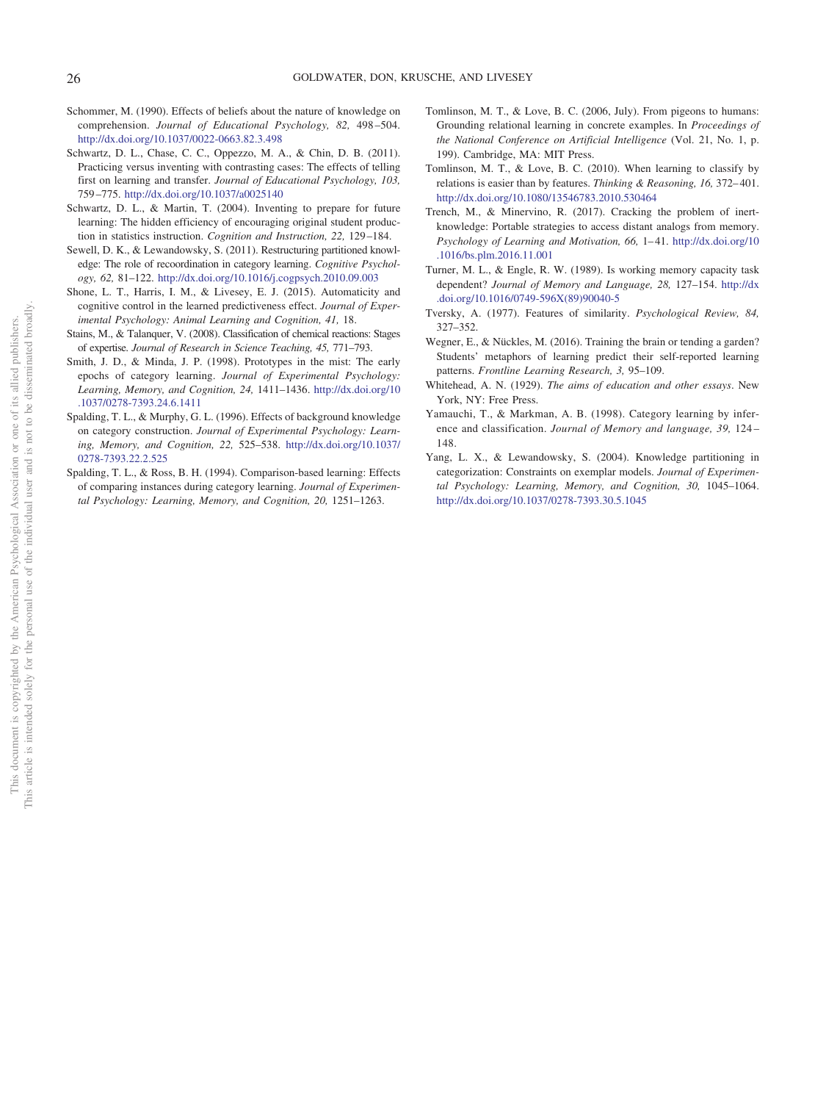- <span id="page-25-15"></span>Schommer, M. (1990). Effects of beliefs about the nature of knowledge on comprehension. *Journal of Educational Psychology, 82,* 498 –504. <http://dx.doi.org/10.1037/0022-0663.82.3.498>
- <span id="page-25-3"></span>Schwartz, D. L., Chase, C. C., Oppezzo, M. A., & Chin, D. B. (2011). Practicing versus inventing with contrasting cases: The effects of telling first on learning and transfer. *Journal of Educational Psychology, 103,* 759 –775. <http://dx.doi.org/10.1037/a0025140>
- <span id="page-25-6"></span>Schwartz, D. L., & Martin, T. (2004). Inventing to prepare for future learning: The hidden efficiency of encouraging original student production in statistics instruction. *Cognition and Instruction, 22,* 129 –184.
- <span id="page-25-17"></span>Sewell, D. K., & Lewandowsky, S. (2011). Restructuring partitioned knowledge: The role of recoordination in category learning. *Cognitive Psychology, 62,* 81–122. <http://dx.doi.org/10.1016/j.cogpsych.2010.09.003>
- <span id="page-25-9"></span>Shone, L. T., Harris, I. M., & Livesey, E. J. (2015). Automaticity and cognitive control in the learned predictiveness effect. *Journal of Experimental Psychology: Animal Learning and Cognition, 41,* 18.
- <span id="page-25-0"></span>Stains, M., & Talanquer, V. (2008). Classification of chemical reactions: Stages of expertise. *Journal of Research in Science Teaching, 45,* 771–793.
- <span id="page-25-12"></span>Smith, J. D., & Minda, J. P. (1998). Prototypes in the mist: The early epochs of category learning. *Journal of Experimental Psychology: Learning, Memory, and Cognition, 24,* 1411–1436. [http://dx.doi.org/10](http://dx.doi.org/10.1037/0278-7393.24.6.1411) [.1037/0278-7393.24.6.1411](http://dx.doi.org/10.1037/0278-7393.24.6.1411)
- <span id="page-25-5"></span>Spalding, T. L., & Murphy, G. L. (1996). Effects of background knowledge on category construction. *Journal of Experimental Psychology: Learning, Memory, and Cognition, 22,* 525–538. [http://dx.doi.org/10.1037/](http://dx.doi.org/10.1037/0278-7393.22.2.525) [0278-7393.22.2.525](http://dx.doi.org/10.1037/0278-7393.22.2.525)
- <span id="page-25-8"></span>Spalding, T. L., & Ross, B. H. (1994). Comparison-based learning: Effects of comparing instances during category learning. *Journal of Experimental Psychology: Learning, Memory, and Cognition, 20,* 1251–1263.
- <span id="page-25-14"></span>Tomlinson, M. T., & Love, B. C. (2006, July). From pigeons to humans: Grounding relational learning in concrete examples. In *Proceedings of the National Conference on Artificial Intelligence* (Vol. 21, No. 1, p. 199). Cambridge, MA: MIT Press.
- <span id="page-25-4"></span>Tomlinson, M. T., & Love, B. C. (2010). When learning to classify by relations is easier than by features. *Thinking & Reasoning, 16, 372-401*. <http://dx.doi.org/10.1080/13546783.2010.530464>
- <span id="page-25-2"></span>Trench, M., & Minervino, R. (2017). Cracking the problem of inertknowledge: Portable strategies to access distant analogs from memory. *Psychology of Learning and Motivation, 66,* 1– 41. [http://dx.doi.org/10](http://dx.doi.org/10.1016/bs.plm.2016.11.001) [.1016/bs.plm.2016.11.001](http://dx.doi.org/10.1016/bs.plm.2016.11.001)
- <span id="page-25-10"></span>Turner, M. L., & Engle, R. W. (1989). Is working memory capacity task dependent? *Journal of Memory and Language, 28,* 127–154. [http://dx](http://dx.doi.org/10.1016/0749-596X%2889%2990040-5) [.doi.org/10.1016/0749-596X\(89\)90040-5](http://dx.doi.org/10.1016/0749-596X%2889%2990040-5)
- <span id="page-25-13"></span>Tversky, A. (1977). Features of similarity. *Psychological Review, 84,* 327–352.
- <span id="page-25-16"></span>Wegner, E., & Nückles, M. (2016). Training the brain or tending a garden? Students' metaphors of learning predict their self-reported learning patterns. *Frontline Learning Research, 3,* 95–109.
- <span id="page-25-1"></span>Whitehead, A. N. (1929). *The aims of education and other essays*. New York, NY: Free Press.
- <span id="page-25-11"></span>Yamauchi, T., & Markman, A. B. (1998). Category learning by inference and classification. *Journal of Memory and language, 39,* 124 – 148.
- <span id="page-25-7"></span>Yang, L. X., & Lewandowsky, S. (2004). Knowledge partitioning in categorization: Constraints on exemplar models. *Journal of Experimental Psychology: Learning, Memory, and Cognition, 30,* 1045–1064. <http://dx.doi.org/10.1037/0278-7393.30.5.1045>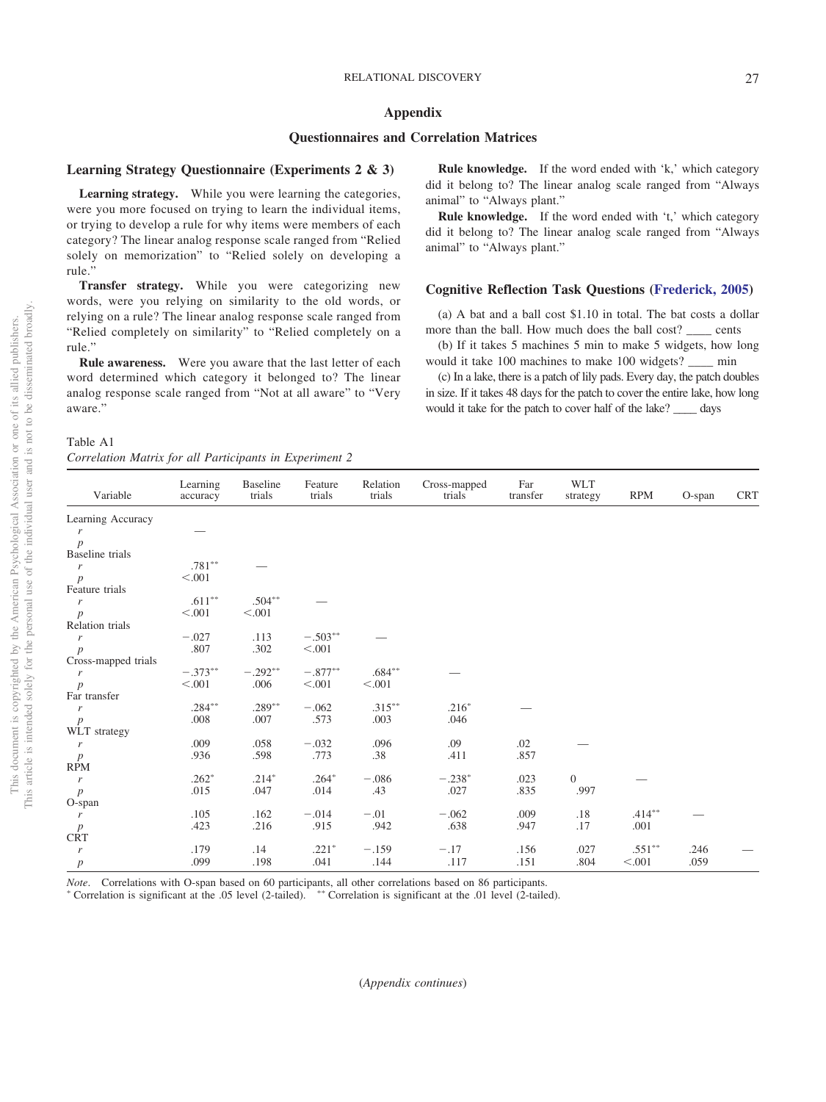## <span id="page-26-0"></span>**Appendix**

## **Questionnaires and Correlation Matrices**

#### **Learning Strategy Questionnaire (Experiments 2 & 3)**

**Learning strategy.** While you were learning the categories, were you more focused on trying to learn the individual items, or trying to develop a rule for why items were members of each category? The linear analog response scale ranged from "Relied solely on memorization" to "Relied solely on developing a rule."

**Transfer strategy.** While you were categorizing new words, were you relying on similarity to the old words, or relying on a rule? The linear analog response scale ranged from "Relied completely on similarity" to "Relied completely on a rule."

**Rule awareness.** Were you aware that the last letter of each word determined which category it belonged to? The linear analog response scale ranged from "Not at all aware" to "Very aware."

> Baseline trials

 $\overline{\phantom{a}}$   $\overline{\phantom{a}}$ 

\*  $.504**$ 

\*  $-.292**$ 

 $.289^*$ <br> $.007$ -

*p* .008 .007 .573 .003 .046

*p*  $< .001$   $.006$   $< .001$   $< .001$ 

Feature trials

 $\overline{\phantom{a}}$   $\overline{\phantom{a}}$ 

 $-503**$ 

\*  $-.877**$ 

Relation trials

Cross-mapped trials

Far transfer

Table A1 *Correlation Matrix for all Participants in Experiment 2*

Learning accuracy

**Rule knowledge.** If the word ended with 'k,' which category did it belong to? The linear analog scale ranged from "Always animal" to "Always plant."

**Rule knowledge.** If the word ended with 't,' which category did it belong to? The linear analog scale ranged from "Always animal" to "Always plant."

## **Cognitive Reflection Task Questions [\(Frederick, 2005\)](#page-22-23)**

(a) A bat and a ball cost \$1.10 in total. The bat costs a dollar more than the ball. How much does the ball cost? \_\_\_\_ cents

(b) If it takes 5 machines 5 min to make 5 widgets, how long would it take 100 machines to make 100 widgets? \_\_\_\_ min

(c) In a lake, there is a patch of lily pads. Every day, the patch doubles in size. If it takes 48 days for the patch to cover the entire lake, how long would it take for the patch to cover half of the lake? days

WLT<br>strategy

RPM O-span CRT

 $.246$ 

| $.414***$ |
|-----------|
|           |
|           |
| .24       |
| $.551***$ |

 $\overline{\phantom{a}}$ 

\*  $.684**$ 

 $-315$ <sup>\*\*</sup>

*p* .099 .198 .041 .144 .117 .151 .804 .001 .059

 $-0.062$  .315<br>573 .003

—

.216-

 $\overline{\phantom{a}}$ 

*Note*. Correlations with O-span based on 60 participants, all other correlations based on 86 participants.

" Correlation is significant at the .05 level (2-tailed).  $***$  Correlation is significant at the .01 level (2-tailed).

Variable

Learning Accuracy

*p* Baseline trials

Feature trials  $\frac{r}{r}$ 

Relation trials

Far transfer

WLT strategy

Cross-mapped trials

*r* —

 $r$  .781<sup>\*\*</sup>

 $r$  .611<sup>\*\*</sup>

 $r$  ...  $-0.373**$ 

 $r$  .284<sup>\*\*</sup>

*p*  $< .001$   $< .001$ 

 $r = -027$  .113  $-.503^*$ 

*p* .807 .302 <.001

*p*  $< .001$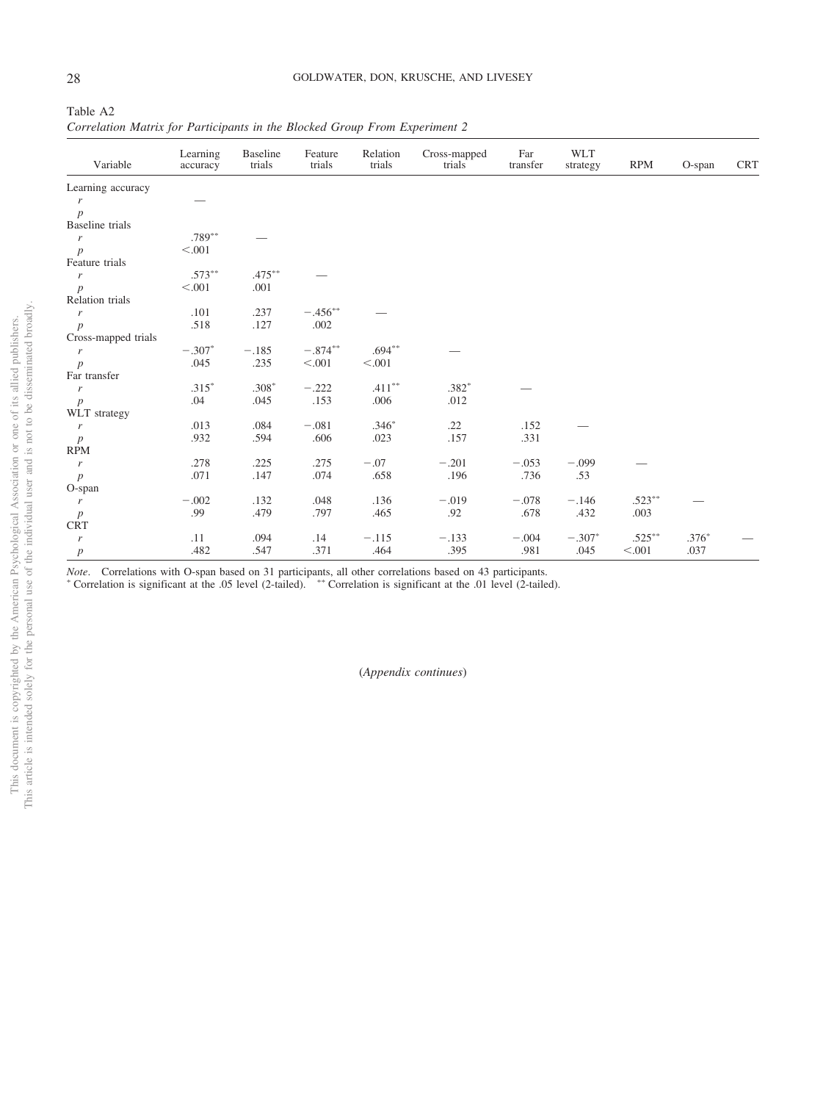Table A2 *Correlation Matrix for Participants in the Blocked Group From Experiment 2*

| Variable               | Learning<br>accuracy | <b>Baseline</b><br>trials | Feature<br>trials | Relation<br>trials | Cross-mapped<br>trials | Far<br>transfer | <b>WLT</b><br>strategy | <b>RPM</b> | $O$ -span | <b>CRT</b> |
|------------------------|----------------------|---------------------------|-------------------|--------------------|------------------------|-----------------|------------------------|------------|-----------|------------|
| Learning accuracy      |                      |                           |                   |                    |                        |                 |                        |            |           |            |
| r                      |                      |                           |                   |                    |                        |                 |                        |            |           |            |
| $\boldsymbol{p}$       |                      |                           |                   |                    |                        |                 |                        |            |           |            |
| <b>Baseline</b> trials |                      |                           |                   |                    |                        |                 |                        |            |           |            |
| $\boldsymbol{r}$       | $.789**$             |                           |                   |                    |                        |                 |                        |            |           |            |
| $\boldsymbol{p}$       | < .001               |                           |                   |                    |                        |                 |                        |            |           |            |
| Feature trials         |                      |                           |                   |                    |                        |                 |                        |            |           |            |
| $\boldsymbol{r}$       | $.573***$            | $.475***$                 |                   |                    |                        |                 |                        |            |           |            |
| $\boldsymbol{p}$       | < .001               | .001                      |                   |                    |                        |                 |                        |            |           |            |
| Relation trials        |                      |                           |                   |                    |                        |                 |                        |            |           |            |
| $\boldsymbol{r}$       | .101                 | .237                      | $-.456**$         |                    |                        |                 |                        |            |           |            |
| $\boldsymbol{p}$       | .518                 | .127                      | .002              |                    |                        |                 |                        |            |           |            |
| Cross-mapped trials    |                      |                           |                   |                    |                        |                 |                        |            |           |            |
| $\boldsymbol{r}$       | $-.307*$             | $-.185$                   | $-.874**$         | $.694***$          |                        |                 |                        |            |           |            |
| $\boldsymbol{p}$       | .045                 | .235                      | < .001            | < 0.001            |                        |                 |                        |            |           |            |
| Far transfer           |                      |                           |                   |                    |                        |                 |                        |            |           |            |
| $\boldsymbol{r}$       | $.315*$              | $.308*$                   | $-.222$           | $.411***$          | $.382*$                |                 |                        |            |           |            |
| $\boldsymbol{p}$       | .04                  | .045                      | .153              | .006               | .012                   |                 |                        |            |           |            |
| WLT strategy           |                      |                           |                   |                    |                        |                 |                        |            |           |            |
| $\boldsymbol{r}$       | .013                 | .084                      | $-.081$           | $.346*$            | .22                    | .152            |                        |            |           |            |
| $\boldsymbol{p}$       | .932                 | .594                      | .606              | .023               | .157                   | .331            |                        |            |           |            |
| <b>RPM</b>             |                      |                           |                   |                    |                        |                 |                        |            |           |            |
| $\boldsymbol{r}$       | .278                 | .225                      | .275              | $-.07$             | $-.201$                | $-.053$         | $-.099$                |            |           |            |
| $\boldsymbol{p}$       | .071                 | .147                      | .074              | .658               | .196                   | .736            | .53                    |            |           |            |
| O-span                 |                      |                           |                   |                    |                        |                 |                        |            |           |            |
| $\boldsymbol{r}$       | $-.002$              | .132                      | .048              | .136               | $-.019$                | $-.078$         | $-.146$                | $.523***$  |           |            |
| $\boldsymbol{p}$       | .99                  | .479                      | .797              | .465               | .92                    | .678            | .432                   | .003       |           |            |
| <b>CRT</b>             |                      |                           |                   |                    |                        |                 |                        |            |           |            |
| $\boldsymbol{r}$       | .11                  | .094                      | .14               | $-.115$            | $-.133$                | $-.004$         | $-.307*$               | $.525***$  | $.376*$   |            |
| $\boldsymbol{p}$       | .482                 | .547                      | .371              | .464               | .395                   | .981            | .045                   | < .001     | .037      |            |

*Note*. Correlations with O-span based on 31 participants, all other correlations based on 43 participants.

" Correlation is significant at the .05 level (2-tailed).  $***$  Correlation is significant at the .01 level (2-tailed).

(*Appendix continues*)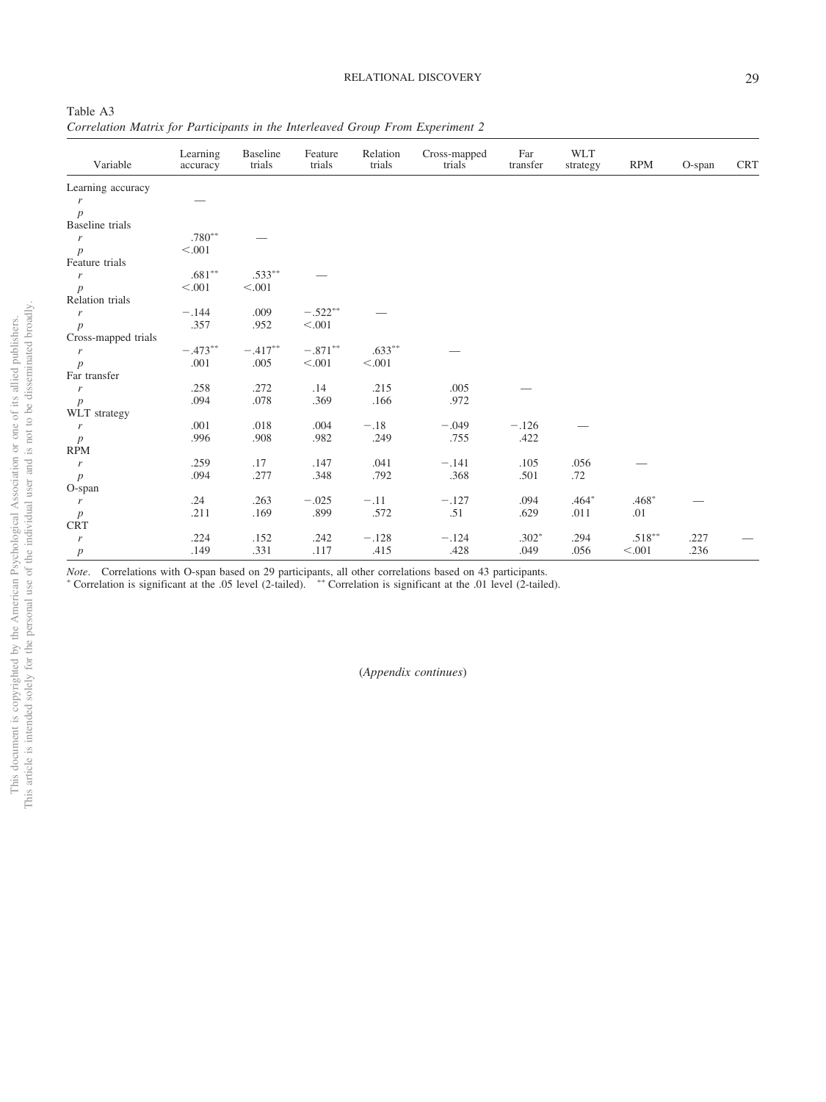Table A3 *Correlation Matrix for Participants in the Interleaved Group From Experiment 2*

| Variable                    | Learning<br>accuracy | Baseline<br>trials | Feature<br>trials | Relation<br>trials | Cross-mapped<br>trials | Far<br>transfer | <b>WLT</b><br>strategy | <b>RPM</b> | O-span | <b>CRT</b> |
|-----------------------------|----------------------|--------------------|-------------------|--------------------|------------------------|-----------------|------------------------|------------|--------|------------|
| Learning accuracy           |                      |                    |                   |                    |                        |                 |                        |            |        |            |
| r                           |                      |                    |                   |                    |                        |                 |                        |            |        |            |
| $\overline{p}$              |                      |                    |                   |                    |                        |                 |                        |            |        |            |
| Baseline trials             |                      |                    |                   |                    |                        |                 |                        |            |        |            |
| $\boldsymbol{r}$            | $.780**$             |                    |                   |                    |                        |                 |                        |            |        |            |
| $\boldsymbol{p}$            | < .001               |                    |                   |                    |                        |                 |                        |            |        |            |
| Feature trials              |                      |                    |                   |                    |                        |                 |                        |            |        |            |
| $\boldsymbol{r}$            | $.681**$             | $.533***$          |                   |                    |                        |                 |                        |            |        |            |
| $\boldsymbol{p}$            | < .001               | < .001             |                   |                    |                        |                 |                        |            |        |            |
| Relation trials             |                      |                    |                   |                    |                        |                 |                        |            |        |            |
| $\boldsymbol{r}$            | $-.144$              | .009               | $-.522**$         |                    |                        |                 |                        |            |        |            |
| $\boldsymbol{p}$            | .357                 | .952               | $<.001$           |                    |                        |                 |                        |            |        |            |
| Cross-mapped trials         |                      |                    |                   |                    |                        |                 |                        |            |        |            |
| $\boldsymbol{r}$            | $-.473**$            | $-.417**$          | $-.871**$         | $.633**$           |                        |                 |                        |            |        |            |
| $\boldsymbol{p}$            | .001                 | .005               | < 0.001           | < 0.001            |                        |                 |                        |            |        |            |
| Far transfer                |                      |                    |                   |                    |                        |                 |                        |            |        |            |
| $\boldsymbol{r}$            | .258                 | .272               | .14               | .215               | .005                   |                 |                        |            |        |            |
| $\boldsymbol{p}$            | .094                 | .078               | .369              | .166               | .972                   |                 |                        |            |        |            |
| WLT strategy                |                      |                    |                   |                    |                        |                 |                        |            |        |            |
| $\boldsymbol{r}$            | .001                 | $.018\,$           | .004              | $-.18$             | $-.049$                | $-.126$         |                        |            |        |            |
| $\boldsymbol{p}$            | .996                 | .908               | .982              | .249               | .755                   | .422            |                        |            |        |            |
| <b>RPM</b>                  |                      |                    |                   |                    |                        |                 |                        |            |        |            |
| $\boldsymbol{r}$            | .259                 | .17                | .147              | .041               | $-.141$                | .105            | .056                   |            |        |            |
| $\boldsymbol{p}$            | .094                 | .277               | .348              | .792               | .368                   | .501            | .72                    |            |        |            |
| O-span                      |                      |                    |                   |                    |                        |                 |                        |            |        |            |
| $\boldsymbol{r}$            | .24                  | .263               | $-.025$           | $-.11$             | $-.127$                | .094            | $.464*$                | $.468*$    |        |            |
| $\boldsymbol{p}$            | .211                 | .169               | .899              | .572               | .51                    | .629            | .011                   | .01        |        |            |
| $\ensuremath{\mathsf{CRT}}$ |                      |                    |                   |                    |                        |                 |                        |            |        |            |
| r                           | .224                 | .152               | .242              | $-.128$            | $-.124$                | $.302*$         | .294                   | $.518***$  | .227   |            |
| $\boldsymbol{p}$            | .149                 | .331               | .117              | .415               | .428                   | .049            | .056                   | < .001     | .236   |            |

*Note*. Correlations with O-span based on 29 participants, all other correlations based on 43 participants.

" Correlation is significant at the .05 level (2-tailed).  $***$  Correlation is significant at the .01 level (2-tailed).

(*Appendix continues*)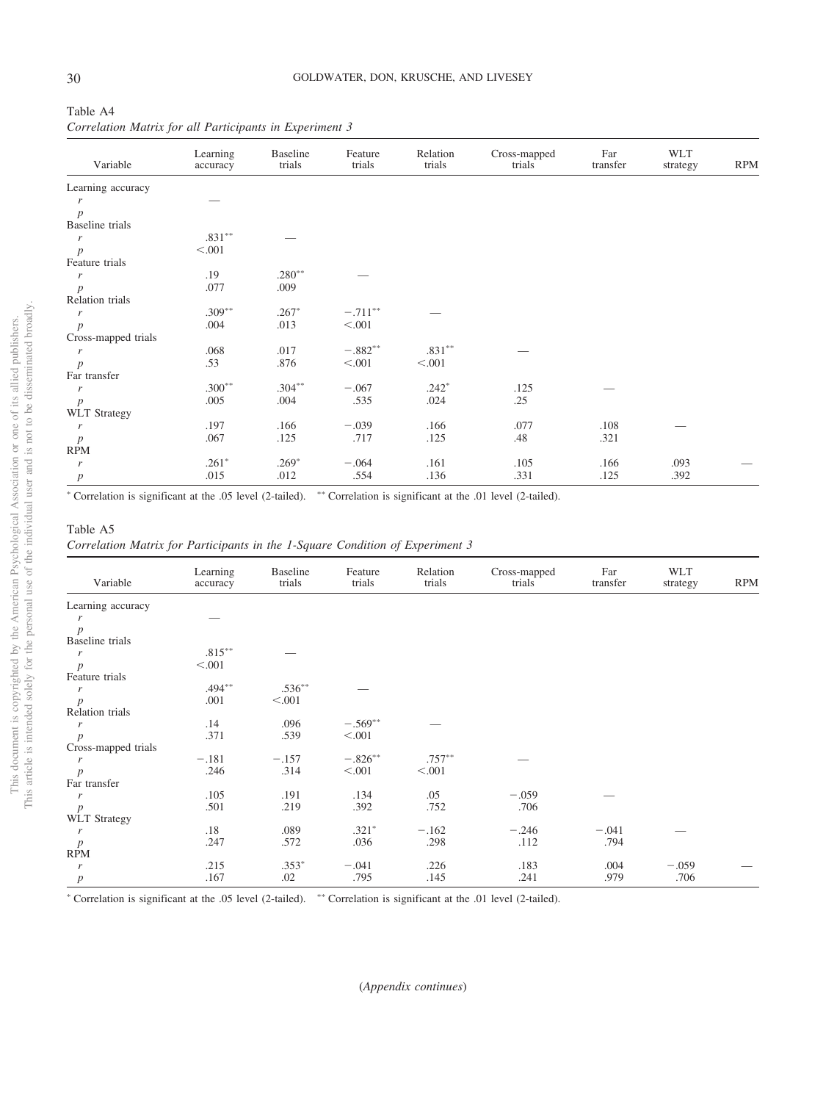| Table A4 |  |  |                                                         |
|----------|--|--|---------------------------------------------------------|
|          |  |  | Correlation Matrix for all Participants in Experiment 3 |

| Learning accuracy<br>r<br>p<br>Baseline trials<br>$.831***$<br>r<br>< .001<br>$\boldsymbol{p}$<br>Feature trials<br>$.280**$<br>.19<br>r<br>.077<br>.009<br>$\boldsymbol{p}$<br>Relation trials<br>$.309***$<br>$.267*$<br>$-.711***$<br>r<br>.004<br>.013<br>< 0.001<br>$\boldsymbol{p}$<br>Cross-mapped trials | <b>RPM</b> |
|------------------------------------------------------------------------------------------------------------------------------------------------------------------------------------------------------------------------------------------------------------------------------------------------------------------|------------|
|                                                                                                                                                                                                                                                                                                                  |            |
|                                                                                                                                                                                                                                                                                                                  |            |
|                                                                                                                                                                                                                                                                                                                  |            |
|                                                                                                                                                                                                                                                                                                                  |            |
|                                                                                                                                                                                                                                                                                                                  |            |
|                                                                                                                                                                                                                                                                                                                  |            |
|                                                                                                                                                                                                                                                                                                                  |            |
|                                                                                                                                                                                                                                                                                                                  |            |
|                                                                                                                                                                                                                                                                                                                  |            |
|                                                                                                                                                                                                                                                                                                                  |            |
|                                                                                                                                                                                                                                                                                                                  |            |
|                                                                                                                                                                                                                                                                                                                  |            |
|                                                                                                                                                                                                                                                                                                                  |            |
| $.831***$<br>$-.882**$<br>.068<br>.017<br>r                                                                                                                                                                                                                                                                      |            |
| .53<br>.876<br>< 0.001<br>< 0.001<br>$\boldsymbol{p}$                                                                                                                                                                                                                                                            |            |
| Far transfer                                                                                                                                                                                                                                                                                                     |            |
| $.300**$<br>$.304***$<br>$-.067$<br>$.242*$<br>.125<br>r                                                                                                                                                                                                                                                         |            |
| .25<br>.005<br>.004<br>.535<br>.024<br>$\boldsymbol{p}$                                                                                                                                                                                                                                                          |            |
| <b>WLT</b> Strategy                                                                                                                                                                                                                                                                                              |            |
| .197<br>.166<br>.166<br>$-.039$<br>.077<br>.108<br>r                                                                                                                                                                                                                                                             |            |
| .067<br>.125<br>.717<br>.125<br>.48<br>.321<br>$\boldsymbol{p}$                                                                                                                                                                                                                                                  |            |
| <b>RPM</b>                                                                                                                                                                                                                                                                                                       |            |
| $.261*$<br>$.269*$<br>.161<br>$-.064$<br>.105<br>.093<br>.166<br>r                                                                                                                                                                                                                                               |            |
| .015<br>.012<br>.554<br>.331<br>.392<br>.136<br>.125<br>$\boldsymbol{p}$                                                                                                                                                                                                                                         |            |

## Table A5

*Correlation Matrix for Participants in the 1-Square Condition of Experiment 3*

| Variable               | Learning<br>accuracy | <b>Baseline</b><br>trials | Feature<br>trials | Relation<br>trials | Cross-mapped<br>trials | Far<br>transfer | <b>WLT</b><br>strategy | <b>RPM</b> |
|------------------------|----------------------|---------------------------|-------------------|--------------------|------------------------|-----------------|------------------------|------------|
| Learning accuracy      |                      |                           |                   |                    |                        |                 |                        |            |
| r                      |                      |                           |                   |                    |                        |                 |                        |            |
| $\boldsymbol{p}$       |                      |                           |                   |                    |                        |                 |                        |            |
| <b>Baseline</b> trials |                      |                           |                   |                    |                        |                 |                        |            |
| r                      | $.815***$            |                           |                   |                    |                        |                 |                        |            |
| $\boldsymbol{p}$       | < 0.001              |                           |                   |                    |                        |                 |                        |            |
| Feature trials         |                      |                           |                   |                    |                        |                 |                        |            |
| r                      | $.494***$            | $.536***$                 |                   |                    |                        |                 |                        |            |
| $\boldsymbol{p}$       | .001                 | < .001                    |                   |                    |                        |                 |                        |            |
| Relation trials        |                      |                           |                   |                    |                        |                 |                        |            |
| r                      | .14                  | .096                      | $-.569**$         |                    |                        |                 |                        |            |
| $\boldsymbol{p}$       | .371                 | .539                      | < 0.001           |                    |                        |                 |                        |            |
| Cross-mapped trials    |                      |                           |                   |                    |                        |                 |                        |            |
| r                      | $-.181$              | $-.157$                   | $-.826***$        | $.757***$          |                        |                 |                        |            |
| $\boldsymbol{p}$       | .246                 | .314                      | < 0.001           | < 0.001            |                        |                 |                        |            |
| Far transfer           |                      |                           |                   |                    |                        |                 |                        |            |
| r                      | .105                 | .191                      | .134              | .05                | $-.059$                |                 |                        |            |
| $\boldsymbol{p}$       | .501                 | .219                      | .392              | .752               | .706                   |                 |                        |            |
| <b>WLT</b> Strategy    |                      |                           |                   |                    |                        |                 |                        |            |
| r                      | .18                  | .089                      | $.321*$           | $-.162$            | $-.246$                | $-.041$         |                        |            |
| $\boldsymbol{p}$       | .247                 | .572                      | .036              | .298               | .112                   | .794            |                        |            |
| <b>RPM</b>             |                      |                           |                   |                    |                        |                 |                        |            |
| r                      | .215                 | $.353*$                   | $-.041$           | .226               | .183                   | .004            | $-.059$                |            |
| $\boldsymbol{p}$       | .167                 | .02                       | .795              | .145               | .241                   | .979            | .706                   |            |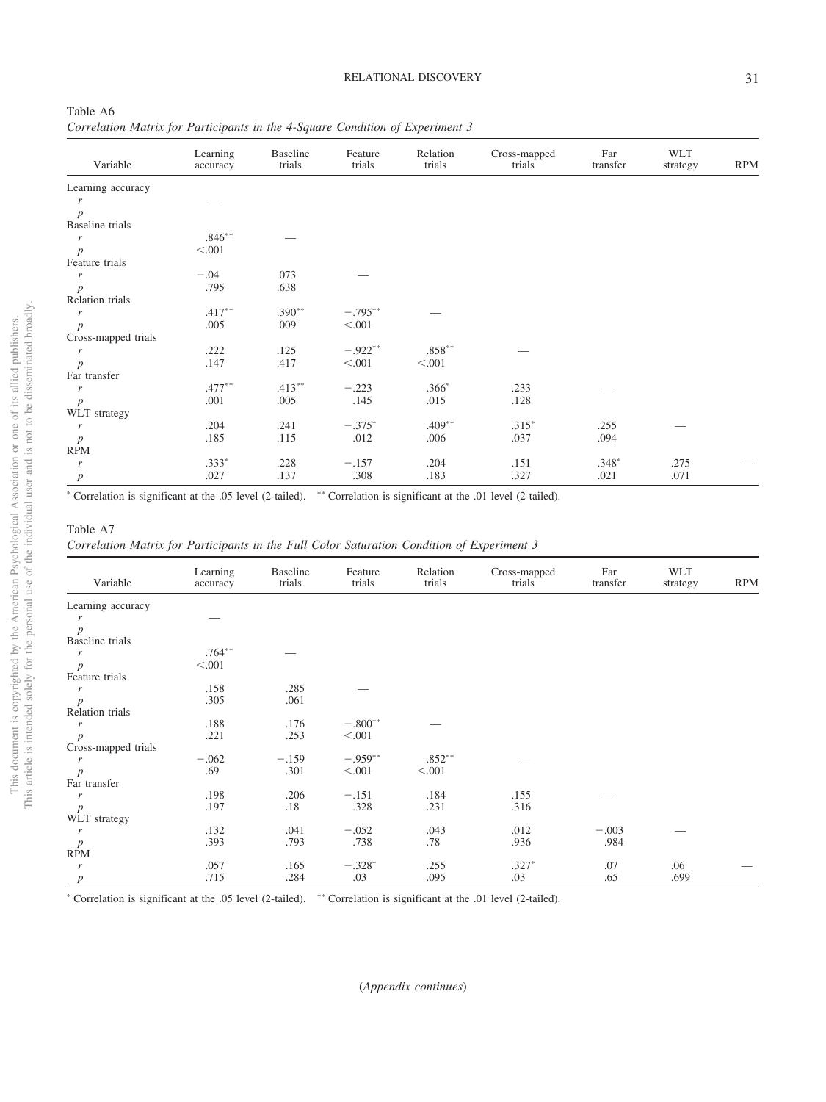| Variable               | Learning<br>accuracy | Baseline<br>trials | Feature<br>trials | Relation<br>trials | Cross-mapped<br>trials | Far<br>transfer | <b>WLT</b><br>strategy | <b>RPM</b> |
|------------------------|----------------------|--------------------|-------------------|--------------------|------------------------|-----------------|------------------------|------------|
| Learning accuracy      |                      |                    |                   |                    |                        |                 |                        |            |
|                        |                      |                    |                   |                    |                        |                 |                        |            |
| $\boldsymbol{p}$       |                      |                    |                   |                    |                        |                 |                        |            |
| <b>Baseline</b> trials |                      |                    |                   |                    |                        |                 |                        |            |
| $\boldsymbol{r}$       | $.846**$             |                    |                   |                    |                        |                 |                        |            |
| $\boldsymbol{p}$       | < 0.001              |                    |                   |                    |                        |                 |                        |            |
| Feature trials         |                      |                    |                   |                    |                        |                 |                        |            |
| $\mathbf{r}$           | $-.04$               | .073               |                   |                    |                        |                 |                        |            |
| $\boldsymbol{p}$       | .795                 | .638               |                   |                    |                        |                 |                        |            |
| Relation trials        |                      |                    |                   |                    |                        |                 |                        |            |
| $\mathbf{r}$           | $.417***$            | $.390**$           | $-.795***$        |                    |                        |                 |                        |            |
| $\boldsymbol{p}$       | .005                 | .009               | < 0.001           |                    |                        |                 |                        |            |
| Cross-mapped trials    |                      |                    |                   |                    |                        |                 |                        |            |
| r                      | .222                 | .125               | $-.922**$         | $.858***$          |                        |                 |                        |            |
| $\boldsymbol{p}$       | .147                 | .417               | < 0.001           | < 0.001            |                        |                 |                        |            |
| Far transfer           |                      |                    |                   |                    |                        |                 |                        |            |
| r                      | $.477***$            | $.413***$          | $-.223$           | $.366*$            | .233                   |                 |                        |            |
| $\boldsymbol{p}$       | .001                 | .005               | .145              | .015               | .128                   |                 |                        |            |
| WLT strategy           |                      |                    |                   |                    |                        |                 |                        |            |
| r                      | .204                 | .241               | $-.375*$          | $.409**$           | $.315*$                | .255            |                        |            |
| $\boldsymbol{p}$       | .185                 | .115               | .012              | .006               | .037                   | .094            |                        |            |
| <b>RPM</b>             |                      |                    |                   |                    |                        |                 |                        |            |
| r                      | $.333*$              | .228               | $-.157$           | .204               | .151                   | $.348*$         | .275                   |            |
| $\boldsymbol{p}$       | .027                 | .137               | .308              | .183               | .327                   | .021            | .071                   |            |
|                        |                      |                    |                   |                    |                        |                 |                        |            |

#### Table A7

*Correlation Matrix for Participants in the Full Color Saturation Condition of Experiment 3*

| Variable               | Learning<br>accuracy | <b>Baseline</b><br>trials | Feature<br>trials | Relation<br>trials | Cross-mapped<br>trials | Far<br>transfer | <b>WLT</b><br>strategy | <b>RPM</b> |
|------------------------|----------------------|---------------------------|-------------------|--------------------|------------------------|-----------------|------------------------|------------|
| Learning accuracy      |                      |                           |                   |                    |                        |                 |                        |            |
| r                      |                      |                           |                   |                    |                        |                 |                        |            |
| $\boldsymbol{p}$       |                      |                           |                   |                    |                        |                 |                        |            |
| <b>Baseline</b> trials |                      |                           |                   |                    |                        |                 |                        |            |
| $\boldsymbol{r}$       | $.764***$            |                           |                   |                    |                        |                 |                        |            |
| $\boldsymbol{p}$       | < .001               |                           |                   |                    |                        |                 |                        |            |
| Feature trials         |                      |                           |                   |                    |                        |                 |                        |            |
| r                      | .158                 | .285                      |                   |                    |                        |                 |                        |            |
|                        | .305                 | .061                      |                   |                    |                        |                 |                        |            |
| $p$<br>Relation trials |                      |                           |                   |                    |                        |                 |                        |            |
| $\boldsymbol{r}$       | .188                 | .176                      | $-.800**$         |                    |                        |                 |                        |            |
| $\boldsymbol{p}$       | .221                 | .253                      | < .001            |                    |                        |                 |                        |            |
| Cross-mapped trials    |                      |                           |                   |                    |                        |                 |                        |            |
| $\boldsymbol{r}$       | $-.062$              | $-.159$                   | $-.959**$         | $.852***$          |                        |                 |                        |            |
| $\boldsymbol{p}$       | .69                  | .301                      | < 0.001           | < 0.001            |                        |                 |                        |            |
| Far transfer           |                      |                           |                   |                    |                        |                 |                        |            |
| $\boldsymbol{r}$       | .198                 | .206                      | $-.151$           | .184               | .155                   |                 |                        |            |
| $\boldsymbol{p}$       | .197                 | .18                       | .328              | .231               | .316                   |                 |                        |            |
| WLT strategy           |                      |                           |                   |                    |                        |                 |                        |            |
| $\boldsymbol{r}$       | .132                 | .041                      | $-.052$           | .043               | .012                   | $-.003$         |                        |            |
|                        | .393                 | .793                      | .738              | .78                | .936                   | .984            |                        |            |
| $\frac{p}{\text{RPM}}$ |                      |                           |                   |                    |                        |                 |                        |            |
| $\boldsymbol{r}$       | .057                 | .165                      | $-.328*$          | .255               | $.327*$                | .07             | .06                    |            |
| $\boldsymbol{p}$       | .715                 | .284                      | .03               | .095               | .03                    | .65             | .699                   |            |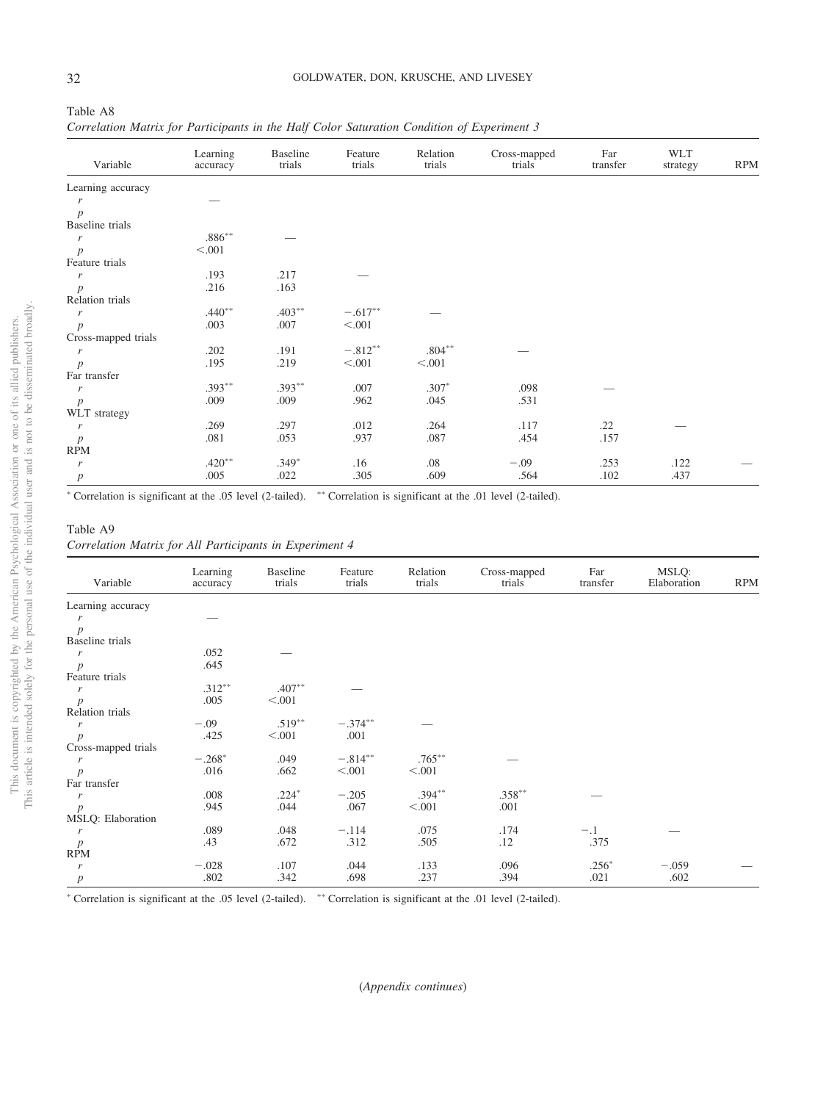| Table A8                                                                                   |  |  |  |  |  |
|--------------------------------------------------------------------------------------------|--|--|--|--|--|
| Correlation Matrix for Participants in the Half Color Saturation Condition of Experiment 3 |  |  |  |  |  |

| Variable                       | Learning<br>accuracy | <b>Baseline</b><br>trials | Feature<br>trials | Relation<br>trials | Cross-mapped<br>trials | Far<br>transfer | <b>WLT</b><br>strategy | <b>RPM</b> |
|--------------------------------|----------------------|---------------------------|-------------------|--------------------|------------------------|-----------------|------------------------|------------|
| Learning accuracy              |                      |                           |                   |                    |                        |                 |                        |            |
| r                              |                      |                           |                   |                    |                        |                 |                        |            |
| $\boldsymbol{p}$               |                      |                           |                   |                    |                        |                 |                        |            |
| <b>Baseline</b> trials         |                      |                           |                   |                    |                        |                 |                        |            |
| r                              | $.886**$             |                           |                   |                    |                        |                 |                        |            |
| $\boldsymbol{p}$               | < 0.001              |                           |                   |                    |                        |                 |                        |            |
| Feature trials                 |                      |                           |                   |                    |                        |                 |                        |            |
| r                              | .193                 | .217                      |                   |                    |                        |                 |                        |            |
| $\boldsymbol{p}$               | .216                 | .163                      |                   |                    |                        |                 |                        |            |
| Relation trials                |                      |                           |                   |                    |                        |                 |                        |            |
| r                              | $.440**$             | $.403***$                 | $-.617**$         |                    |                        |                 |                        |            |
| $\boldsymbol{p}$               | .003                 | .007                      | < 0.001           |                    |                        |                 |                        |            |
| Cross-mapped trials            |                      |                           |                   |                    |                        |                 |                        |            |
| r                              | .202                 | .191                      | $-.812**$         | $.804***$          |                        |                 |                        |            |
| $\boldsymbol{p}$               | .195                 | .219                      | < 0.001           | < .001             |                        |                 |                        |            |
| Far transfer                   |                      |                           |                   |                    |                        |                 |                        |            |
| r                              | $.393**$             | $.393**$                  | .007              | $.307*$            | .098                   |                 |                        |            |
| $\boldsymbol{p}$               | .009                 | .009                      | .962              | .045               | .531                   |                 |                        |            |
| WLT strategy                   |                      |                           |                   |                    |                        |                 |                        |            |
| r                              | .269                 | .297                      | .012              | .264               | .117                   | .22             |                        |            |
|                                | .081                 | .053                      | .937              | .087               | .454                   | .157            |                        |            |
| $\boldsymbol{p}$<br><b>RPM</b> |                      |                           |                   |                    |                        |                 |                        |            |
| r                              | $.420**$             | $.349*$                   | .16               | .08                | $-.09$                 | .253            | .122                   |            |
|                                | .005                 | .022                      | .305              | .609               | .564                   | .102            | .437                   |            |
| $\boldsymbol{p}$               |                      |                           |                   |                    |                        |                 |                        |            |

## Table A9

*Correlation Matrix for All Participants in Experiment 4*

| Variable                                     | Learning<br>accuracy | <b>Baseline</b><br>trials | Feature<br>trials | Relation<br>trials | Cross-mapped<br>trials | Far<br>transfer | MSLQ:<br>Elaboration | <b>RPM</b> |
|----------------------------------------------|----------------------|---------------------------|-------------------|--------------------|------------------------|-----------------|----------------------|------------|
| Learning accuracy                            |                      |                           |                   |                    |                        |                 |                      |            |
| r                                            |                      |                           |                   |                    |                        |                 |                      |            |
| $\boldsymbol{p}$                             |                      |                           |                   |                    |                        |                 |                      |            |
| <b>Baseline</b> trials                       |                      |                           |                   |                    |                        |                 |                      |            |
| r                                            | .052                 |                           |                   |                    |                        |                 |                      |            |
| $\boldsymbol{p}$                             | .645                 |                           |                   |                    |                        |                 |                      |            |
| Feature trials                               |                      |                           |                   |                    |                        |                 |                      |            |
| r                                            | $.312***$            | $.407**$                  |                   |                    |                        |                 |                      |            |
| $\boldsymbol{p}$                             | .005                 | < 0.001                   |                   |                    |                        |                 |                      |            |
| Relation trials                              |                      |                           |                   |                    |                        |                 |                      |            |
| $\boldsymbol{r}$                             | $-.09$               | $.519***$                 | $-.374***$        |                    |                        |                 |                      |            |
| $\boldsymbol{p}$                             | .425                 | < 0.001                   | .001              |                    |                        |                 |                      |            |
| Cross-mapped trials                          |                      |                           |                   |                    |                        |                 |                      |            |
| $\boldsymbol{r}$                             | $-.268*$             | .049                      | $-.814**$         | $.765***$          |                        |                 |                      |            |
| $\boldsymbol{p}$                             | .016                 | .662                      | < 0.001           | < .001             |                        |                 |                      |            |
| Far transfer                                 |                      |                           |                   |                    |                        |                 |                      |            |
| r                                            | .008                 | $.224*$                   | $-.205$           | $.394***$          | $.358***$              |                 |                      |            |
| $\boldsymbol{p}$                             | .945                 | .044                      | .067              | < 0.001            | .001                   |                 |                      |            |
| MSLQ: Elaboration                            |                      |                           |                   |                    |                        |                 |                      |            |
| r                                            | .089                 | .048                      | $-.114$           | .075               | .174                   | $-.1$           |                      |            |
|                                              | .43                  | .672                      | .312              | .505               | .12                    | .375            |                      |            |
| $\frac{p}{RPM}$                              |                      |                           |                   |                    |                        |                 |                      |            |
| r                                            | $-.028$              | .107                      | .044              | .133               | .096                   | $.256*$         | $-.059$              |            |
| $\boldsymbol{p}$<br>$\overline{\phantom{a}}$ | .802                 | .342                      | .698              | .237               | .394                   | .021            | .602                 |            |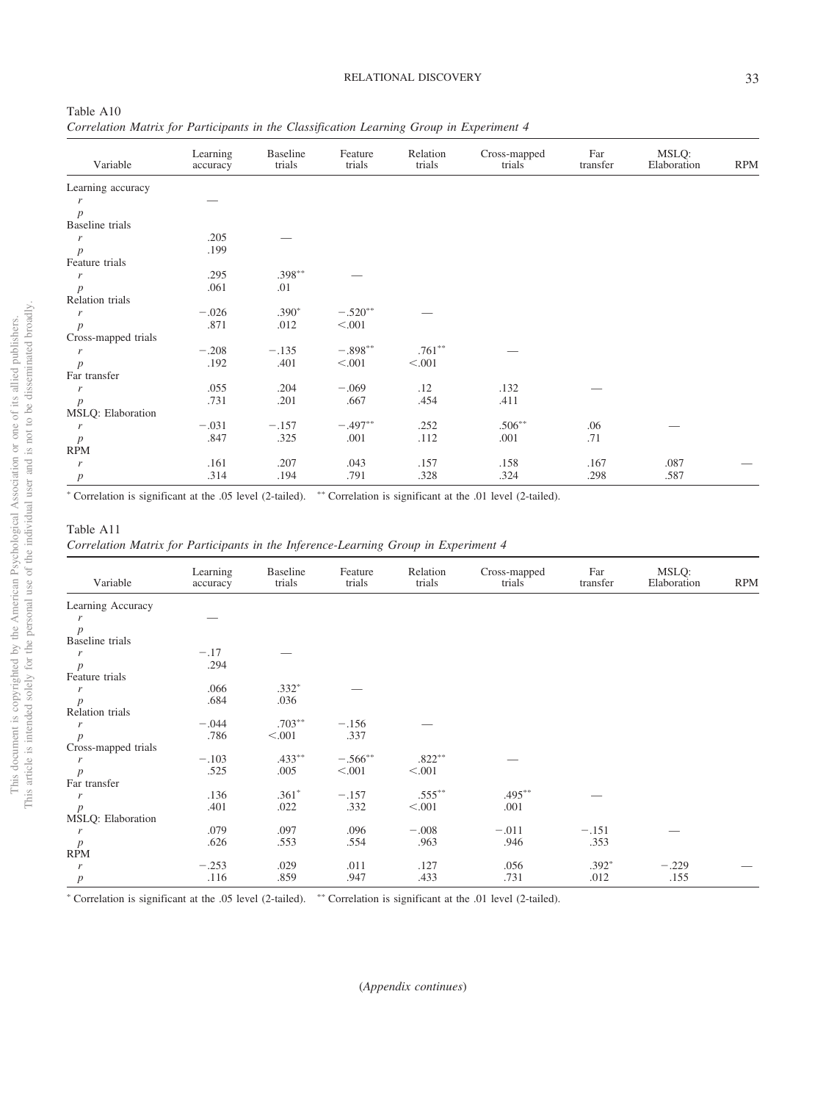| Table A10                                                                                |  |  |  |  |
|------------------------------------------------------------------------------------------|--|--|--|--|
| Correlation Matrix for Participants in the Classification Learning Group in Experiment 4 |  |  |  |  |

| Variable            | Learning<br>accuracy | Baseline<br>trials | Feature<br>trials | Relation<br>trials | Cross-mapped<br>trials | Far<br>transfer | MSLQ:<br>Elaboration | <b>RPM</b> |
|---------------------|----------------------|--------------------|-------------------|--------------------|------------------------|-----------------|----------------------|------------|
| Learning accuracy   |                      |                    |                   |                    |                        |                 |                      |            |
| r                   |                      |                    |                   |                    |                        |                 |                      |            |
| $\overline{p}$      |                      |                    |                   |                    |                        |                 |                      |            |
| Baseline trials     |                      |                    |                   |                    |                        |                 |                      |            |
| $\boldsymbol{r}$    | .205                 |                    |                   |                    |                        |                 |                      |            |
| $\boldsymbol{p}$    | .199                 |                    |                   |                    |                        |                 |                      |            |
| Feature trials      |                      |                    |                   |                    |                        |                 |                      |            |
| $\boldsymbol{r}$    | .295                 | $.398***$          |                   |                    |                        |                 |                      |            |
| $\boldsymbol{p}$    | .061                 | .01                |                   |                    |                        |                 |                      |            |
| Relation trials     |                      |                    |                   |                    |                        |                 |                      |            |
| r                   | $-.026$              | $.390*$            | $-.520**$         |                    |                        |                 |                      |            |
| $\overline{p}$      | .871                 | .012               | < 0.001           |                    |                        |                 |                      |            |
| Cross-mapped trials |                      |                    |                   |                    |                        |                 |                      |            |
| r                   | $-.208$              | $-.135$            | $-.898**$         | $.761**$           |                        |                 |                      |            |
| $\boldsymbol{p}$    | .192                 | .401               | < 0.001           | < 0.001            |                        |                 |                      |            |
| Far transfer        |                      |                    |                   |                    |                        |                 |                      |            |
| r                   | .055                 | .204               | $-.069$           | .12                | .132                   |                 |                      |            |
| $\boldsymbol{p}$    | .731                 | .201               | .667              | .454               | .411                   |                 |                      |            |
| MSLQ: Elaboration   |                      |                    |                   |                    |                        |                 |                      |            |
| $\boldsymbol{r}$    | $-.031$              | $-.157$            | $-.497**$         | .252               | $.506**$               | .06             |                      |            |
| $\boldsymbol{p}$    | .847                 | .325               | .001              | .112               | .001                   | .71             |                      |            |
| <b>RPM</b>          |                      |                    |                   |                    |                        |                 |                      |            |
| $\boldsymbol{r}$    | .161                 | .207               | .043              | .157               | .158                   | .167            | .087                 |            |
| $\boldsymbol{p}$    | .314                 | .194               | .791              | .328               | .324                   | .298            | .587                 |            |

#### Table A11

*Correlation Matrix for Participants in the Inference-Learning Group in Experiment 4*

| Variable               | Learning<br>accuracy | <b>Baseline</b><br>trials | Feature<br>trials | Relation<br>trials | Cross-mapped<br>trials | Far<br>transfer | MSLQ:<br>Elaboration | <b>RPM</b> |
|------------------------|----------------------|---------------------------|-------------------|--------------------|------------------------|-----------------|----------------------|------------|
| Learning Accuracy      |                      |                           |                   |                    |                        |                 |                      |            |
| r                      |                      |                           |                   |                    |                        |                 |                      |            |
| $\boldsymbol{p}$       |                      |                           |                   |                    |                        |                 |                      |            |
| <b>Baseline</b> trials |                      |                           |                   |                    |                        |                 |                      |            |
| r                      | $-.17$               |                           |                   |                    |                        |                 |                      |            |
| $\boldsymbol{p}$       | .294                 |                           |                   |                    |                        |                 |                      |            |
| Feature trials         |                      |                           |                   |                    |                        |                 |                      |            |
| r                      | .066                 | $.332*$                   |                   |                    |                        |                 |                      |            |
| $\boldsymbol{p}$       | .684                 | .036                      |                   |                    |                        |                 |                      |            |
| Relation trials        |                      |                           |                   |                    |                        |                 |                      |            |
| r                      | $-.044$              | $.703***$                 | $-.156$           |                    |                        |                 |                      |            |
| $\boldsymbol{p}$       | .786                 | < 0.001                   | .337              |                    |                        |                 |                      |            |
| Cross-mapped trials    |                      |                           |                   |                    |                        |                 |                      |            |
| r                      | $-.103$              | $.433***$                 | $-.566$ **        | $.822***$          |                        |                 |                      |            |
| $\boldsymbol{p}$       | .525                 | .005                      | < 0.001           | < 0.001            |                        |                 |                      |            |
| Far transfer           |                      |                           |                   |                    |                        |                 |                      |            |
| r                      | .136                 | $.361*$                   | $-.157$           | $.555***$          | $.495***$              |                 |                      |            |
| $\boldsymbol{p}$       | .401                 | .022                      | .332              | < 0.001            | .001                   |                 |                      |            |
| MSLQ: Elaboration      |                      |                           |                   |                    |                        |                 |                      |            |
| r                      | .079                 | .097                      | .096              | $-.008$            | $-.011$                | $-.151$         |                      |            |
| $\boldsymbol{p}$       | .626                 | .553                      | .554              | .963               | .946                   | .353            |                      |            |
| <b>RPM</b>             |                      |                           |                   |                    |                        |                 |                      |            |
| r                      | $-.253$              | .029                      | .011              | .127               | .056                   | $.392*$         | $-.229$              |            |
| $\boldsymbol{p}$       | .116                 | .859                      | .947              | .433               | .731                   | .012            | .155                 |            |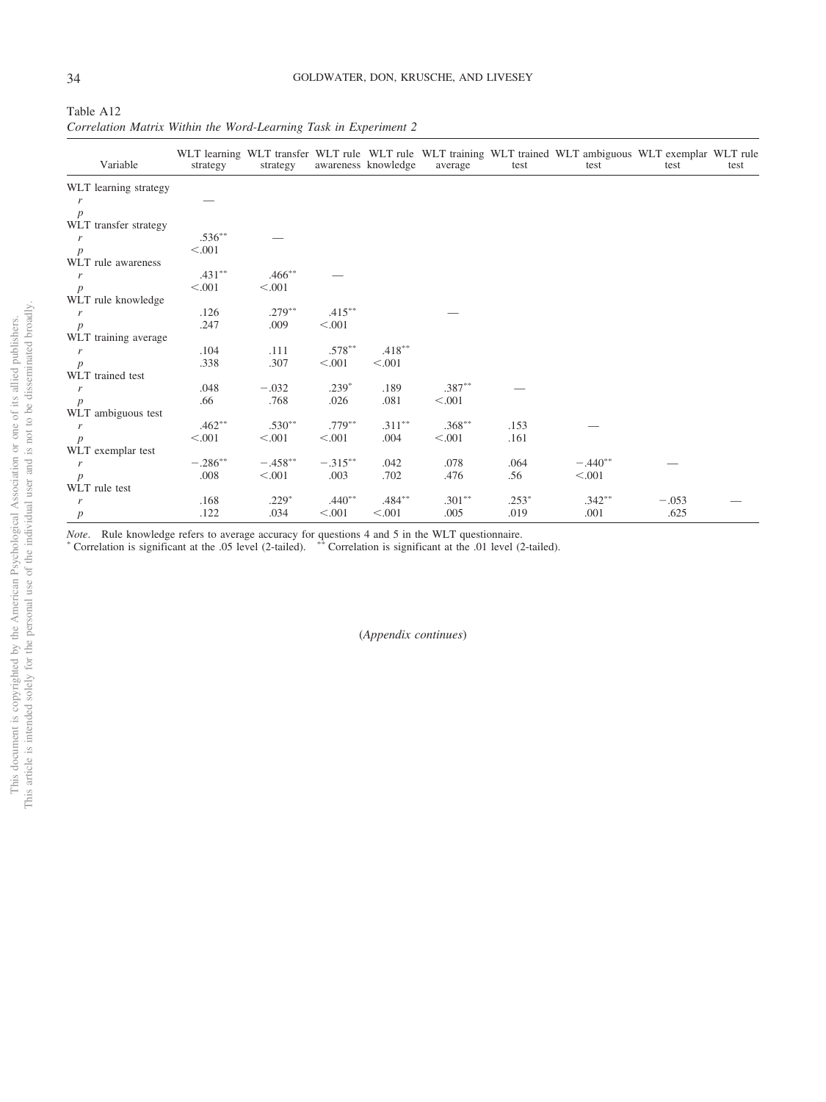| Table A <sub>12</sub> |  |                                                                  |  |  |
|-----------------------|--|------------------------------------------------------------------|--|--|
|                       |  | Correlation Matrix Within the Word-Learning Task in Experiment 2 |  |  |

| Variable              | strategy   | strategy    |            | awareness knowledge | average   | test    | WLT learning WLT transfer WLT rule WLT rule WLT training WLT trained WLT ambiguous WLT exemplar WLT rule<br>test | test    | test |
|-----------------------|------------|-------------|------------|---------------------|-----------|---------|------------------------------------------------------------------------------------------------------------------|---------|------|
| WLT learning strategy |            |             |            |                     |           |         |                                                                                                                  |         |      |
| r                     |            |             |            |                     |           |         |                                                                                                                  |         |      |
| $\boldsymbol{p}$      |            |             |            |                     |           |         |                                                                                                                  |         |      |
| WLT transfer strategy |            |             |            |                     |           |         |                                                                                                                  |         |      |
| r                     | $.536***$  |             |            |                     |           |         |                                                                                                                  |         |      |
| $\boldsymbol{p}$      | < 0.001    |             |            |                     |           |         |                                                                                                                  |         |      |
| WLT rule awareness    |            |             |            |                     |           |         |                                                                                                                  |         |      |
| r                     | $.431***$  | $.466^{**}$ |            |                     |           |         |                                                                                                                  |         |      |
| p                     | < 0.001    | < 0.001     |            |                     |           |         |                                                                                                                  |         |      |
| WLT rule knowledge    |            |             |            |                     |           |         |                                                                                                                  |         |      |
| $\mathbf{r}$          | .126       | $.279***$   | $.415***$  |                     |           |         |                                                                                                                  |         |      |
| $\boldsymbol{p}$      | .247       | .009        | < 0.001    |                     |           |         |                                                                                                                  |         |      |
| WLT training average  |            |             |            |                     |           |         |                                                                                                                  |         |      |
| r                     | .104       | .111        | $.578***$  | $.418***$           |           |         |                                                                                                                  |         |      |
| $\boldsymbol{p}$      | .338       | .307        | < 0.001    | < 0.001             |           |         |                                                                                                                  |         |      |
| WLT trained test      |            |             |            |                     |           |         |                                                                                                                  |         |      |
| r                     | .048       | $-.032$     | $.239*$    | .189                | $.387**$  |         |                                                                                                                  |         |      |
| $\boldsymbol{p}$      | .66        | .768        | .026       | .081                | < .001    |         |                                                                                                                  |         |      |
| WLT ambiguous test    |            |             |            |                     |           |         |                                                                                                                  |         |      |
| r                     | $.462**$   | $.530**$    | $.779***$  | $.311***$           | $.368***$ | .153    |                                                                                                                  |         |      |
| $\boldsymbol{p}$      | < 0.001    | < .001      | < 0.001    | .004                | < 0.001   | .161    |                                                                                                                  |         |      |
| WLT exemplar test     |            |             |            |                     |           |         |                                                                                                                  |         |      |
| $\boldsymbol{r}$      | $-.286***$ | $-.458**$   | $-.315***$ | .042                | .078      | .064    | $-.440**$                                                                                                        |         |      |
| $\boldsymbol{p}$      | .008       | < 0.001     | .003       | .702                | .476      | .56     | < 0.001                                                                                                          |         |      |
| WLT rule test         |            |             |            |                     |           |         |                                                                                                                  |         |      |
| r                     | .168       | $.229*$     | $.440**$   | $.484***$           | $.301***$ | $.253*$ | $.342***$                                                                                                        | $-.053$ |      |
| $\boldsymbol{p}$      | .122       | .034        | < 0.001    | < .001              | .005      | .019    | .001                                                                                                             | .625    |      |

*Note*. Rule knowledge refers to average accuracy for questions 4 and 5 in the WLT questionnaire.<br>
\* Correlation is significant at the .05 level (2-tailed). \*\* Correlation is significant at the .01 level (2-tailed).

(*Appendix continues*)